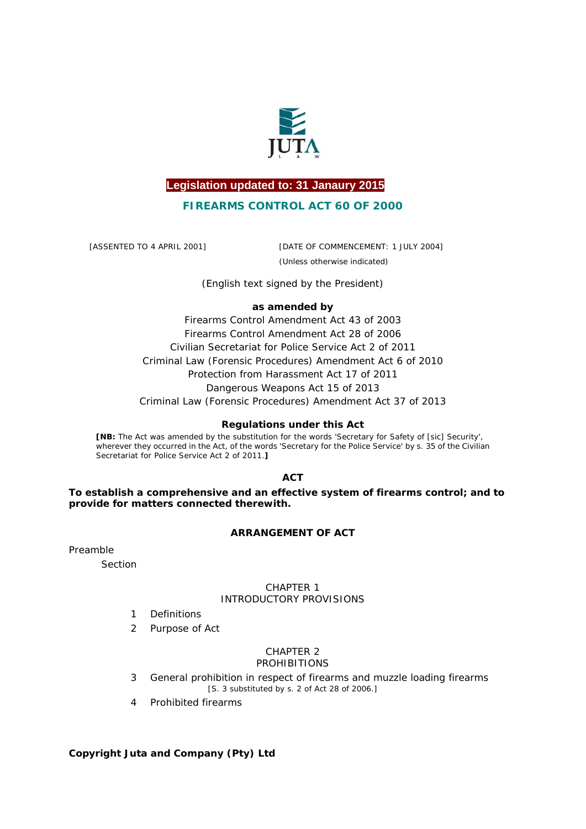

# **Legislation updated to: 31 Janaury 2015**

### **FIREARMS CONTROL ACT 60 OF 2000**

[ASSENTED TO 4 APRIL 2001] [DATE OF COMMENCEMENT: 1 JULY 2004] (Unless otherwise indicated)

*(English text signed by the President)* 

### **as amended by**

Firearms Control Amendment Act 43 of 2003 Firearms Control Amendment Act 28 of 2006 Civilian Secretariat for Police Service Act 2 of 2011 Criminal Law (Forensic Procedures) Amendment Act 6 of 2010 Protection from Harassment Act 17 of 2011 Dangerous Weapons Act 15 of 2013 Criminal Law (Forensic Procedures) Amendment Act 37 of 2013

### **Regulations under this Act**

**[NB:** The Act was amended by the substitution for the words 'Secretary for Safety of [sic] Security', wherever they occurred in the Act, of the words 'Secretary for the Police Service' by s. 35 of the Civilian Secretariat for Police Service Act 2 of 2011.**]**

**ACT** 

**To establish a comprehensive and an effective system of firearms control; and to provide for matters connected therewith.** 

### **ARRANGEMENT OF ACT**

Preamble

*Section*

### CHAPTER 1 INTRODUCTORY PROVISIONS

- 1 Definitions
- 2 Purpose of Act

### CHAPTER 2 PROHIBITIONS

- 3 General prohibition in respect of firearms and muzzle loading firearms [S. 3 substituted by s. 2 of Act 28 of 2006.]
- 4 Prohibited firearms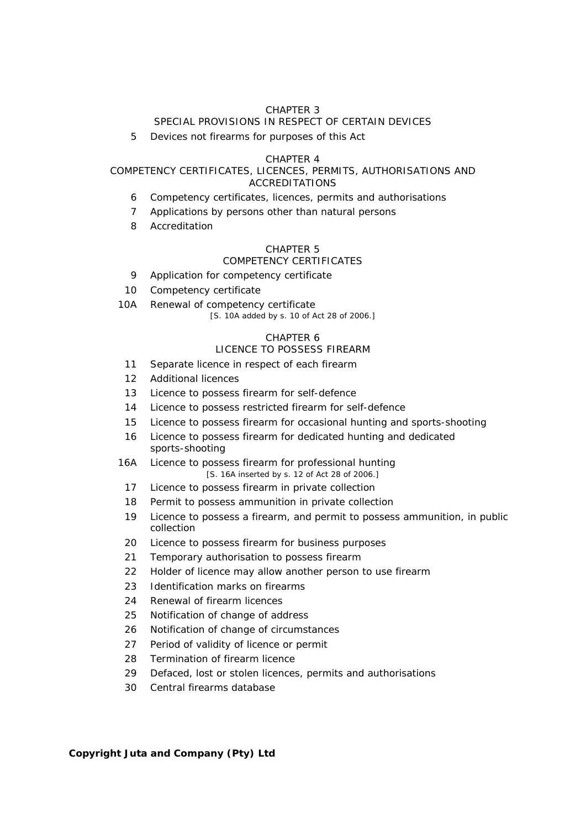### SPECIAL PROVISIONS IN RESPECT OF CERTAIN DEVICES

5 Devices not firearms for purposes of this Act

#### CHAPTER 4

### COMPETENCY CERTIFICATES, LICENCES, PERMITS, AUTHORISATIONS AND ACCREDITATIONS

- 6 Competency certificates, licences, permits and authorisations
- 7 Applications by persons other than natural persons
- 8 Accreditation

### CHAPTER 5

### COMPETENCY CERTIFICATES

- 9 Application for competency certificate
- 10 Competency certificate
- 10A Renewal of competency certificate

[S. 10A added by s. 10 of Act 28 of 2006.]

### CHAPTER 6

# LICENCE TO POSSESS FIREARM

- 11 Separate licence in respect of each firearm
- 12 Additional licences
- 13 Licence to possess firearm for self-defence
- 14 Licence to possess restricted firearm for self-defence
- 15 Licence to possess firearm for occasional hunting and sports-shooting
- 16 Licence to possess firearm for dedicated hunting and dedicated sports-shooting
- 16A Licence to possess firearm for professional hunting [S. 16A inserted by s. 12 of Act 28 of 2006.]
	- 17 Licence to possess firearm in private collection
	- 18 Permit to possess ammunition in private collection
	- 19 Licence to possess a firearm, and permit to possess ammunition, in public collection
- 20 Licence to possess firearm for business purposes
- 21 Temporary authorisation to possess firearm
- 22 Holder of licence may allow another person to use firearm
- 23 Identification marks on firearms
- 24 Renewal of firearm licences
- 25 Notification of change of address
- 26 Notification of change of circumstances
- 27 Period of validity of licence or permit
- 28 Termination of firearm licence
- 29 Defaced, lost or stolen licences, permits and authorisations
- 30 Central firearms database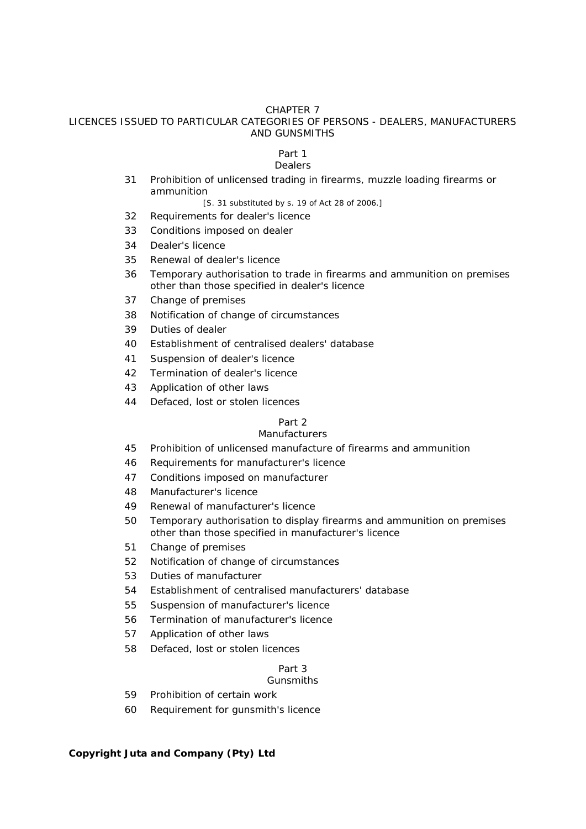LICENCES ISSUED TO PARTICULAR CATEGORIES OF PERSONS - DEALERS, MANUFACTURERS AND GUNSMITHS

# *Part 1*

# *Dealers*

- 31 Prohibition of unlicensed trading in firearms, muzzle loading firearms or ammunition
	- [S. 31 substituted by s. 19 of Act 28 of 2006.]
- 32 Requirements for dealer's licence
- 33 Conditions imposed on dealer
- 34 Dealer's licence
- 35 Renewal of dealer's licence
- 36 Temporary authorisation to trade in firearms and ammunition on premises other than those specified in dealer's licence
- 37 Change of premises
- 38 Notification of change of circumstances
- 39 Duties of dealer
- 40 Establishment of centralised dealers' database
- 41 Suspension of dealer's licence
- 42 Termination of dealer's licence
- 43 Application of other laws
- 44 Defaced, lost or stolen licences

### *Part 2*

### *Manufacturers*

- 45 Prohibition of unlicensed manufacture of firearms and ammunition
- 46 Requirements for manufacturer's licence
- 47 Conditions imposed on manufacturer
- 48 Manufacturer's licence
- 49 Renewal of manufacturer's licence
- 50 Temporary authorisation to display firearms and ammunition on premises other than those specified in manufacturer's licence
- 51 Change of premises
- 52 Notification of change of circumstances
- 53 Duties of manufacturer
- 54 Establishment of centralised manufacturers' database
- 55 Suspension of manufacturer's licence
- 56 Termination of manufacturer's licence
- 57 Application of other laws
- 58 Defaced, lost or stolen licences

# *Part 3*

### *Gunsmiths*

- 59 Prohibition of certain work
- 60 Requirement for gunsmith's licence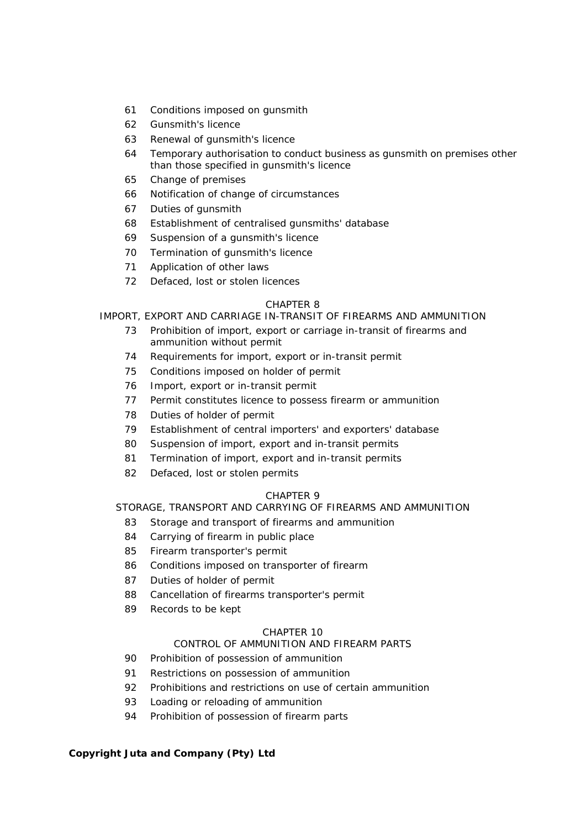- 61 Conditions imposed on gunsmith
- 62 Gunsmith's licence
- 63 Renewal of gunsmith's licence
- 64 Temporary authorisation to conduct business as gunsmith on premises other than those specified in gunsmith's licence
- 65 Change of premises
- 66 Notification of change of circumstances
- 67 Duties of gunsmith
- 68 Establishment of centralised gunsmiths' database
- 69 Suspension of a gunsmith's licence
- 70 Termination of gunsmith's licence
- 71 Application of other laws
- 72 Defaced, lost or stolen licences

### IMPORT, EXPORT AND CARRIAGE IN-TRANSIT OF FIREARMS AND AMMUNITION

- 73 Prohibition of import, export or carriage in-transit of firearms and ammunition without permit
- 74 Requirements for import, export or in-transit permit
- 75 Conditions imposed on holder of permit
- 76 Import, export or in-transit permit
- 77 Permit constitutes licence to possess firearm or ammunition
- 78 Duties of holder of permit
- 79 Establishment of central importers' and exporters' database
- 80 Suspension of import, export and in-transit permits
- 81 Termination of import, export and in-transit permits
- 82 Defaced, lost or stolen permits

### CHAPTER 9

# STORAGE, TRANSPORT AND CARRYING OF FIREARMS AND AMMUNITION

- 83 Storage and transport of firearms and ammunition
- 84 Carrying of firearm in public place
- 85 Firearm transporter's permit
- 86 Conditions imposed on transporter of firearm
- 87 Duties of holder of permit
- 88 Cancellation of firearms transporter's permit
- 89 Records to be kept

### CHAPTER 10

### CONTROL OF AMMUNITION AND FIREARM PARTS

- 90 Prohibition of possession of ammunition
- 91 Restrictions on possession of ammunition
- 92 Prohibitions and restrictions on use of certain ammunition
- 93 Loading or reloading of ammunition
- 94 Prohibition of possession of firearm parts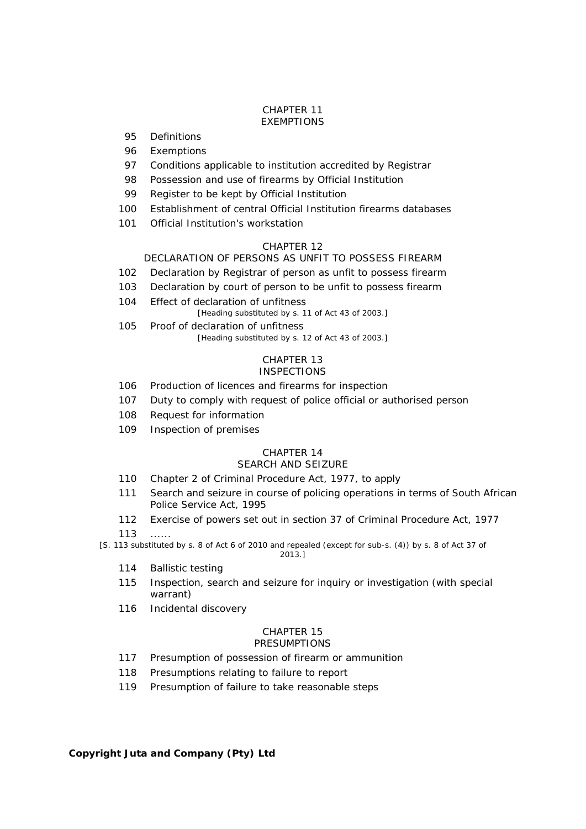#### CHAPTER 11 EXEMPTIONS

- 95 Definitions
- 96 Exemptions
- 97 Conditions applicable to institution accredited by Registrar
- 98 Possession and use of firearms by Official Institution
- 99 Register to be kept by Official Institution
- 100 Establishment of central Official Institution firearms databases
- 101 Official Institution's workstation

### CHAPTER 12

# DECLARATION OF PERSONS AS UNFIT TO POSSESS FIREARM

- 102 Declaration by Registrar of person as unfit to possess firearm
- 103 Declaration by court of person to be unfit to possess firearm
- 104 Effect of declaration of unfitness

[Heading substituted by s. 11 of Act 43 of 2003.]

105 Proof of declaration of unfitness [Heading substituted by s. 12 of Act 43 of 2003.]

#### CHAPTER 13 **INSPECTIONS**

- 106 Production of licences and firearms for inspection
- 107 Duty to comply with request of police official or authorised person
- 108 Request for information
- 109 Inspection of premises

# CHAPTER 14

### SEARCH AND SEIZURE

- 110 Chapter 2 of Criminal Procedure Act, 1977, to apply
- 111 Search and seizure in course of policing operations in terms of South African Police Service Act, 1995
- 112 Exercise of powers set out in section 37 of Criminal Procedure Act, 1977

113 ......

[S. 113 substituted by s. 8 of Act 6 of 2010 and repealed (except for sub-s. (4)) by s. 8 of Act 37 of

2013.]

- 114 Ballistic testing
- 115 Inspection, search and seizure for inquiry or investigation (with special warrant)
- 116 Incidental discovery

#### CHAPTER 15 **PRESUMPTIONS**

- 117 Presumption of possession of firearm or ammunition
- 118 Presumptions relating to failure to report
- 119 Presumption of failure to take reasonable steps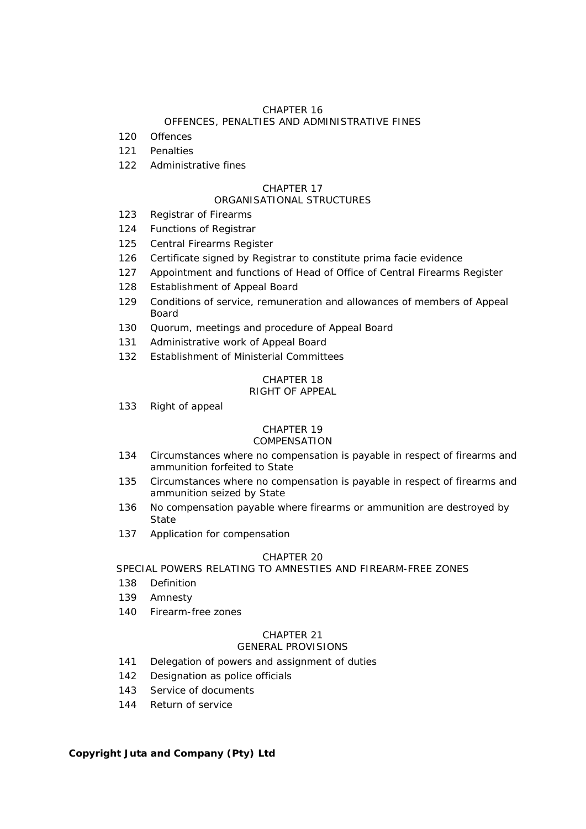# OFFENCES, PENALTIES AND ADMINISTRATIVE FINES

- 120 Offences
- 121 Penalties
- 122 Administrative fines

# CHAPTER 17

# ORGANISATIONAL STRUCTURES

- 123 Registrar of Firearms
- 124 Functions of Registrar
- 125 Central Firearms Register
- 126 Certificate signed by Registrar to constitute *prima facie* evidence
- 127 Appointment and functions of Head of Office of Central Firearms Register
- 128 Establishment of Appeal Board
- 129 Conditions of service, remuneration and allowances of members of Appeal Board
- 130 Quorum, meetings and procedure of Appeal Board
- 131 Administrative work of Appeal Board
- 132 Establishment of Ministerial Committees

### CHAPTER 18 RIGHT OF APPEAL

133 Right of appeal

# CHAPTER 19

# COMPENSATION

- 134 Circumstances where no compensation is payable in respect of firearms and ammunition forfeited to State
- 135 Circumstances where no compensation is payable in respect of firearms and ammunition seized by State
- 136 No compensation payable where firearms or ammunition are destroyed by State
- 137 Application for compensation

# CHAPTER 20

# SPECIAL POWERS RELATING TO AMNESTIES AND FIREARM-FREE ZONES

- 138 Definition
- 139 Amnesty
- 140 Firearm-free zones

# CHAPTER 21

# GENERAL PROVISIONS

- 141 Delegation of powers and assignment of duties
- 142 Designation as police officials
- 143 Service of documents
- 144 Return of service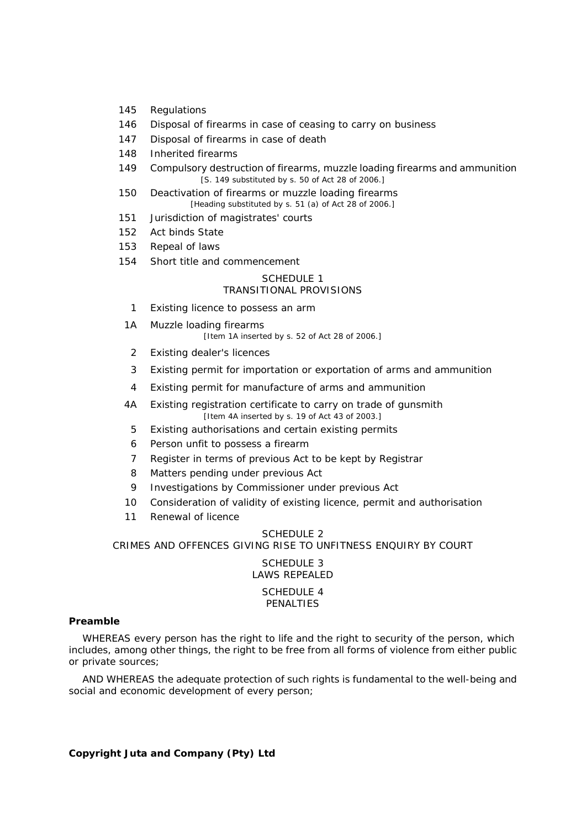- 145 Regulations
- 146 Disposal of firearms in case of ceasing to carry on business
- 147 Disposal of firearms in case of death
- 148 Inherited firearms
- 149 Compulsory destruction of firearms, muzzle loading firearms and ammunition [S. 149 substituted by s. 50 of Act 28 of 2006.]
- 150 Deactivation of firearms or muzzle loading firearms [Heading substituted by s. 51 *(a)* of Act 28 of 2006.]
- 151 Jurisdiction of magistrates' courts
- 152 Act binds State
- 153 Repeal of laws
- 154 Short title and commencement

### SCHEDULE 1

### TRANSITIONAL PROVISIONS

- 1 Existing licence to possess an arm
- 1A Muzzle loading firearms [Item 1A inserted by s. 52 of Act 28 of 2006.]
	- 2 Existing dealer's licences
	- 3 Existing permit for importation or exportation of arms and ammunition
	- 4 Existing permit for manufacture of arms and ammunition
- 4A Existing registration certificate to carry on trade of gunsmith [Item 4A inserted by s. 19 of Act 43 of 2003.]
	- 5 Existing authorisations and certain existing permits
- 6 Person unfit to possess a firearm
- 7 Register in terms of previous Act to be kept by Registrar
- 8 Matters pending under previous Act
- 9 Investigations by Commissioner under previous Act
- 10 Consideration of validity of existing licence, permit and authorisation
- 11 Renewal of licence

#### SCHEDULE<sub>2</sub>

CRIMES AND OFFENCES GIVING RISE TO UNFITNESS ENQUIRY BY COURT

SCHEDULE 3 LAWS REPEALED SCHEDULE 4 PENALTIES

#### **Preamble**

WHEREAS every person has the right to life and the right to security of the person, which includes, among other things, the right to be free from all forms of violence from either public or private sources;

AND WHEREAS the adequate protection of such rights is fundamental to the well-being and social and economic development of every person;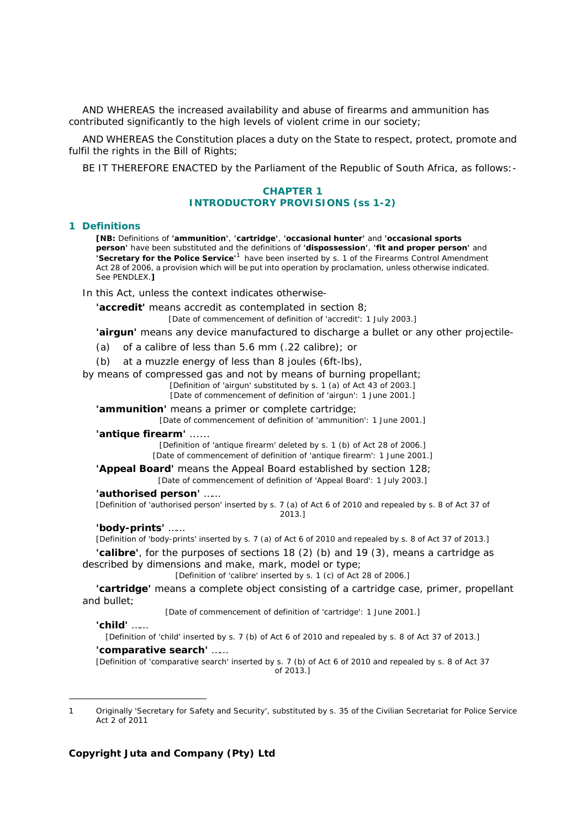AND WHEREAS the increased availability and abuse of firearms and ammunition has contributed significantly to the high levels of violent crime in our society;

AND WHEREAS the Constitution places a duty on the State to respect, protect, promote and fulfil the rights in the Bill of Rights;

BE IT THEREFORE ENACTED by the Parliament of the Republic of South Africa, as follows:-

### **CHAPTER 1 INTRODUCTORY PROVISIONS (ss 1-2)**

#### **1 Definitions**

**[NB:** Definitions of **'ammunition'**, **'cartridge'**, **'occasional hunter'** and **'occasional sports person'** have been substituted and the definitions of **'dispossession'**, **'fit and proper person'** and **'Secretary for the Police Service'**<sup>1</sup> have been inserted by s. 1 of the Firearms Control Amendment Act 28 of 2006, a provision which will be put into operation by proclamation, unless otherwise indicated. See PENDLEX.**]**

In this Act, unless the context indicates otherwise-

**'accredit'** means accredit as contemplated in section 8;

[Date of commencement of definition of 'accredit': 1 July 2003.]

**'airgun'** means any device manufactured to discharge a bullet or any other projectile-

- *(a)* of a calibre of less than 5.6 mm (.22 calibre); or
- *(b)* at a muzzle energy of less than 8 joules (6ft-lbs),

by means of compressed gas and not by means of burning propellant;

[Definition of 'airgun' substituted by s. 1 *(a)* of Act 43 of 2003.] [Date of commencement of definition of 'airgun': 1 June 2001.]

**'ammunition'** means a primer or complete cartridge;

[Date of commencement of definition of 'ammunition': 1 June 2001.]

#### **'antique firearm'** ......

[Definition of 'antique firearm' deleted by s. 1 *(b)* of Act 28 of 2006.] [Date of commencement of definition of 'antique firearm': 1 June 2001.]

**'Appeal Board'** means the Appeal Board established by section 128; [Date of commencement of definition of 'Appeal Board': 1 July 2003.]

**'authorised person'** ……

[Definition of 'authorised person' inserted by s. 7 *(a)* of Act 6 of 2010 and repealed by s. 8 of Act 37 of 2013.]

#### **'body-prints'** ……

[Definition of 'body-prints' inserted by s. 7 *(a)* of Act 6 of 2010 and repealed by s. 8 of Act 37 of 2013.]

**'calibre'**, for the purposes of sections 18 (2) *(b)* and 19 (3), means a cartridge as described by dimensions and make, mark, model or type;

[Definition of 'calibre' inserted by s. 1 *(c)* of Act 28 of 2006.]

**'cartridge'** means a complete object consisting of a cartridge case, primer, propellant and bullet;

[Date of commencement of definition of 'cartridge': 1 June 2001.]

#### **'child'** ……

-

[Definition of 'child' inserted by s. 7 *(b)* of Act 6 of 2010 and repealed by s. 8 of Act 37 of 2013.]

#### **'comparative search'** ……

[Definition of 'comparative search' inserted by s. 7 *(b)* of Act 6 of 2010 and repealed by s. 8 of Act 37 of 2013.]

<sup>1</sup> Originally 'Secretary for Safety and Security', substituted by s. 35 of the Civilian Secretariat for Police Service Act 2 of 2011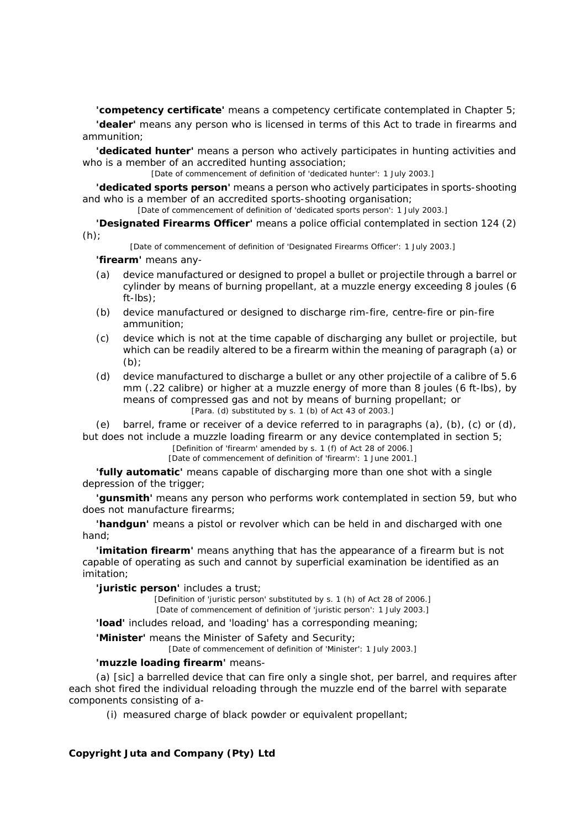**'competency certificate'** means a competency certificate contemplated in Chapter 5;

**'dealer'** means any person who is licensed in terms of this Act to trade in firearms and ammunition;

**'dedicated hunter'** means a person who actively participates in hunting activities and who is a member of an accredited hunting association;

[Date of commencement of definition of 'dedicated hunter': 1 July 2003.]

**'dedicated sports person'** means a person who actively participates in sports-shooting and who is a member of an accredited sports-shooting organisation;

[Date of commencement of definition of 'dedicated sports person': 1 July 2003.]

**'Designated Firearms Officer'** means a police official contemplated in section 124 (2) *(h)*;

[Date of commencement of definition of 'Designated Firearms Officer': 1 July 2003.]

**'firearm'** means any-

- *(a)* device manufactured or designed to propel a bullet or projectile through a barrel or cylinder by means of burning propellant, at a muzzle energy exceeding 8 joules (6 ft-lbs);
- *(b)* device manufactured or designed to discharge rim-fire, centre-fire or pin-fire ammunition;
- *(c)* device which is not at the time capable of discharging any bullet or projectile, but which can be readily altered to be a firearm within the meaning of paragraph *(a)* or *(b)*;
- *(d)* device manufactured to discharge a bullet or any other projectile of a calibre of 5.6 mm (.22 calibre) or higher at a muzzle energy of more than 8 joules (6 ft-lbs), by means of compressed gas and not by means of burning propellant; or [Para. *(d)* substituted by s. 1 *(b)* of Act 43 of 2003.]

*(e)* barrel, frame or receiver of a device referred to in paragraphs *(a)*, *(b)*, *(c)* or *(d)*, but does not include a muzzle loading firearm or any device contemplated in section 5;

[Definition of 'firearm' amended by s. 1 *(f)* of Act 28 of 2006.]

[Date of commencement of definition of 'firearm': 1 June 2001.]

**'fully automatic'** means capable of discharging more than one shot with a single depression of the trigger;

**'gunsmith'** means any person who performs work contemplated in section 59, but who does not manufacture firearms;

**'handgun'** means a pistol or revolver which can be held in and discharged with one hand;

**'imitation firearm'** means anything that has the appearance of a firearm but is not capable of operating as such and cannot by superficial examination be identified as an imitation;

**'juristic person'** includes a trust;

[Definition of 'juristic person' substituted by s. 1 *(h)* of Act 28 of 2006.] [Date of commencement of definition of 'juristic person': 1 July 2003.]

**'load'** includes reload, and 'loading' has a corresponding meaning;

**'Minister'** means the Minister of Safety and Security;

[Date of commencement of definition of 'Minister': 1 July 2003.]

### **'muzzle loading firearm'** means-

*(a)* [sic] a barrelled device that can fire only a single shot, per barrel, and requires after each shot fired the individual reloading through the muzzle end of the barrel with separate components consisting of a-

(i) measured charge of black powder or equivalent propellant;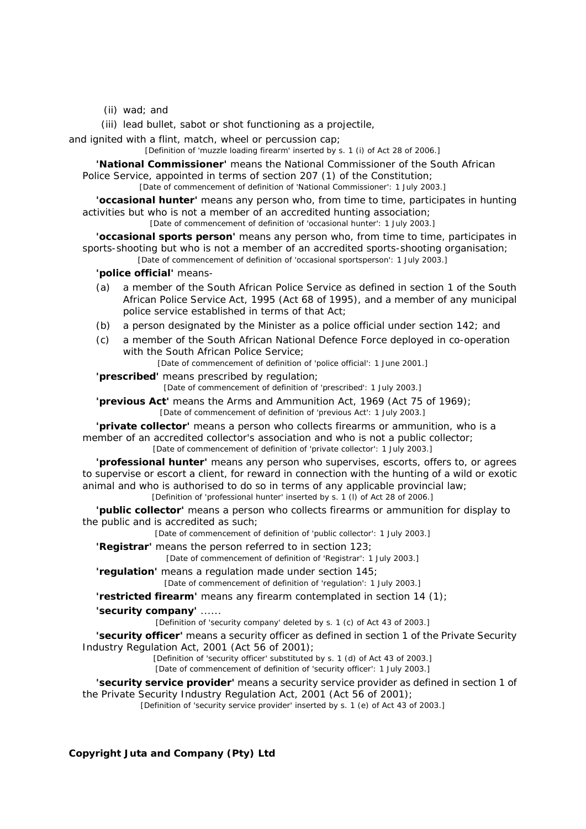(ii) wad; and

(iii) lead bullet, sabot or shot functioning as a projectile,

and ignited with a flint, match, wheel or percussion cap;

[Definition of 'muzzle loading firearm' inserted by s. 1 *(i)* of Act 28 of 2006.]

**'National Commissioner'** means the National Commissioner of the South African Police Service, appointed in terms of section 207 (1) of the Constitution;

[Date of commencement of definition of 'National Commissioner': 1 July 2003.]

**'occasional hunter'** means any person who, from time to time, participates in hunting activities but who is not a member of an accredited hunting association;

[Date of commencement of definition of 'occasional hunter': 1 July 2003.]

**'occasional sports person'** means any person who, from time to time, participates in sports-shooting but who is not a member of an accredited sports-shooting organisation;

[Date of commencement of definition of 'occasional sportsperson': 1 July 2003.]

**'police official'** means-

- *(a)* a member of the South African Police Service as defined in section 1 of the South African Police Service Act, 1995 (Act 68 of 1995), and a member of any municipal police service established in terms of that Act;
- *(b)* a person designated by the Minister as a police official under section 142; and
- *(c)* a member of the South African National Defence Force deployed in co-operation with the South African Police Service:

[Date of commencement of definition of 'police official': 1 June 2001.]

**'prescribed'** means prescribed by regulation; [Date of commencement of definition of 'prescribed': 1 July 2003.]

**'previous Act'** means the Arms and Ammunition Act, 1969 (Act 75 of 1969);

[Date of commencement of definition of 'previous Act': 1 July 2003.]

**'private collector'** means a person who collects firearms or ammunition, who is a member of an accredited collector's association and who is not a public collector; [Date of commencement of definition of 'private collector': 1 July 2003.]

**'professional hunter'** means any person who supervises, escorts, offers to, or agrees to supervise or escort a client, for reward in connection with the hunting of a wild or exotic animal and who is authorised to do so in terms of any applicable provincial law; [Definition of 'professional hunter' inserted by s. 1 *(l)* of Act 28 of 2006.]

**'public collector'** means a person who collects firearms or ammunition for display to the public and is accredited as such;

[Date of commencement of definition of 'public collector': 1 July 2003.]

**'Registrar'** means the person referred to in section 123;

[Date of commencement of definition of 'Registrar': 1 July 2003.]

**'regulation'** means a regulation made under section 145; [Date of commencement of definition of 'regulation': 1 July 2003.]

**'restricted firearm'** means any firearm contemplated in section 14 (1);

**'security company'** ......

[Definition of 'security company' deleted by s. 1 *(c)* of Act 43 of 2003.]

**'security officer'** means a security officer as defined in section 1 of the Private Security Industry Regulation Act, 2001 (Act 56 of 2001);

> [Definition of 'security officer' substituted by s. 1 *(d)* of Act 43 of 2003.] [Date of commencement of definition of 'security officer': 1 July 2003.]

### **'security service provider'** means a security service provider as defined in section 1 of the Private Security Industry Regulation Act, 2001 (Act 56 of 2001);

[Definition of 'security service provider' inserted by s. 1 *(e)* of Act 43 of 2003.]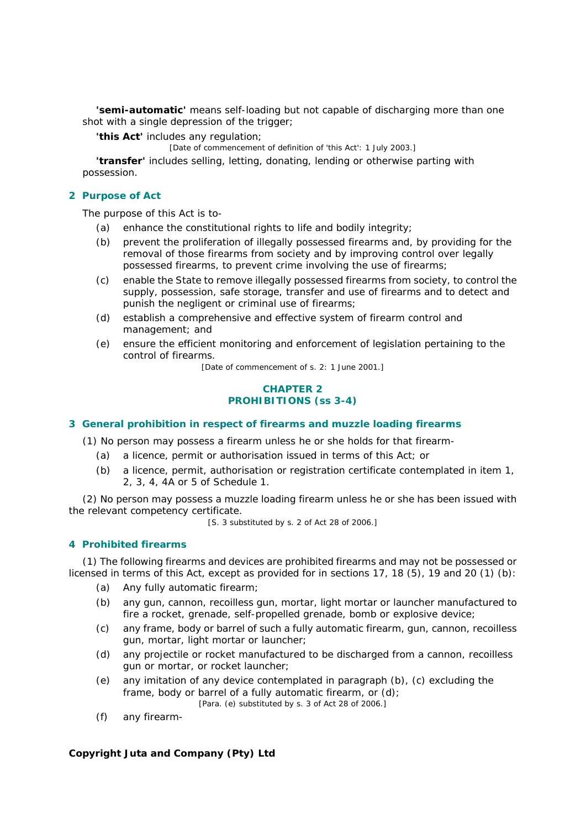**'semi-automatic'** means self-loading but not capable of discharging more than one shot with a single depression of the trigger;

**'this Act'** includes any regulation;

[Date of commencement of definition of 'this Act': 1 July 2003.]

**'transfer'** includes selling, letting, donating, lending or otherwise parting with possession.

### **2 Purpose of Act**

The purpose of this Act is to-

- *(a)* enhance the constitutional rights to life and bodily integrity;
- *(b)* prevent the proliferation of illegally possessed firearms and, by providing for the removal of those firearms from society and by improving control over legally possessed firearms, to prevent crime involving the use of firearms;
- *(c)* enable the State to remove illegally possessed firearms from society, to control the supply, possession, safe storage, transfer and use of firearms and to detect and punish the negligent or criminal use of firearms;
- *(d)* establish a comprehensive and effective system of firearm control and management; and
- *(e)* ensure the efficient monitoring and enforcement of legislation pertaining to the control of firearms.

[Date of commencement of s. 2: 1 June 2001.]

### **CHAPTER 2 PROHIBITIONS (ss 3-4)**

### **3 General prohibition in respect of firearms and muzzle loading firearms**

(1) No person may possess a firearm unless he or she holds for that firearm-

- *(a)* a licence, permit or authorisation issued in terms of this Act; or
- *(b)* a licence, permit, authorisation or registration certificate contemplated in item 1, 2, 3, 4, 4A or 5 of Schedule 1.

(2) No person may possess a muzzle loading firearm unless he or she has been issued with the relevant competency certificate.

[S. 3 substituted by s. 2 of Act 28 of 2006.]

### **4 Prohibited firearms**

(1) The following firearms and devices are prohibited firearms and may not be possessed or licensed in terms of this Act, except as provided for in sections 17, 18 (5), 19 and 20 (1) *(b)*:

- *(a)* Any fully automatic firearm;
- *(b)* any gun, cannon, recoilless gun, mortar, light mortar or launcher manufactured to fire a rocket, grenade, self-propelled grenade, bomb or explosive device;
- *(c)* any frame, body or barrel of such a fully automatic firearm, gun, cannon, recoilless gun, mortar, light mortar or launcher;
- *(d)* any projectile or rocket manufactured to be discharged from a cannon, recoilless gun or mortar, or rocket launcher;
- *(e)* any imitation of any device contemplated in paragraph *(b)*, *(c)* excluding the frame, body or barrel of a fully automatic firearm, or *(d)*; [Para. *(e)* substituted by s. 3 of Act 28 of 2006.]
- *(f)* any firearm-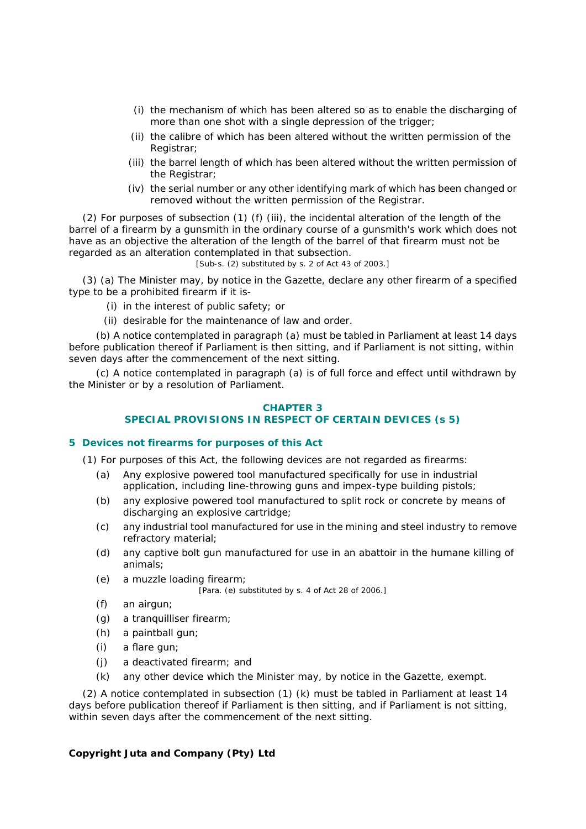- (i) the mechanism of which has been altered so as to enable the discharging of more than one shot with a single depression of the trigger;
- (ii) the calibre of which has been altered without the written permission of the Registrar;
- (iii) the barrel length of which has been altered without the written permission of the Registrar;
- (iv) the serial number or any other identifying mark of which has been changed or removed without the written permission of the Registrar.

(2) For purposes of subsection (1) *(f)* (iii), the incidental alteration of the length of the barrel of a firearm by a gunsmith in the ordinary course of a gunsmith's work which does not have as an objective the alteration of the length of the barrel of that firearm must not be regarded as an alteration contemplated in that subsection.

[Sub-s. (2) substituted by s. 2 of Act 43 of 2003.]

(3) *(a)* The Minister may, by notice in the *Gazette*, declare any other firearm of a specified type to be a prohibited firearm if it is-

- (i) in the interest of public safety; or
- (ii) desirable for the maintenance of law and order.

*(b)* A notice contemplated in paragraph *(a)* must be tabled in Parliament at least 14 days before publication thereof if Parliament is then sitting, and if Parliament is not sitting, within seven days after the commencement of the next sitting.

*(c)* A notice contemplated in paragraph *(a)* is of full force and effect until withdrawn by the Minister or by a resolution of Parliament.

### **CHAPTER 3 SPECIAL PROVISIONS IN RESPECT OF CERTAIN DEVICES (s 5)**

### **5 Devices not firearms for purposes of this Act**

(1) For purposes of this Act, the following devices are not regarded as firearms:

- *(a)* Any explosive powered tool manufactured specifically for use in industrial application, including line-throwing guns and impex-type building pistols;
- *(b)* any explosive powered tool manufactured to split rock or concrete by means of discharging an explosive cartridge;
- *(c)* any industrial tool manufactured for use in the mining and steel industry to remove refractory material;
- *(d)* any captive bolt gun manufactured for use in an abattoir in the humane killing of animals;
- *(e)* a muzzle loading firearm;

[Para. *(e)* substituted by s. 4 of Act 28 of 2006.]

- *(f)* an airgun;
- *(g)* a tranquilliser firearm;
- *(h)* a paintball gun;
- *(i)* a flare gun;
- *(j)* a deactivated firearm; and
- *(k)* any other device which the Minister may, by notice in the *Gazette*, exempt.

(2) A notice contemplated in subsection (1) *(k)* must be tabled in Parliament at least 14 days before publication thereof if Parliament is then sitting, and if Parliament is not sitting, within seven days after the commencement of the next sitting.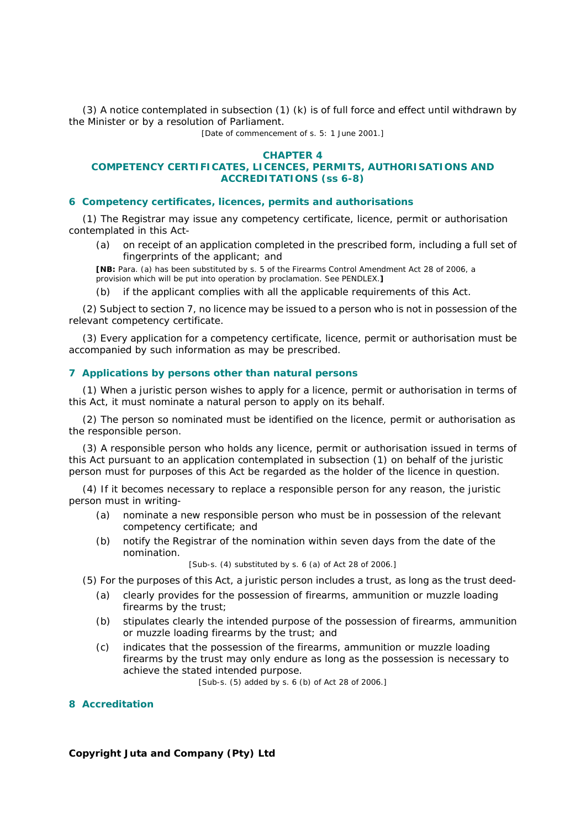(3) A notice contemplated in subsection (1) *(k)* is of full force and effect until withdrawn by the Minister or by a resolution of Parliament.

[Date of commencement of s. 5: 1 June 2001.]

#### **CHAPTER 4**

### **COMPETENCY CERTIFICATES, LICENCES, PERMITS, AUTHORISATIONS AND ACCREDITATIONS (ss 6-8)**

#### **6 Competency certificates, licences, permits and authorisations**

(1) The Registrar may issue any competency certificate, licence, permit or authorisation contemplated in this Act-

*(a)* on receipt of an application completed in the prescribed form, including a full set of fingerprints of the applicant; and

**[NB:** Para. *(a)* has been substituted by s. 5 of the Firearms Control Amendment Act 28 of 2006, a provision which will be put into operation by proclamation. See PENDLEX.**]**

*(b)* if the applicant complies with all the applicable requirements of this Act.

(2) Subject to section 7, no licence may be issued to a person who is not in possession of the relevant competency certificate.

(3) Every application for a competency certificate, licence, permit or authorisation must be accompanied by such information as may be prescribed.

### **7 Applications by persons other than natural persons**

(1) When a juristic person wishes to apply for a licence, permit or authorisation in terms of this Act, it must nominate a natural person to apply on its behalf.

(2) The person so nominated must be identified on the licence, permit or authorisation as the responsible person.

(3) A responsible person who holds any licence, permit or authorisation issued in terms of this Act pursuant to an application contemplated in subsection (1) on behalf of the juristic person must for purposes of this Act be regarded as the holder of the licence in question.

(4) If it becomes necessary to replace a responsible person for any reason, the juristic person must in writing-

- *(a)* nominate a new responsible person who must be in possession of the relevant competency certificate; and
- *(b)* notify the Registrar of the nomination within seven days from the date of the nomination.

[Sub-s. (4) substituted by s. 6 *(a)* of Act 28 of 2006.]

- (5) For the purposes of this Act, a juristic person includes a trust, as long as the trust deed-
	- *(a)* clearly provides for the possession of firearms, ammunition or muzzle loading firearms by the trust;
	- *(b)* stipulates clearly the intended purpose of the possession of firearms, ammunition or muzzle loading firearms by the trust; and
	- *(c)* indicates that the possession of the firearms, ammunition or muzzle loading firearms by the trust may only endure as long as the possession is necessary to achieve the stated intended purpose.

[Sub-s. (5) added by s. 6 *(b)* of Act 28 of 2006.]

#### **8 Accreditation**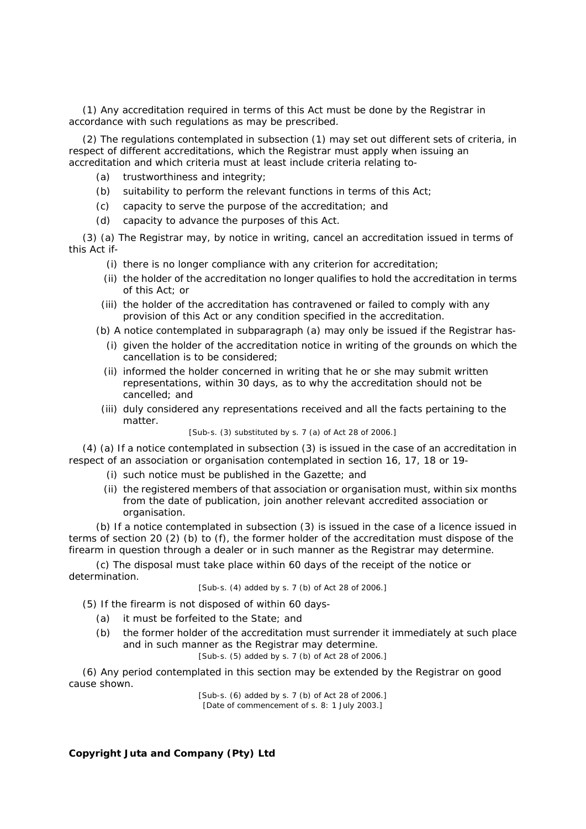(1) Any accreditation required in terms of this Act must be done by the Registrar in accordance with such regulations as may be prescribed.

(2) The regulations contemplated in subsection (1) may set out different sets of criteria, in respect of different accreditations, which the Registrar must apply when issuing an accreditation and which criteria must at least include criteria relating to-

- *(a)* trustworthiness and integrity;
- *(b)* suitability to perform the relevant functions in terms of this Act;
- *(c)* capacity to serve the purpose of the accreditation; and
- *(d)* capacity to advance the purposes of this Act.

(3) *(a)* The Registrar may, by notice in writing, cancel an accreditation issued in terms of this Act if-

- (i) there is no longer compliance with any criterion for accreditation;
- (ii) the holder of the accreditation no longer qualifies to hold the accreditation in terms of this Act; or
- (iii) the holder of the accreditation has contravened or failed to comply with any provision of this Act or any condition specified in the accreditation.

*(b)* A notice contemplated in subparagraph *(a)* may only be issued if the Registrar has-

- (i) given the holder of the accreditation notice in writing of the grounds on which the cancellation is to be considered;
- (ii) informed the holder concerned in writing that he or she may submit written representations, within 30 days, as to why the accreditation should not be cancelled; and
- (iii) duly considered any representations received and all the facts pertaining to the matter.

[Sub-s. (3) substituted by s. 7 *(a)* of Act 28 of 2006.]

(4) *(a)* If a notice contemplated in subsection (3) is issued in the case of an accreditation in respect of an association or organisation contemplated in section 16, 17, 18 or 19-

- (i) such notice must be published in the *Gazette*; and
- (ii) the registered members of that association or organisation must, within six months from the date of publication, join another relevant accredited association or organisation.

*(b)* If a notice contemplated in subsection (3) is issued in the case of a licence issued in terms of section 20 (2) *(b)* to *(f)*, the former holder of the accreditation must dispose of the firearm in question through a dealer or in such manner as the Registrar may determine.

*(c)* The disposal must take place within 60 days of the receipt of the notice or determination.

[Sub-s. (4) added by s. 7 *(b)* of Act 28 of 2006.]

(5) If the firearm is not disposed of within 60 days-

- *(a)* it must be forfeited to the State; and
- *(b)* the former holder of the accreditation must surrender it immediately at such place and in such manner as the Registrar may determine.

[Sub-s. (5) added by s. 7 *(b)* of Act 28 of 2006.]

(6) Any period contemplated in this section may be extended by the Registrar on good cause shown.

> [Sub-s. (6) added by s. 7 *(b)* of Act 28 of 2006.] [Date of commencement of s. 8: 1 July 2003.]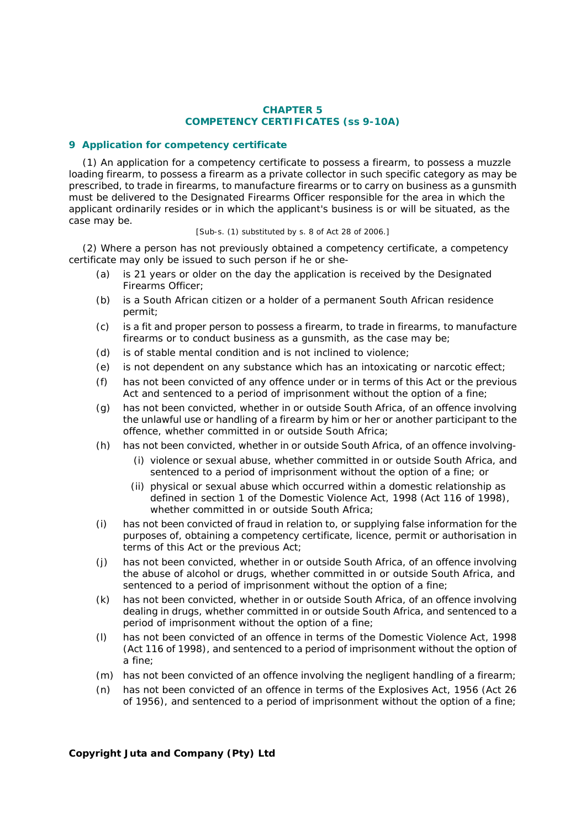### **CHAPTER 5 COMPETENCY CERTIFICATES (ss 9-10A)**

### **9 Application for competency certificate**

(1) An application for a competency certificate to possess a firearm, to possess a muzzle loading firearm, to possess a firearm as a private collector in such specific category as may be prescribed, to trade in firearms, to manufacture firearms or to carry on business as a gunsmith must be delivered to the Designated Firearms Officer responsible for the area in which the applicant ordinarily resides or in which the applicant's business is or will be situated, as the case may be.

### [Sub-s. (1) substituted by s. 8 of Act 28 of 2006.]

(2) Where a person has not previously obtained a competency certificate, a competency certificate may only be issued to such person if he or she-

- *(a)* is 21 years or older on the day the application is received by the Designated Firearms Officer;
- *(b)* is a South African citizen or a holder of a permanent South African residence permit;
- *(c)* is a fit and proper person to possess a firearm, to trade in firearms, to manufacture firearms or to conduct business as a gunsmith, as the case may be;
- *(d)* is of stable mental condition and is not inclined to violence;
- *(e)* is not dependent on any substance which has an intoxicating or narcotic effect;
- *(f)* has not been convicted of any offence under or in terms of this Act or the previous Act and sentenced to a period of imprisonment without the option of a fine;
- *(g)* has not been convicted, whether in or outside South Africa, of an offence involving the unlawful use or handling of a firearm by him or her or another participant to the offence, whether committed in or outside South Africa;
- *(h)* has not been convicted, whether in or outside South Africa, of an offence involving-
	- (i) violence or sexual abuse, whether committed in or outside South Africa, and sentenced to a period of imprisonment without the option of a fine; or
	- (ii) physical or sexual abuse which occurred within a domestic relationship as defined in section 1 of the Domestic Violence Act, 1998 (Act 116 of 1998), whether committed in or outside South Africa;
- *(i)* has not been convicted of fraud in relation to, or supplying false information for the purposes of, obtaining a competency certificate, licence, permit or authorisation in terms of this Act or the previous Act;
- *(j)* has not been convicted, whether in or outside South Africa, of an offence involving the abuse of alcohol or drugs, whether committed in or outside South Africa, and sentenced to a period of imprisonment without the option of a fine;
- *(k)* has not been convicted, whether in or outside South Africa, of an offence involving dealing in drugs, whether committed in or outside South Africa, and sentenced to a period of imprisonment without the option of a fine;
- *(l)* has not been convicted of an offence in terms of the Domestic Violence Act, 1998 (Act 116 of 1998), and sentenced to a period of imprisonment without the option of a fine;
- *(m)* has not been convicted of an offence involving the negligent handling of a firearm;
- *(n)* has not been convicted of an offence in terms of the Explosives Act, 1956 (Act 26 of 1956), and sentenced to a period of imprisonment without the option of a fine;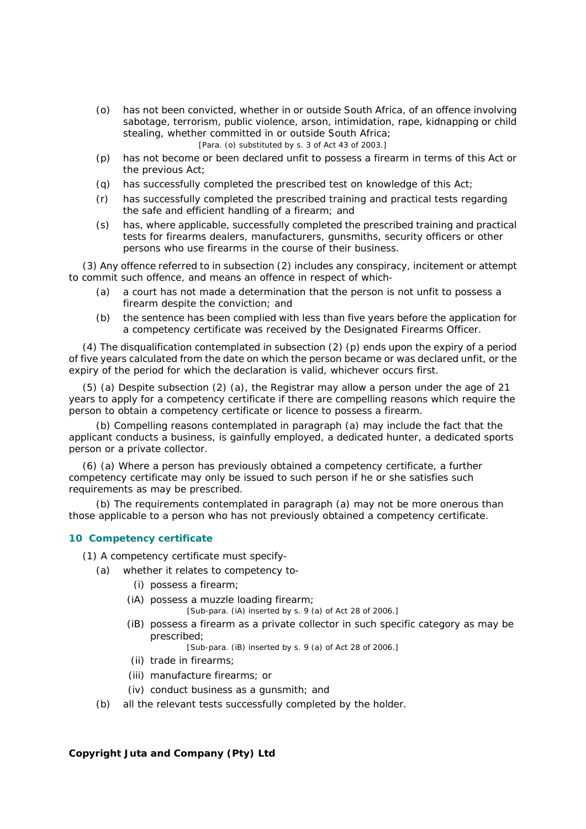- *(o)* has not been convicted, whether in or outside South Africa, of an offence involving sabotage, terrorism, public violence, arson, intimidation, rape, kidnapping or child stealing, whether committed in or outside South Africa; [Para. *(o)* substituted by s. 3 of Act 43 of 2003.]
- *(p)* has not become or been declared unfit to possess a firearm in terms of this Act or the previous Act;
- *(q)* has successfully completed the prescribed test on knowledge of this Act;
- *(r)* has successfully completed the prescribed training and practical tests regarding the safe and efficient handling of a firearm; and
- *(s)* has, where applicable, successfully completed the prescribed training and practical tests for firearms dealers, manufacturers, gunsmiths, security officers or other persons who use firearms in the course of their business.

(3) Any offence referred to in subsection (2) includes any conspiracy, incitement or attempt to commit such offence, and means an offence in respect of which-

- *(a)* a court has not made a determination that the person is not unfit to possess a firearm despite the conviction; and
- *(b)* the sentence has been complied with less than five years before the application for a competency certificate was received by the Designated Firearms Officer.

(4) The disqualification contemplated in subsection (2) *(p)* ends upon the expiry of a period of five years calculated from the date on which the person became or was declared unfit, or the expiry of the period for which the declaration is valid, whichever occurs first.

(5) *(a)* Despite subsection (2) *(a)*, the Registrar may allow a person under the age of 21 years to apply for a competency certificate if there are compelling reasons which require the person to obtain a competency certificate or licence to possess a firearm.

*(b)* Compelling reasons contemplated in paragraph *(a)* may include the fact that the applicant conducts a business, is gainfully employed, a dedicated hunter, a dedicated sports person or a private collector.

(6) *(a)* Where a person has previously obtained a competency certificate, a further competency certificate may only be issued to such person if he or she satisfies such requirements as may be prescribed.

*(b)* The requirements contemplated in paragraph *(a)* may not be more onerous than those applicable to a person who has not previously obtained a competency certificate.

### **10 Competency certificate**

(1) A competency certificate must specify-

- *(a)* whether it relates to competency to-
	- (i) possess a firearm;
	- (iA) possess a muzzle loading firearm;

[Sub-para. (iA) inserted by s. 9 *(a)* of Act 28 of 2006.]

 (iB) possess a firearm as a private collector in such specific category as may be prescribed;

[Sub-para. (iB) inserted by s. 9 *(a)* of Act 28 of 2006.]

- (ii) trade in firearms;
- (iii) manufacture firearms; or
- (iv) conduct business as a gunsmith; and
- *(b)* all the relevant tests successfully completed by the holder.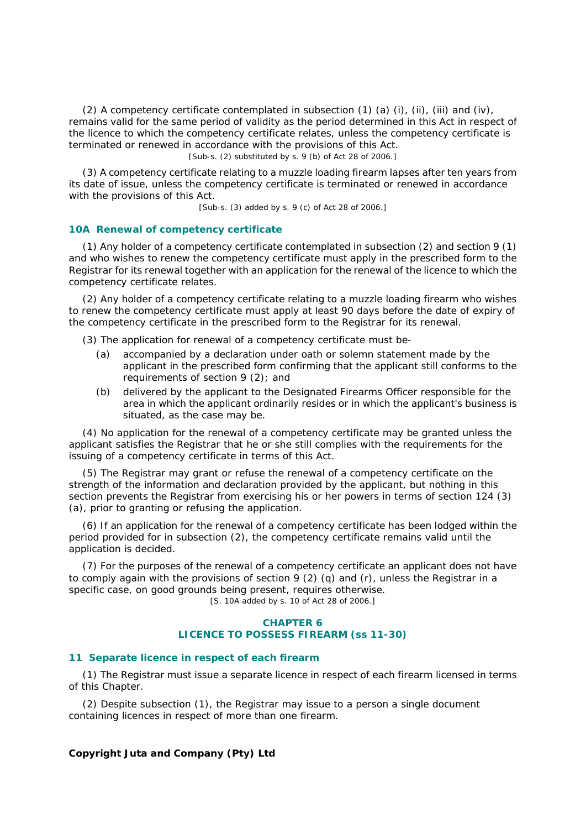(2) A competency certificate contemplated in subsection (1) *(a)* (i), (ii), (iii) and (iv), remains valid for the same period of validity as the period determined in this Act in respect of the licence to which the competency certificate relates, unless the competency certificate is terminated or renewed in accordance with the provisions of this Act.

[Sub-s. (2) substituted by s. 9 *(b)* of Act 28 of 2006.]

(3) A competency certificate relating to a muzzle loading firearm lapses after ten years from its date of issue, unless the competency certificate is terminated or renewed in accordance with the provisions of this Act.

[Sub-s. (3) added by s. 9 *(c)* of Act 28 of 2006.]

#### **10A Renewal of competency certificate**

(1) Any holder of a competency certificate contemplated in subsection (2) and section 9 (1) and who wishes to renew the competency certificate must apply in the prescribed form to the Registrar for its renewal together with an application for the renewal of the licence to which the competency certificate relates.

(2) Any holder of a competency certificate relating to a muzzle loading firearm who wishes to renew the competency certificate must apply at least 90 days before the date of expiry of the competency certificate in the prescribed form to the Registrar for its renewal.

(3) The application for renewal of a competency certificate must be-

- *(a)* accompanied by a declaration under oath or solemn statement made by the applicant in the prescribed form confirming that the applicant still conforms to the requirements of section 9 (2); and
- *(b)* delivered by the applicant to the Designated Firearms Officer responsible for the area in which the applicant ordinarily resides or in which the applicant's business is situated, as the case may be.

(4) No application for the renewal of a competency certificate may be granted unless the applicant satisfies the Registrar that he or she still complies with the requirements for the issuing of a competency certificate in terms of this Act.

(5) The Registrar may grant or refuse the renewal of a competency certificate on the strength of the information and declaration provided by the applicant, but nothing in this section prevents the Registrar from exercising his or her powers in terms of section 124 (3) *(a)*, prior to granting or refusing the application.

(6) If an application for the renewal of a competency certificate has been lodged within the period provided for in subsection (2), the competency certificate remains valid until the application is decided.

(7) For the purposes of the renewal of a competency certificate an applicant does not have to comply again with the provisions of section 9 (2) *(q)* and *(r)*, unless the Registrar in a specific case, on good grounds being present, requires otherwise.

[S. 10A added by s. 10 of Act 28 of 2006.]

### **CHAPTER 6 LICENCE TO POSSESS FIREARM (ss 11-30)**

### **11 Separate licence in respect of each firearm**

(1) The Registrar must issue a separate licence in respect of each firearm licensed in terms of this Chapter.

(2) Despite subsection (1), the Registrar may issue to a person a single document containing licences in respect of more than one firearm.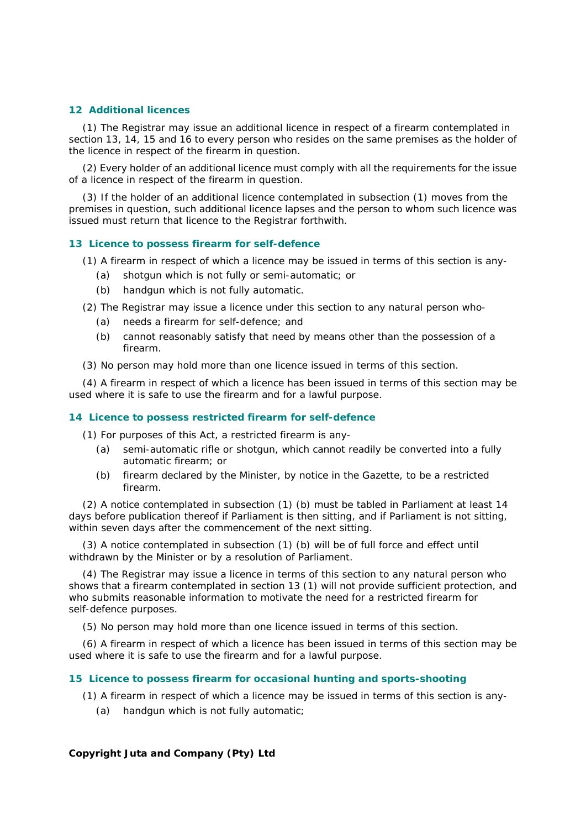### **12 Additional licences**

(1) The Registrar may issue an additional licence in respect of a firearm contemplated in section 13, 14, 15 and 16 to every person who resides on the same premises as the holder of the licence in respect of the firearm in question.

(2) Every holder of an additional licence must comply with all the requirements for the issue of a licence in respect of the firearm in question.

(3) If the holder of an additional licence contemplated in subsection (1) moves from the premises in question, such additional licence lapses and the person to whom such licence was issued must return that licence to the Registrar forthwith.

#### **13 Licence to possess firearm for self-defence**

(1) A firearm in respect of which a licence may be issued in terms of this section is any-

- *(a)* shotgun which is not fully or semi-automatic; or
- *(b)* handgun which is not fully automatic.

(2) The Registrar may issue a licence under this section to any natural person who-

- *(a)* needs a firearm for self-defence; and
- *(b)* cannot reasonably satisfy that need by means other than the possession of a firearm.
- (3) No person may hold more than one licence issued in terms of this section.

(4) A firearm in respect of which a licence has been issued in terms of this section may be used where it is safe to use the firearm and for a lawful purpose.

### **14 Licence to possess restricted firearm for self-defence**

(1) For purposes of this Act, a restricted firearm is any-

- *(a)* semi-automatic rifle or shotgun, which cannot readily be converted into a fully automatic firearm; or
- *(b)* firearm declared by the Minister, by notice in the *Gazette*, to be a restricted firearm.

(2) A notice contemplated in subsection (1) *(b)* must be tabled in Parliament at least 14 days before publication thereof if Parliament is then sitting, and if Parliament is not sitting, within seven days after the commencement of the next sitting.

(3) A notice contemplated in subsection (1) *(b)* will be of full force and effect until withdrawn by the Minister or by a resolution of Parliament.

(4) The Registrar may issue a licence in terms of this section to any natural person who shows that a firearm contemplated in section 13 (1) will not provide sufficient protection, and who submits reasonable information to motivate the need for a restricted firearm for self-defence purposes.

(5) No person may hold more than one licence issued in terms of this section.

(6) A firearm in respect of which a licence has been issued in terms of this section may be used where it is safe to use the firearm and for a lawful purpose.

#### **15 Licence to possess firearm for occasional hunting and sports-shooting**

(1) A firearm in respect of which a licence may be issued in terms of this section is any-

*(a)* handgun which is not fully automatic;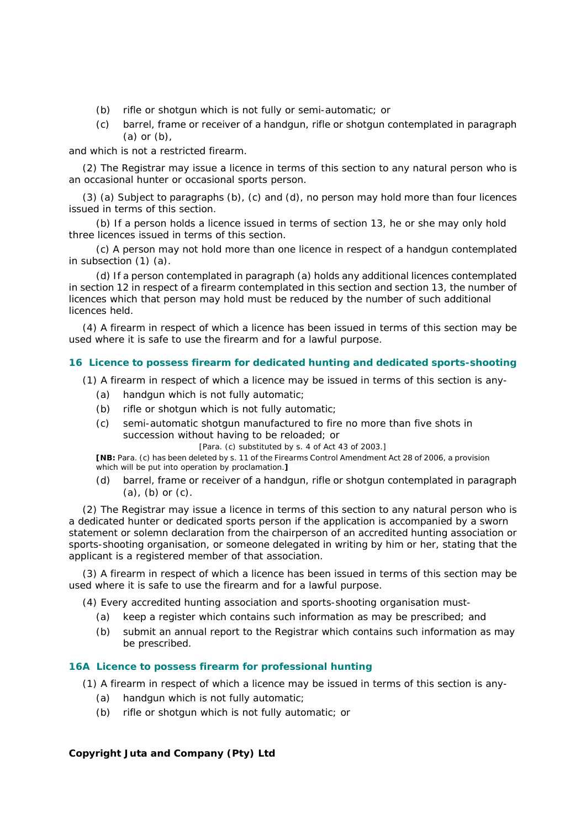- *(b)* rifle or shotgun which is not fully or semi-automatic; or
- *(c)* barrel, frame or receiver of a handgun, rifle or shotgun contemplated in paragraph *(a)* or *(b)*,

and which is not a restricted firearm.

(2) The Registrar may issue a licence in terms of this section to any natural person who is an occasional hunter or occasional sports person.

(3) *(a)* Subject to paragraphs *(b)*, *(c)* and *(d)*, no person may hold more than four licences issued in terms of this section.

*(b)* If a person holds a licence issued in terms of section 13, he or she may only hold three licences issued in terms of this section.

*(c)* A person may not hold more than one licence in respect of a handgun contemplated in subsection (1) *(a)*.

*(d)* If a person contemplated in paragraph *(a)* holds any additional licences contemplated in section 12 in respect of a firearm contemplated in this section and section 13, the number of licences which that person may hold must be reduced by the number of such additional licences held.

(4) A firearm in respect of which a licence has been issued in terms of this section may be used where it is safe to use the firearm and for a lawful purpose.

### **16 Licence to possess firearm for dedicated hunting and dedicated sports-shooting**

(1) A firearm in respect of which a licence may be issued in terms of this section is any-

- *(a)* handgun which is not fully automatic;
- *(b)* rifle or shotgun which is not fully automatic;
- *(c)* semi-automatic shotgun manufactured to fire no more than five shots in succession without having to be reloaded; or

[Para. *(c)* substituted by s. 4 of Act 43 of 2003.]

**[NB:** Para. *(c)* has been deleted by s. 11 of the Firearms Control Amendment Act 28 of 2006, a provision which will be put into operation by proclamation.**]**

*(d)* barrel, frame or receiver of a handgun, rifle or shotgun contemplated in paragraph *(a)*, *(b)* or *(c)*.

(2) The Registrar may issue a licence in terms of this section to any natural person who is a dedicated hunter or dedicated sports person if the application is accompanied by a sworn statement or solemn declaration from the chairperson of an accredited hunting association or sports-shooting organisation, or someone delegated in writing by him or her, stating that the applicant is a registered member of that association.

(3) A firearm in respect of which a licence has been issued in terms of this section may be used where it is safe to use the firearm and for a lawful purpose.

(4) Every accredited hunting association and sports-shooting organisation must-

- *(a)* keep a register which contains such information as may be prescribed; and
- *(b)* submit an annual report to the Registrar which contains such information as may be prescribed.

### **16A Licence to possess firearm for professional hunting**

- (1) A firearm in respect of which a licence may be issued in terms of this section is any-
	- *(a)* handgun which is not fully automatic;
	- *(b)* rifle or shotgun which is not fully automatic; or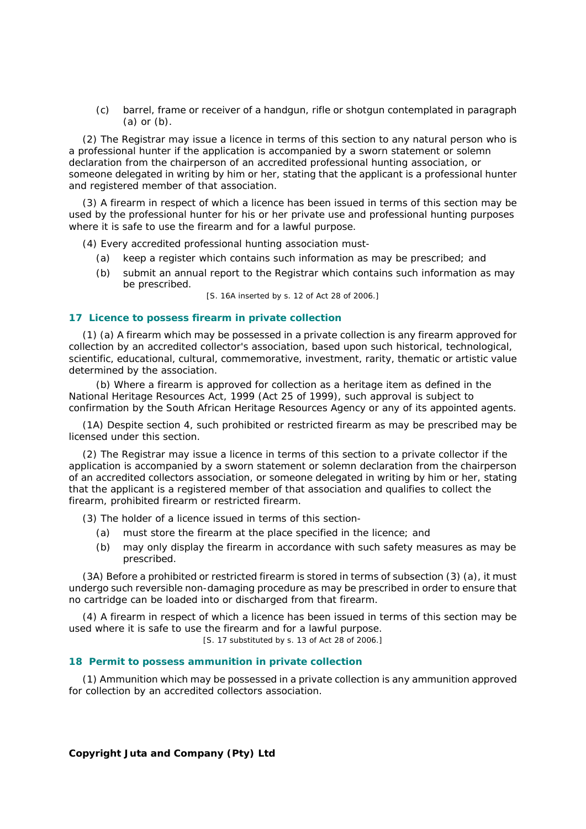*(c)* barrel, frame or receiver of a handgun, rifle or shotgun contemplated in paragraph *(a)* or *(b)*.

(2) The Registrar may issue a licence in terms of this section to any natural person who is a professional hunter if the application is accompanied by a sworn statement or solemn declaration from the chairperson of an accredited professional hunting association, or someone delegated in writing by him or her, stating that the applicant is a professional hunter and registered member of that association.

(3) A firearm in respect of which a licence has been issued in terms of this section may be used by the professional hunter for his or her private use and professional hunting purposes where it is safe to use the firearm and for a lawful purpose.

(4) Every accredited professional hunting association must-

- *(a)* keep a register which contains such information as may be prescribed; and
- *(b)* submit an annual report to the Registrar which contains such information as may be prescribed.

[S. 16A inserted by s. 12 of Act 28 of 2006.]

### **17 Licence to possess firearm in private collection**

(1) *(a)* A firearm which may be possessed in a private collection is any firearm approved for collection by an accredited collector's association, based upon such historical, technological, scientific, educational, cultural, commemorative, investment, rarity, thematic or artistic value determined by the association.

*(b)* Where a firearm is approved for collection as a heritage item as defined in the National Heritage Resources Act, 1999 (Act 25 of 1999), such approval is subject to confirmation by the South African Heritage Resources Agency or any of its appointed agents.

(1A) Despite section 4, such prohibited or restricted firearm as may be prescribed may be licensed under this section.

(2) The Registrar may issue a licence in terms of this section to a private collector if the application is accompanied by a sworn statement or solemn declaration from the chairperson of an accredited collectors association, or someone delegated in writing by him or her, stating that the applicant is a registered member of that association and qualifies to collect the firearm, prohibited firearm or restricted firearm.

(3) The holder of a licence issued in terms of this section-

- *(a)* must store the firearm at the place specified in the licence; and
- *(b)* may only display the firearm in accordance with such safety measures as may be prescribed.

(3A) Before a prohibited or restricted firearm is stored in terms of subsection (3) *(a)*, it must undergo such reversible non-damaging procedure as may be prescribed in order to ensure that no cartridge can be loaded into or discharged from that firearm.

(4) A firearm in respect of which a licence has been issued in terms of this section may be used where it is safe to use the firearm and for a lawful purpose.

[S. 17 substituted by s. 13 of Act 28 of 2006.]

### **18 Permit to possess ammunition in private collection**

(1) Ammunition which may be possessed in a private collection is any ammunition approved for collection by an accredited collectors association.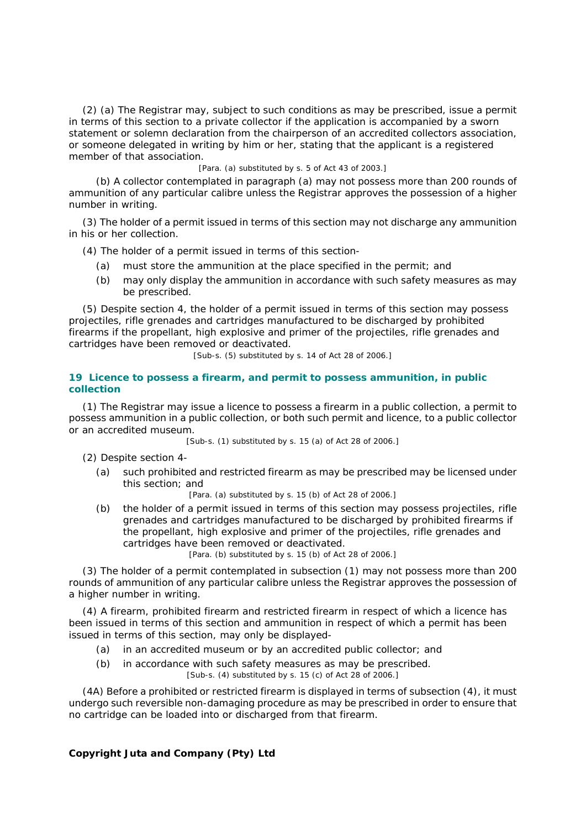(2) *(a)* The Registrar may, subject to such conditions as may be prescribed, issue a permit in terms of this section to a private collector if the application is accompanied by a sworn statement or solemn declaration from the chairperson of an accredited collectors association, or someone delegated in writing by him or her, stating that the applicant is a registered member of that association.

[Para. *(a)* substituted by s. 5 of Act 43 of 2003.]

*(b)* A collector contemplated in paragraph *(a)* may not possess more than 200 rounds of ammunition of any particular calibre unless the Registrar approves the possession of a higher number in writing.

(3) The holder of a permit issued in terms of this section may not discharge any ammunition in his or her collection.

(4) The holder of a permit issued in terms of this section-

- *(a)* must store the ammunition at the place specified in the permit; and
- *(b)* may only display the ammunition in accordance with such safety measures as may be prescribed.

(5) Despite section 4, the holder of a permit issued in terms of this section may possess projectiles, rifle grenades and cartridges manufactured to be discharged by prohibited firearms if the propellant, high explosive and primer of the projectiles, rifle grenades and cartridges have been removed or deactivated.

[Sub-s. (5) substituted by s. 14 of Act 28 of 2006.]

### **19 Licence to possess a firearm, and permit to possess ammunition, in public collection**

(1) The Registrar may issue a licence to possess a firearm in a public collection, a permit to possess ammunition in a public collection, or both such permit and licence, to a public collector or an accredited museum.

[Sub-s. (1) substituted by s. 15 *(a)* of Act 28 of 2006.]

(2) Despite section 4-

*(a)* such prohibited and restricted firearm as may be prescribed may be licensed under this section; and

[Para. *(a)* substituted by s. 15 *(b)* of Act 28 of 2006.]

*(b)* the holder of a permit issued in terms of this section may possess projectiles, rifle grenades and cartridges manufactured to be discharged by prohibited firearms if the propellant, high explosive and primer of the projectiles, rifle grenades and cartridges have been removed or deactivated.

[Para. *(b)* substituted by s. 15 *(b)* of Act 28 of 2006.]

(3) The holder of a permit contemplated in subsection (1) may not possess more than 200 rounds of ammunition of any particular calibre unless the Registrar approves the possession of a higher number in writing.

(4) A firearm, prohibited firearm and restricted firearm in respect of which a licence has been issued in terms of this section and ammunition in respect of which a permit has been issued in terms of this section, may only be displayed-

- *(a)* in an accredited museum or by an accredited public collector; and
- *(b)* in accordance with such safety measures as may be prescribed.

[Sub-s. (4) substituted by s. 15 *(c)* of Act 28 of 2006.]

(4A) Before a prohibited or restricted firearm is displayed in terms of subsection (4), it must undergo such reversible non-damaging procedure as may be prescribed in order to ensure that no cartridge can be loaded into or discharged from that firearm.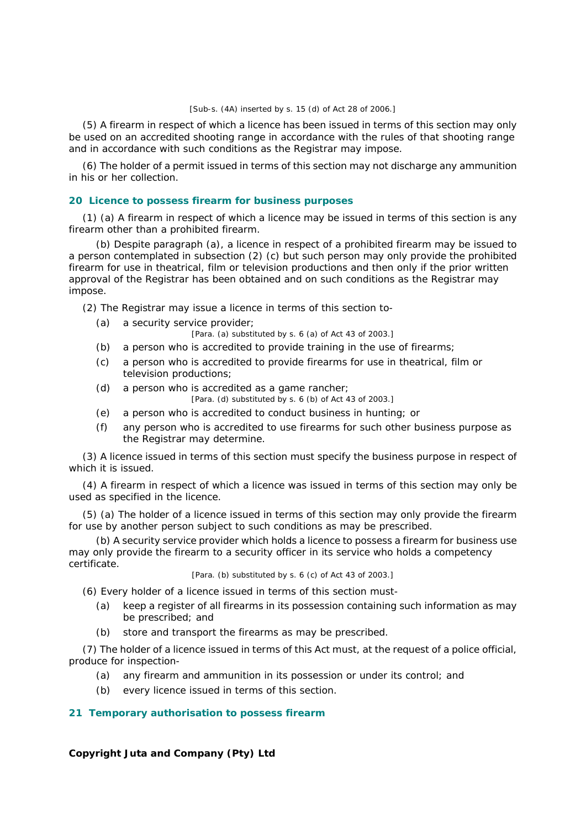#### [Sub-s. (4A) inserted by s. 15 *(d)* of Act 28 of 2006.]

(5) A firearm in respect of which a licence has been issued in terms of this section may only be used on an accredited shooting range in accordance with the rules of that shooting range and in accordance with such conditions as the Registrar may impose.

(6) The holder of a permit issued in terms of this section may not discharge any ammunition in his or her collection.

### **20 Licence to possess firearm for business purposes**

(1) *(a)* A firearm in respect of which a licence may be issued in terms of this section is any firearm other than a prohibited firearm.

*(b)* Despite paragraph *(a)*, a licence in respect of a prohibited firearm may be issued to a person contemplated in subsection (2) *(c)* but such person may only provide the prohibited firearm for use in theatrical, film or television productions and then only if the prior written approval of the Registrar has been obtained and on such conditions as the Registrar may impose.

(2) The Registrar may issue a licence in terms of this section to-

*(a)* a security service provider;

[Para. *(a)* substituted by s. 6 *(a)* of Act 43 of 2003.]

- *(b)* a person who is accredited to provide training in the use of firearms;
- *(c)* a person who is accredited to provide firearms for use in theatrical, film or television productions;
- *(d)* a person who is accredited as a game rancher;

[Para. *(d)* substituted by s. 6 *(b)* of Act 43 of 2003.]

- *(e)* a person who is accredited to conduct business in hunting; or
- *(f)* any person who is accredited to use firearms for such other business purpose as the Registrar may determine.

(3) A licence issued in terms of this section must specify the business purpose in respect of which it is issued.

(4) A firearm in respect of which a licence was issued in terms of this section may only be used as specified in the licence.

(5) *(a)* The holder of a licence issued in terms of this section may only provide the firearm for use by another person subject to such conditions as may be prescribed.

*(b)* A security service provider which holds a licence to possess a firearm for business use may only provide the firearm to a security officer in its service who holds a competency certificate.

[Para. *(b)* substituted by s. 6 *(c)* of Act 43 of 2003.]

(6) Every holder of a licence issued in terms of this section must-

- *(a)* keep a register of all firearms in its possession containing such information as may be prescribed; and
- *(b)* store and transport the firearms as may be prescribed.

(7) The holder of a licence issued in terms of this Act must, at the request of a police official, produce for inspection-

- *(a)* any firearm and ammunition in its possession or under its control; and
- *(b)* every licence issued in terms of this section.

### **21 Temporary authorisation to possess firearm**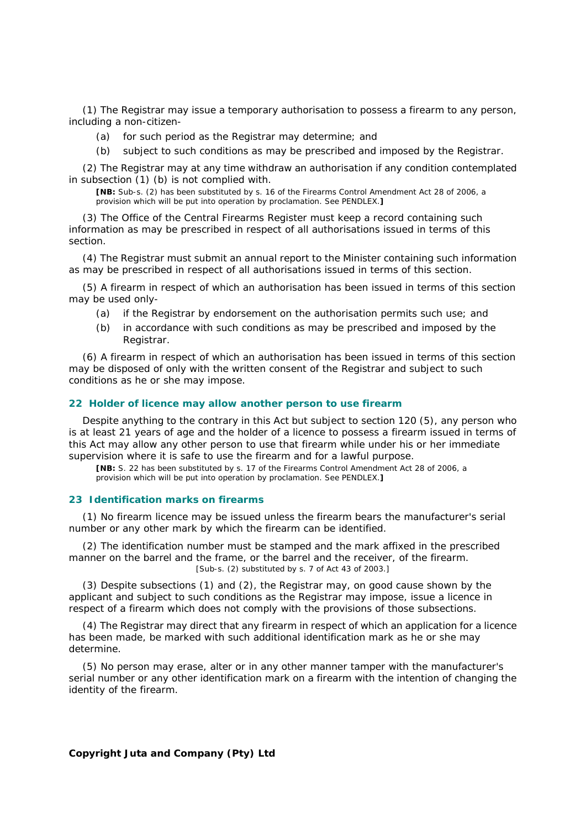(1) The Registrar may issue a temporary authorisation to possess a firearm to any person, including a non-citizen-

- *(a)* for such period as the Registrar may determine; and
- *(b)* subject to such conditions as may be prescribed and imposed by the Registrar.

(2) The Registrar may at any time withdraw an authorisation if any condition contemplated in subsection (1) *(b)* is not complied with.

**[NB:** Sub-s. (2) has been substituted by s. 16 of the Firearms Control Amendment Act 28 of 2006, a provision which will be put into operation by proclamation. See PENDLEX.**]**

(3) The Office of the Central Firearms Register must keep a record containing such information as may be prescribed in respect of all authorisations issued in terms of this section.

(4) The Registrar must submit an annual report to the Minister containing such information as may be prescribed in respect of all authorisations issued in terms of this section.

(5) A firearm in respect of which an authorisation has been issued in terms of this section may be used only-

- *(a)* if the Registrar by endorsement on the authorisation permits such use; and
- *(b)* in accordance with such conditions as may be prescribed and imposed by the Registrar.

(6) A firearm in respect of which an authorisation has been issued in terms of this section may be disposed of only with the written consent of the Registrar and subject to such conditions as he or she may impose.

### **22 Holder of licence may allow another person to use firearm**

Despite anything to the contrary in this Act but subject to section 120 (5), any person who is at least 21 years of age and the holder of a licence to possess a firearm issued in terms of this Act may allow any other person to use that firearm while under his or her immediate supervision where it is safe to use the firearm and for a lawful purpose.

**[NB:** S. 22 has been substituted by s. 17 of the Firearms Control Amendment Act 28 of 2006, a provision which will be put into operation by proclamation. See PENDLEX.**]**

#### **23 Identification marks on firearms**

(1) No firearm licence may be issued unless the firearm bears the manufacturer's serial number or any other mark by which the firearm can be identified.

(2) The identification number must be stamped and the mark affixed in the prescribed manner on the barrel and the frame, or the barrel and the receiver, of the firearm. [Sub-s. (2) substituted by s. 7 of Act 43 of 2003.]

(3) Despite subsections (1) and (2), the Registrar may, on good cause shown by the applicant and subject to such conditions as the Registrar may impose, issue a licence in respect of a firearm which does not comply with the provisions of those subsections.

(4) The Registrar may direct that any firearm in respect of which an application for a licence has been made, be marked with such additional identification mark as he or she may determine.

(5) No person may erase, alter or in any other manner tamper with the manufacturer's serial number or any other identification mark on a firearm with the intention of changing the identity of the firearm.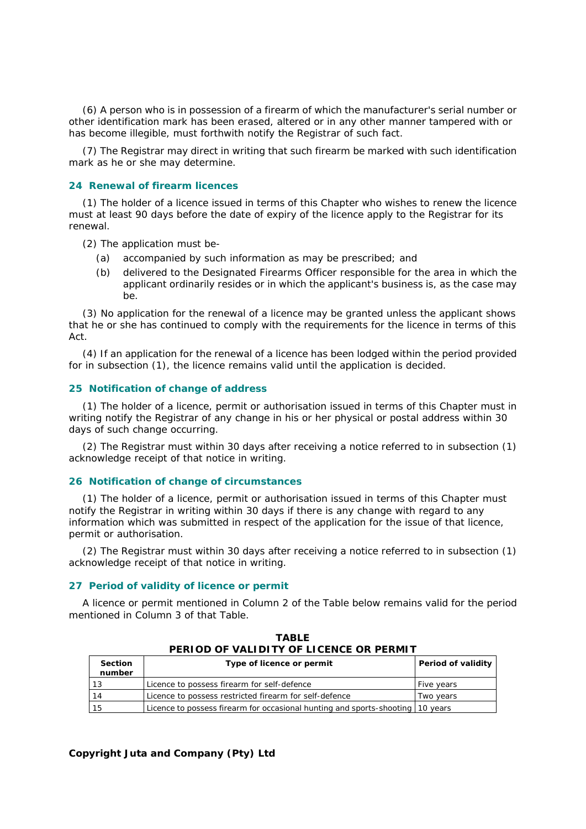(6) A person who is in possession of a firearm of which the manufacturer's serial number or other identification mark has been erased, altered or in any other manner tampered with or has become illegible, must forthwith notify the Registrar of such fact.

(7) The Registrar may direct in writing that such firearm be marked with such identification mark as he or she may determine.

### **24 Renewal of firearm licences**

(1) The holder of a licence issued in terms of this Chapter who wishes to renew the licence must at least 90 days before the date of expiry of the licence apply to the Registrar for its renewal.

(2) The application must be-

- *(a)* accompanied by such information as may be prescribed; and
- *(b)* delivered to the Designated Firearms Officer responsible for the area in which the applicant ordinarily resides or in which the applicant's business is, as the case may be.

(3) No application for the renewal of a licence may be granted unless the applicant shows that he or she has continued to comply with the requirements for the licence in terms of this Act.

(4) If an application for the renewal of a licence has been lodged within the period provided for in subsection (1), the licence remains valid until the application is decided.

#### **25 Notification of change of address**

(1) The holder of a licence, permit or authorisation issued in terms of this Chapter must in writing notify the Registrar of any change in his or her physical or postal address within 30 days of such change occurring.

(2) The Registrar must within 30 days after receiving a notice referred to in subsection (1) acknowledge receipt of that notice in writing.

#### **26 Notification of change of circumstances**

(1) The holder of a licence, permit or authorisation issued in terms of this Chapter must notify the Registrar in writing within 30 days if there is any change with regard to any information which was submitted in respect of the application for the issue of that licence, permit or authorisation.

(2) The Registrar must within 30 days after receiving a notice referred to in subsection (1) acknowledge receipt of that notice in writing.

### **27 Period of validity of licence or permit**

A licence or permit mentioned in Column 2 of the Table below remains valid for the period mentioned in Column 3 of that Table.

| PERIOD OF VALIDITT OF LIGENGE OR PERMIT |                                                                                |                    |  |
|-----------------------------------------|--------------------------------------------------------------------------------|--------------------|--|
| <b>Section</b><br>number                | Type of licence or permit                                                      | Period of validity |  |
| 13                                      | Licence to possess firearm for self-defence                                    | Five years         |  |
| 14                                      | Licence to possess restricted firearm for self-defence                         | Two vears          |  |
| l 15                                    | Licence to possess firearm for occasional hunting and sports-shooting 10 years |                    |  |

**TABLE PERIOD OF VALIDITY OF LICENCE OR PERMIT**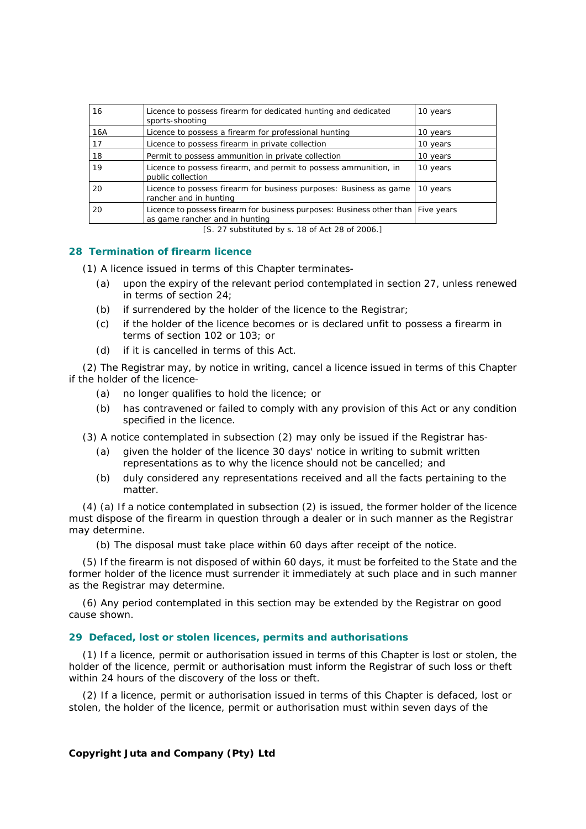| 16  | Licence to possess firearm for dedicated hunting and dedicated<br>sports-shooting                                    | 10 years |
|-----|----------------------------------------------------------------------------------------------------------------------|----------|
| 16A | Licence to possess a firearm for professional hunting                                                                | 10 years |
| 17  | Licence to possess firearm in private collection                                                                     | 10 years |
| 18  | Permit to possess ammunition in private collection                                                                   | 10 years |
| 19  | Licence to possess firearm, and permit to possess ammunition, in<br>public collection                                | 10 years |
| 20  | Licence to possess firearm for business purposes: Business as game<br>rancher and in hunting                         | 10 years |
| 20  | Licence to possess firearm for business purposes: Business other than   Five years<br>as game rancher and in hunting |          |

[S. 27 substituted by s. 18 of Act 28 of 2006.]

### **28 Termination of firearm licence**

(1) A licence issued in terms of this Chapter terminates-

- *(a)* upon the expiry of the relevant period contemplated in section 27, unless renewed in terms of section 24;
- *(b)* if surrendered by the holder of the licence to the Registrar;
- *(c)* if the holder of the licence becomes or is declared unfit to possess a firearm in terms of section 102 or 103; or
- *(d)* if it is cancelled in terms of this Act.

(2) The Registrar may, by notice in writing, cancel a licence issued in terms of this Chapter if the holder of the licence-

- *(a)* no longer qualifies to hold the licence; or
- *(b)* has contravened or failed to comply with any provision of this Act or any condition specified in the licence.
- (3) A notice contemplated in subsection (2) may only be issued if the Registrar has-
	- *(a)* given the holder of the licence 30 days' notice in writing to submit written representations as to why the licence should not be cancelled; and
	- *(b)* duly considered any representations received and all the facts pertaining to the matter.

(4) *(a)* If a notice contemplated in subsection (2) is issued, the former holder of the licence must dispose of the firearm in question through a dealer or in such manner as the Registrar may determine.

*(b)* The disposal must take place within 60 days after receipt of the notice.

(5) If the firearm is not disposed of within 60 days, it must be forfeited to the State and the former holder of the licence must surrender it immediately at such place and in such manner as the Registrar may determine.

(6) Any period contemplated in this section may be extended by the Registrar on good cause shown.

#### **29 Defaced, lost or stolen licences, permits and authorisations**

(1) If a licence, permit or authorisation issued in terms of this Chapter is lost or stolen, the holder of the licence, permit or authorisation must inform the Registrar of such loss or theft within 24 hours of the discovery of the loss or theft.

(2) If a licence, permit or authorisation issued in terms of this Chapter is defaced, lost or stolen, the holder of the licence, permit or authorisation must within seven days of the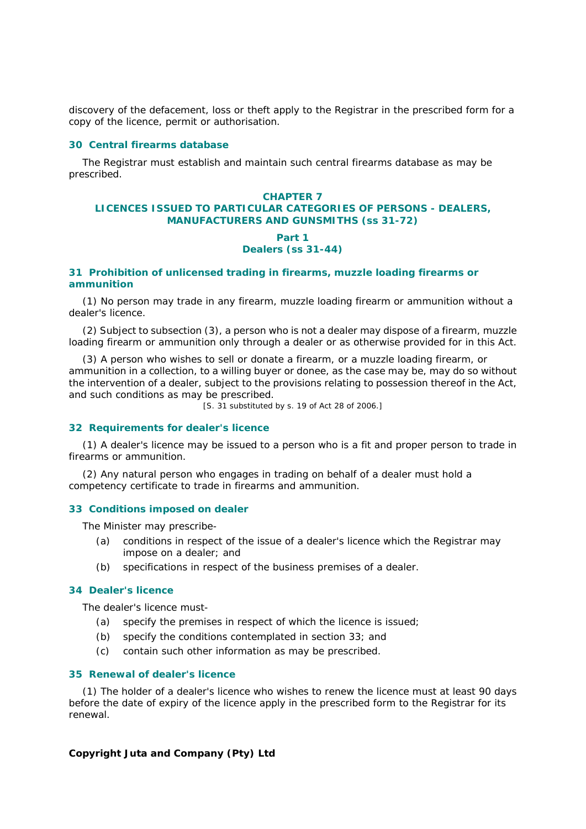discovery of the defacement, loss or theft apply to the Registrar in the prescribed form for a copy of the licence, permit or authorisation.

### **30 Central firearms database**

The Registrar must establish and maintain such central firearms database as may be prescribed.

### **CHAPTER 7 LICENCES ISSUED TO PARTICULAR CATEGORIES OF PERSONS - DEALERS, MANUFACTURERS AND GUNSMITHS (ss 31-72)**

### *Part 1 Dealers (ss 31-44)*

### **31 Prohibition of unlicensed trading in firearms, muzzle loading firearms or ammunition**

(1) No person may trade in any firearm, muzzle loading firearm or ammunition without a dealer's licence.

(2) Subject to subsection (3), a person who is not a dealer may dispose of a firearm, muzzle loading firearm or ammunition only through a dealer or as otherwise provided for in this Act.

(3) A person who wishes to sell or donate a firearm, or a muzzle loading firearm, or ammunition in a collection, to a willing buyer or donee, as the case may be, may do so without the intervention of a dealer, subject to the provisions relating to possession thereof in the Act, and such conditions as may be prescribed.

[S. 31 substituted by s. 19 of Act 28 of 2006.]

### **32 Requirements for dealer's licence**

(1) A dealer's licence may be issued to a person who is a fit and proper person to trade in firearms or ammunition.

(2) Any natural person who engages in trading on behalf of a dealer must hold a competency certificate to trade in firearms and ammunition.

### **33 Conditions imposed on dealer**

The Minister may prescribe-

- *(a)* conditions in respect of the issue of a dealer's licence which the Registrar may impose on a dealer; and
- *(b)* specifications in respect of the business premises of a dealer.

### **34 Dealer's licence**

The dealer's licence must-

- *(a)* specify the premises in respect of which the licence is issued;
- *(b)* specify the conditions contemplated in section 33; and
- *(c)* contain such other information as may be prescribed.

### **35 Renewal of dealer's licence**

(1) The holder of a dealer's licence who wishes to renew the licence must at least 90 days before the date of expiry of the licence apply in the prescribed form to the Registrar for its renewal.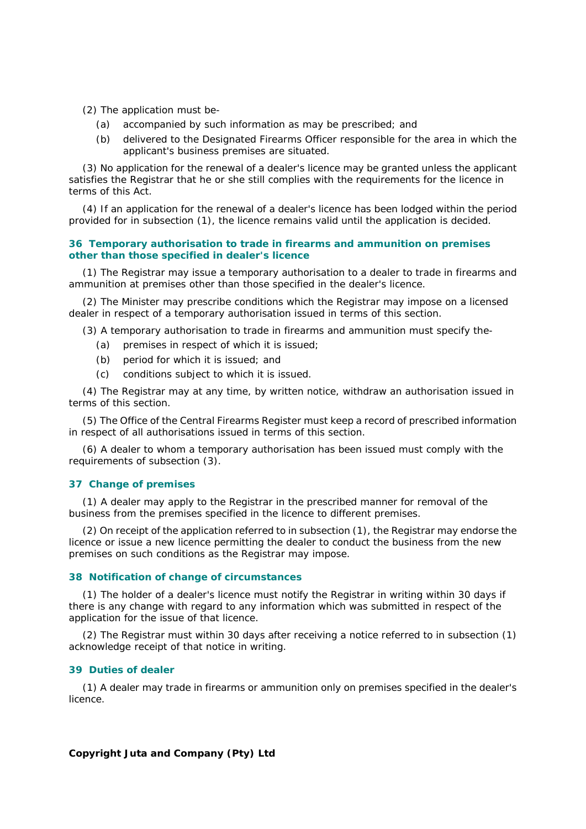- (2) The application must be-
	- *(a)* accompanied by such information as may be prescribed; and
	- *(b)* delivered to the Designated Firearms Officer responsible for the area in which the applicant's business premises are situated.

(3) No application for the renewal of a dealer's licence may be granted unless the applicant satisfies the Registrar that he or she still complies with the requirements for the licence in terms of this Act.

(4) If an application for the renewal of a dealer's licence has been lodged within the period provided for in subsection (1), the licence remains valid until the application is decided.

### **36 Temporary authorisation to trade in firearms and ammunition on premises other than those specified in dealer's licence**

(1) The Registrar may issue a temporary authorisation to a dealer to trade in firearms and ammunition at premises other than those specified in the dealer's licence.

(2) The Minister may prescribe conditions which the Registrar may impose on a licensed dealer in respect of a temporary authorisation issued in terms of this section.

(3) A temporary authorisation to trade in firearms and ammunition must specify the-

- *(a)* premises in respect of which it is issued;
- *(b)* period for which it is issued; and
- *(c)* conditions subject to which it is issued.

(4) The Registrar may at any time, by written notice, withdraw an authorisation issued in terms of this section.

(5) The Office of the Central Firearms Register must keep a record of prescribed information in respect of all authorisations issued in terms of this section.

(6) A dealer to whom a temporary authorisation has been issued must comply with the requirements of subsection (3).

### **37 Change of premises**

(1) A dealer may apply to the Registrar in the prescribed manner for removal of the business from the premises specified in the licence to different premises.

(2) On receipt of the application referred to in subsection (1), the Registrar may endorse the licence or issue a new licence permitting the dealer to conduct the business from the new premises on such conditions as the Registrar may impose.

#### **38 Notification of change of circumstances**

(1) The holder of a dealer's licence must notify the Registrar in writing within 30 days if there is any change with regard to any information which was submitted in respect of the application for the issue of that licence.

(2) The Registrar must within 30 days after receiving a notice referred to in subsection (1) acknowledge receipt of that notice in writing.

### **39 Duties of dealer**

(1) A dealer may trade in firearms or ammunition only on premises specified in the dealer's licence.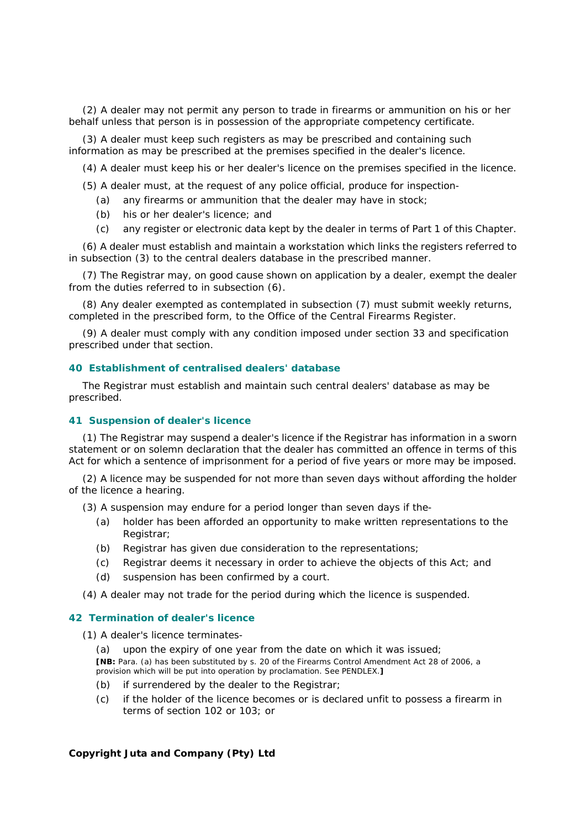(2) A dealer may not permit any person to trade in firearms or ammunition on his or her behalf unless that person is in possession of the appropriate competency certificate.

(3) A dealer must keep such registers as may be prescribed and containing such information as may be prescribed at the premises specified in the dealer's licence.

(4) A dealer must keep his or her dealer's licence on the premises specified in the licence.

(5) A dealer must, at the request of any police official, produce for inspection-

- *(a)* any firearms or ammunition that the dealer may have in stock;
- *(b)* his or her dealer's licence; and
- *(c)* any register or electronic data kept by the dealer in terms of Part 1 of this Chapter.

(6) A dealer must establish and maintain a workstation which links the registers referred to in subsection (3) to the central dealers database in the prescribed manner.

(7) The Registrar may, on good cause shown on application by a dealer, exempt the dealer from the duties referred to in subsection (6).

(8) Any dealer exempted as contemplated in subsection (7) must submit weekly returns, completed in the prescribed form, to the Office of the Central Firearms Register.

(9) A dealer must comply with any condition imposed under section 33 and specification prescribed under that section.

### **40 Establishment of centralised dealers' database**

The Registrar must establish and maintain such central dealers' database as may be prescribed.

#### **41 Suspension of dealer's licence**

(1) The Registrar may suspend a dealer's licence if the Registrar has information in a sworn statement or on solemn declaration that the dealer has committed an offence in terms of this Act for which a sentence of imprisonment for a period of five years or more may be imposed.

(2) A licence may be suspended for not more than seven days without affording the holder of the licence a hearing.

(3) A suspension may endure for a period longer than seven days if the-

- *(a)* holder has been afforded an opportunity to make written representations to the Registrar;
- *(b)* Registrar has given due consideration to the representations;
- *(c)* Registrar deems it necessary in order to achieve the objects of this Act; and
- *(d)* suspension has been confirmed by a court.

(4) A dealer may not trade for the period during which the licence is suspended.

### **42 Termination of dealer's licence**

(1) A dealer's licence terminates-

*(a)* upon the expiry of one year from the date on which it was issued;

**[NB:** Para. *(a)* has been substituted by s. 20 of the Firearms Control Amendment Act 28 of 2006, a provision which will be put into operation by proclamation. See PENDLEX.**]**

- *(b)* if surrendered by the dealer to the Registrar;
- *(c)* if the holder of the licence becomes or is declared unfit to possess a firearm in terms of section 102 or 103; or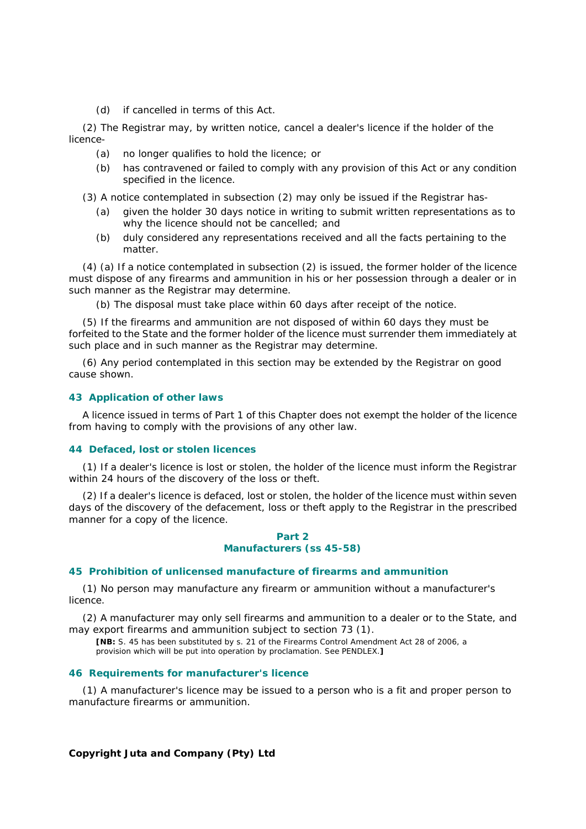*(d)* if cancelled in terms of this Act.

(2) The Registrar may, by written notice, cancel a dealer's licence if the holder of the licence-

- *(a)* no longer qualifies to hold the licence; or
- *(b)* has contravened or failed to comply with any provision of this Act or any condition specified in the licence.
- (3) A notice contemplated in subsection (2) may only be issued if the Registrar has-
	- *(a)* given the holder 30 days notice in writing to submit written representations as to why the licence should not be cancelled; and
	- *(b)* duly considered any representations received and all the facts pertaining to the matter.

(4) *(a)* If a notice contemplated in subsection (2) is issued, the former holder of the licence must dispose of any firearms and ammunition in his or her possession through a dealer or in such manner as the Registrar may determine.

*(b)* The disposal must take place within 60 days after receipt of the notice.

(5) If the firearms and ammunition are not disposed of within 60 days they must be forfeited to the State and the former holder of the licence must surrender them immediately at such place and in such manner as the Registrar may determine.

(6) Any period contemplated in this section may be extended by the Registrar on good cause shown.

#### **43 Application of other laws**

A licence issued in terms of Part 1 of this Chapter does not exempt the holder of the licence from having to comply with the provisions of any other law.

#### **44 Defaced, lost or stolen licences**

(1) If a dealer's licence is lost or stolen, the holder of the licence must inform the Registrar within 24 hours of the discovery of the loss or theft.

(2) If a dealer's licence is defaced, lost or stolen, the holder of the licence must within seven days of the discovery of the defacement, loss or theft apply to the Registrar in the prescribed manner for a copy of the licence.

### *Part 2 Manufacturers (ss 45-58)*

### **45 Prohibition of unlicensed manufacture of firearms and ammunition**

(1) No person may manufacture any firearm or ammunition without a manufacturer's licence.

(2) A manufacturer may only sell firearms and ammunition to a dealer or to the State, and may export firearms and ammunition subject to section 73 (1).

**[NB:** S. 45 has been substituted by s. 21 of the Firearms Control Amendment Act 28 of 2006, a provision which will be put into operation by proclamation. See PENDLEX.**]**

### **46 Requirements for manufacturer's licence**

(1) A manufacturer's licence may be issued to a person who is a fit and proper person to manufacture firearms or ammunition.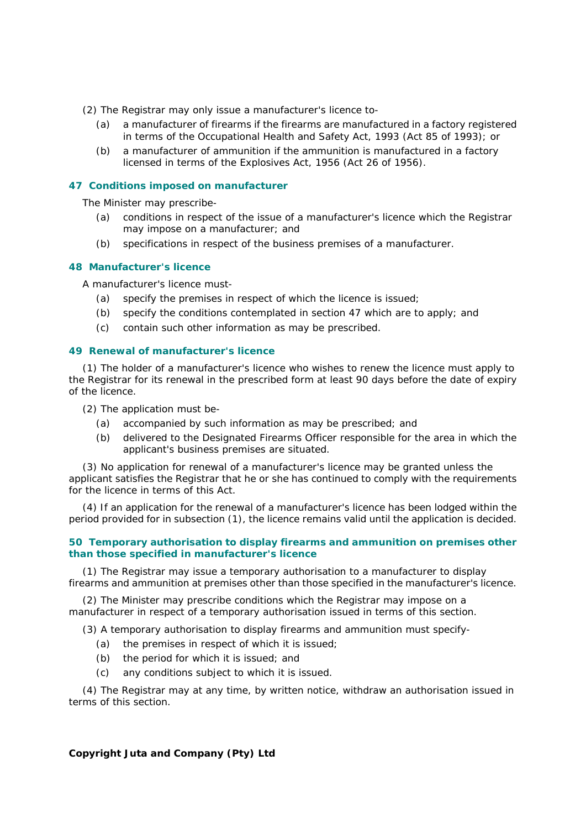- (2) The Registrar may only issue a manufacturer's licence to-
	- *(a)* a manufacturer of firearms if the firearms are manufactured in a factory registered in terms of the Occupational Health and Safety Act, 1993 (Act 85 of 1993); or
	- *(b)* a manufacturer of ammunition if the ammunition is manufactured in a factory licensed in terms of the Explosives Act, 1956 (Act 26 of 1956).

### **47 Conditions imposed on manufacturer**

The Minister may prescribe-

- *(a)* conditions in respect of the issue of a manufacturer's licence which the Registrar may impose on a manufacturer; and
- *(b)* specifications in respect of the business premises of a manufacturer.

### **48 Manufacturer's licence**

A manufacturer's licence must-

- *(a)* specify the premises in respect of which the licence is issued;
- *(b)* specify the conditions contemplated in section 47 which are to apply; and
- *(c)* contain such other information as may be prescribed.

#### **49 Renewal of manufacturer's licence**

(1) The holder of a manufacturer's licence who wishes to renew the licence must apply to the Registrar for its renewal in the prescribed form at least 90 days before the date of expiry of the licence.

- (2) The application must be-
	- *(a)* accompanied by such information as may be prescribed; and
	- *(b)* delivered to the Designated Firearms Officer responsible for the area in which the applicant's business premises are situated.

(3) No application for renewal of a manufacturer's licence may be granted unless the applicant satisfies the Registrar that he or she has continued to comply with the requirements for the licence in terms of this Act.

(4) If an application for the renewal of a manufacturer's licence has been lodged within the period provided for in subsection (1), the licence remains valid until the application is decided.

### **50 Temporary authorisation to display firearms and ammunition on premises other than those specified in manufacturer's licence**

(1) The Registrar may issue a temporary authorisation to a manufacturer to display firearms and ammunition at premises other than those specified in the manufacturer's licence.

(2) The Minister may prescribe conditions which the Registrar may impose on a manufacturer in respect of a temporary authorisation issued in terms of this section.

(3) A temporary authorisation to display firearms and ammunition must specify-

- *(a)* the premises in respect of which it is issued;
- *(b)* the period for which it is issued; and
- *(c)* any conditions subject to which it is issued.

(4) The Registrar may at any time, by written notice, withdraw an authorisation issued in terms of this section.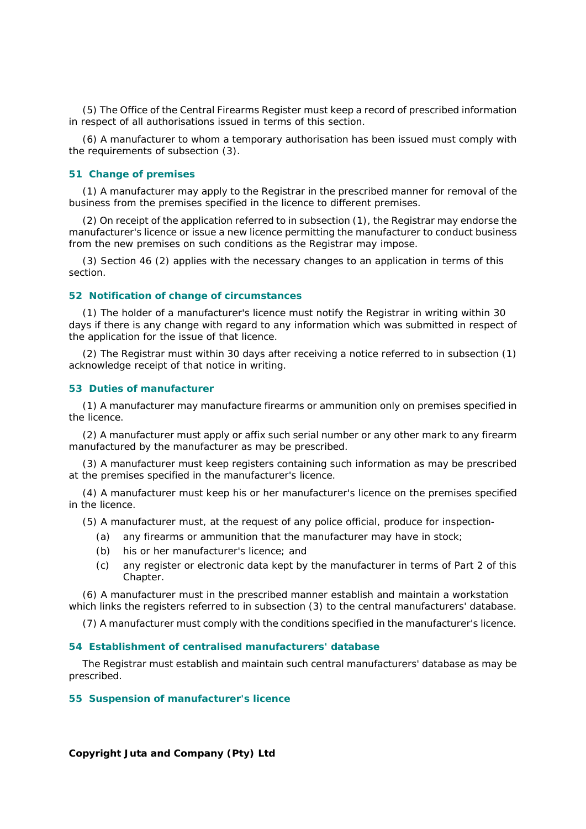(5) The Office of the Central Firearms Register must keep a record of prescribed information in respect of all authorisations issued in terms of this section.

(6) A manufacturer to whom a temporary authorisation has been issued must comply with the requirements of subsection (3).

### **51 Change of premises**

(1) A manufacturer may apply to the Registrar in the prescribed manner for removal of the business from the premises specified in the licence to different premises.

(2) On receipt of the application referred to in subsection (1), the Registrar may endorse the manufacturer's licence or issue a new licence permitting the manufacturer to conduct business from the new premises on such conditions as the Registrar may impose.

(3) Section 46 (2) applies with the necessary changes to an application in terms of this section.

#### **52 Notification of change of circumstances**

(1) The holder of a manufacturer's licence must notify the Registrar in writing within 30 days if there is any change with regard to any information which was submitted in respect of the application for the issue of that licence.

(2) The Registrar must within 30 days after receiving a notice referred to in subsection (1) acknowledge receipt of that notice in writing.

#### **53 Duties of manufacturer**

(1) A manufacturer may manufacture firearms or ammunition only on premises specified in the licence.

(2) A manufacturer must apply or affix such serial number or any other mark to any firearm manufactured by the manufacturer as may be prescribed.

(3) A manufacturer must keep registers containing such information as may be prescribed at the premises specified in the manufacturer's licence.

(4) A manufacturer must keep his or her manufacturer's licence on the premises specified in the licence.

(5) A manufacturer must, at the request of any police official, produce for inspection-

- *(a)* any firearms or ammunition that the manufacturer may have in stock;
- *(b)* his or her manufacturer's licence; and
- *(c)* any register or electronic data kept by the manufacturer in terms of Part 2 of this Chapter.

(6) A manufacturer must in the prescribed manner establish and maintain a workstation which links the registers referred to in subsection (3) to the central manufacturers' database.

(7) A manufacturer must comply with the conditions specified in the manufacturer's licence.

### **54 Establishment of centralised manufacturers' database**

The Registrar must establish and maintain such central manufacturers' database as may be prescribed.

#### **55 Suspension of manufacturer's licence**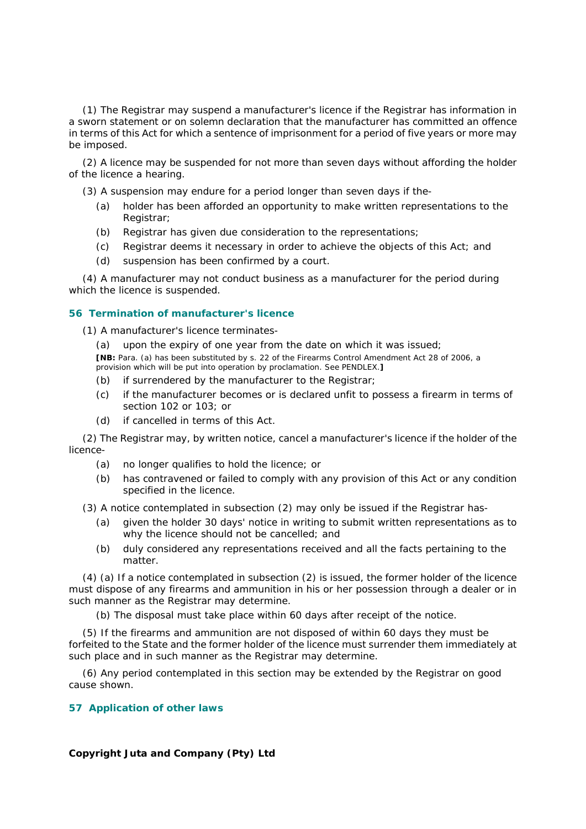(1) The Registrar may suspend a manufacturer's licence if the Registrar has information in a sworn statement or on solemn declaration that the manufacturer has committed an offence in terms of this Act for which a sentence of imprisonment for a period of five years or more may be imposed.

(2) A licence may be suspended for not more than seven days without affording the holder of the licence a hearing.

(3) A suspension may endure for a period longer than seven days if the-

- *(a)* holder has been afforded an opportunity to make written representations to the Registrar;
- *(b)* Registrar has given due consideration to the representations;
- *(c)* Registrar deems it necessary in order to achieve the objects of this Act; and
- *(d)* suspension has been confirmed by a court.

(4) A manufacturer may not conduct business as a manufacturer for the period during which the licence is suspended.

### **56 Termination of manufacturer's licence**

(1) A manufacturer's licence terminates-

*(a)* upon the expiry of one year from the date on which it was issued;

**[NB:** Para. *(a)* has been substituted by s. 22 of the Firearms Control Amendment Act 28 of 2006, a provision which will be put into operation by proclamation. See PENDLEX.**]**

- *(b)* if surrendered by the manufacturer to the Registrar;
- *(c)* if the manufacturer becomes or is declared unfit to possess a firearm in terms of section 102 or 103; or
- *(d)* if cancelled in terms of this Act.

(2) The Registrar may, by written notice, cancel a manufacturer's licence if the holder of the licence-

- *(a)* no longer qualifies to hold the licence; or
- *(b)* has contravened or failed to comply with any provision of this Act or any condition specified in the licence.

(3) A notice contemplated in subsection (2) may only be issued if the Registrar has-

- *(a)* given the holder 30 days' notice in writing to submit written representations as to why the licence should not be cancelled; and
- *(b)* duly considered any representations received and all the facts pertaining to the matter.

(4) *(a)* If a notice contemplated in subsection (2) is issued, the former holder of the licence must dispose of any firearms and ammunition in his or her possession through a dealer or in such manner as the Registrar may determine.

*(b)* The disposal must take place within 60 days after receipt of the notice.

(5) If the firearms and ammunition are not disposed of within 60 days they must be forfeited to the State and the former holder of the licence must surrender them immediately at such place and in such manner as the Registrar may determine.

(6) Any period contemplated in this section may be extended by the Registrar on good cause shown.

### **57 Application of other laws**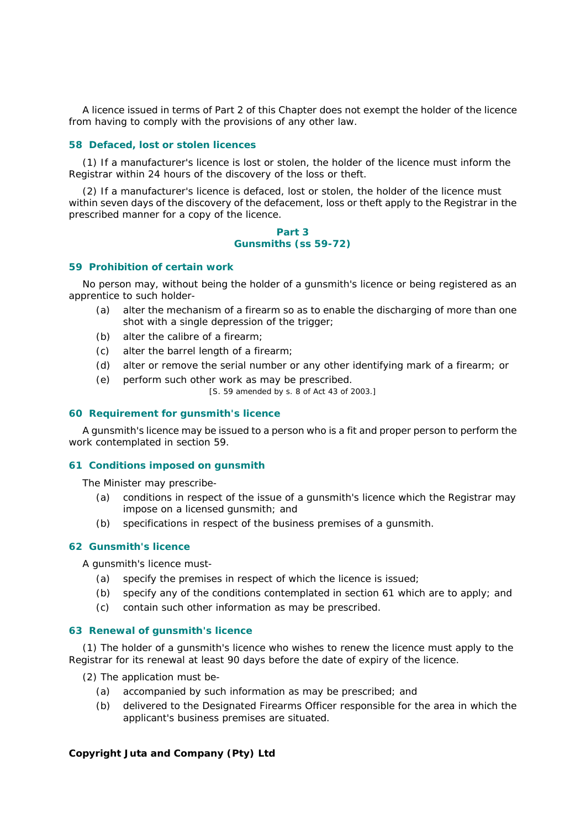A licence issued in terms of Part 2 of this Chapter does not exempt the holder of the licence from having to comply with the provisions of any other law.

### **58 Defaced, lost or stolen licences**

(1) If a manufacturer's licence is lost or stolen, the holder of the licence must inform the Registrar within 24 hours of the discovery of the loss or theft.

(2) If a manufacturer's licence is defaced, lost or stolen, the holder of the licence must within seven days of the discovery of the defacement, loss or theft apply to the Registrar in the prescribed manner for a copy of the licence.

#### *Part 3 Gunsmiths (ss 59-72)*

#### **59 Prohibition of certain work**

No person may, without being the holder of a gunsmith's licence or being registered as an apprentice to such holder-

- *(a)* alter the mechanism of a firearm so as to enable the discharging of more than one shot with a single depression of the trigger;
- *(b)* alter the calibre of a firearm;
- *(c)* alter the barrel length of a firearm;
- *(d)* alter or remove the serial number or any other identifying mark of a firearm; or
- *(e)* perform such other work as may be prescribed.

[S. 59 amended by s. 8 of Act 43 of 2003.]

### **60 Requirement for gunsmith's licence**

A gunsmith's licence may be issued to a person who is a fit and proper person to perform the work contemplated in section 59.

### **61 Conditions imposed on gunsmith**

The Minister may prescribe-

- *(a)* conditions in respect of the issue of a gunsmith's licence which the Registrar may impose on a licensed gunsmith; and
- *(b)* specifications in respect of the business premises of a gunsmith.

### **62 Gunsmith's licence**

A gunsmith's licence must-

- *(a)* specify the premises in respect of which the licence is issued;
- *(b)* specify any of the conditions contemplated in section 61 which are to apply; and
- *(c)* contain such other information as may be prescribed.

#### **63 Renewal of gunsmith's licence**

(1) The holder of a gunsmith's licence who wishes to renew the licence must apply to the Registrar for its renewal at least 90 days before the date of expiry of the licence.

(2) The application must be-

- *(a)* accompanied by such information as may be prescribed; and
- *(b)* delivered to the Designated Firearms Officer responsible for the area in which the applicant's business premises are situated.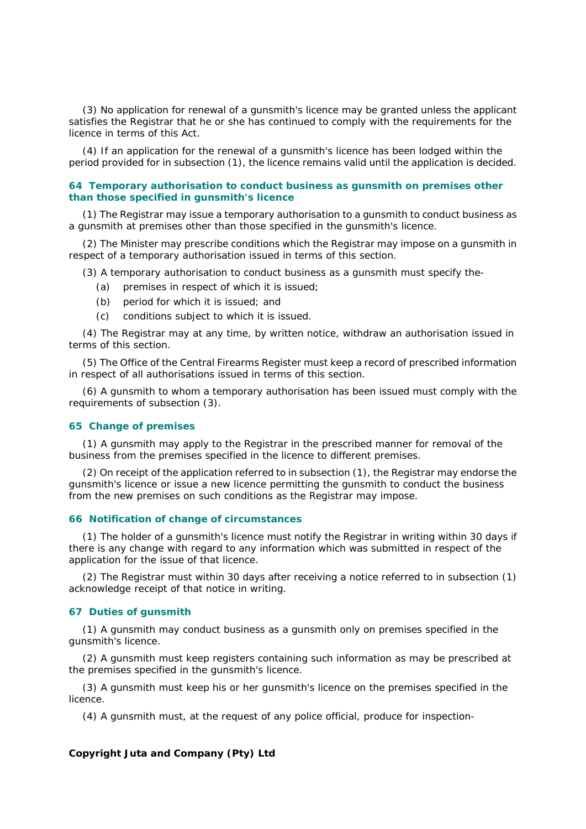(3) No application for renewal of a gunsmith's licence may be granted unless the applicant satisfies the Registrar that he or she has continued to comply with the requirements for the licence in terms of this Act.

(4) If an application for the renewal of a gunsmith's licence has been lodged within the period provided for in subsection (1), the licence remains valid until the application is decided.

### **64 Temporary authorisation to conduct business as gunsmith on premises other than those specified in gunsmith's licence**

(1) The Registrar may issue a temporary authorisation to a gunsmith to conduct business as a gunsmith at premises other than those specified in the gunsmith's licence.

(2) The Minister may prescribe conditions which the Registrar may impose on a gunsmith in respect of a temporary authorisation issued in terms of this section.

(3) A temporary authorisation to conduct business as a gunsmith must specify the-

- *(a)* premises in respect of which it is issued;
- *(b)* period for which it is issued; and
- *(c)* conditions subject to which it is issued.

(4) The Registrar may at any time, by written notice, withdraw an authorisation issued in terms of this section.

(5) The Office of the Central Firearms Register must keep a record of prescribed information in respect of all authorisations issued in terms of this section.

(6) A gunsmith to whom a temporary authorisation has been issued must comply with the requirements of subsection (3).

### **65 Change of premises**

(1) A gunsmith may apply to the Registrar in the prescribed manner for removal of the business from the premises specified in the licence to different premises.

(2) On receipt of the application referred to in subsection (1), the Registrar may endorse the gunsmith's licence or issue a new licence permitting the gunsmith to conduct the business from the new premises on such conditions as the Registrar may impose.

#### **66 Notification of change of circumstances**

(1) The holder of a gunsmith's licence must notify the Registrar in writing within 30 days if there is any change with regard to any information which was submitted in respect of the application for the issue of that licence.

(2) The Registrar must within 30 days after receiving a notice referred to in subsection (1) acknowledge receipt of that notice in writing.

### **67 Duties of gunsmith**

(1) A gunsmith may conduct business as a gunsmith only on premises specified in the gunsmith's licence.

(2) A gunsmith must keep registers containing such information as may be prescribed at the premises specified in the gunsmith's licence.

(3) A gunsmith must keep his or her gunsmith's licence on the premises specified in the licence.

(4) A gunsmith must, at the request of any police official, produce for inspection-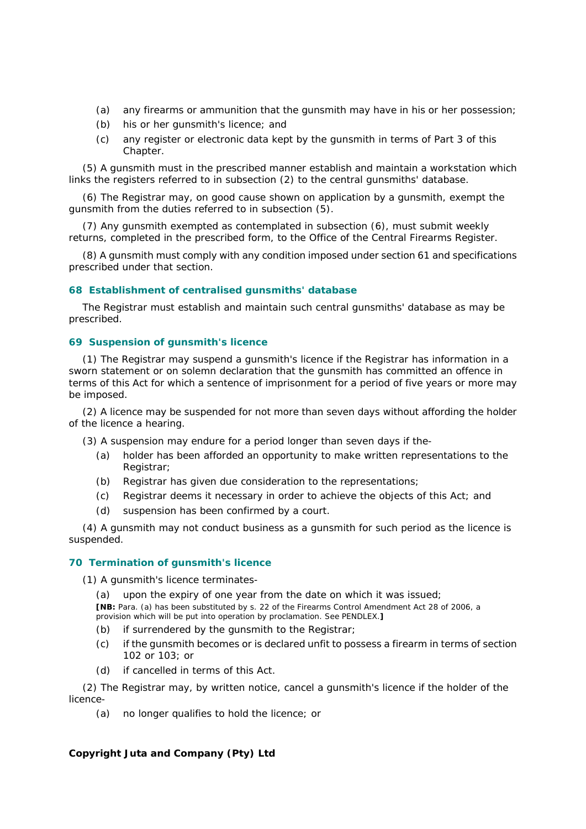- *(a)* any firearms or ammunition that the gunsmith may have in his or her possession;
- *(b)* his or her gunsmith's licence; and
- *(c)* any register or electronic data kept by the gunsmith in terms of Part 3 of this Chapter.

(5) A gunsmith must in the prescribed manner establish and maintain a workstation which links the registers referred to in subsection (2) to the central gunsmiths' database.

(6) The Registrar may, on good cause shown on application by a gunsmith, exempt the gunsmith from the duties referred to in subsection (5).

(7) Any gunsmith exempted as contemplated in subsection (6), must submit weekly returns, completed in the prescribed form, to the Office of the Central Firearms Register.

(8) A gunsmith must comply with any condition imposed under section 61 and specifications prescribed under that section.

### **68 Establishment of centralised gunsmiths' database**

The Registrar must establish and maintain such central gunsmiths' database as may be prescribed.

### **69 Suspension of gunsmith's licence**

(1) The Registrar may suspend a gunsmith's licence if the Registrar has information in a sworn statement or on solemn declaration that the gunsmith has committed an offence in terms of this Act for which a sentence of imprisonment for a period of five years or more may be imposed.

(2) A licence may be suspended for not more than seven days without affording the holder of the licence a hearing.

- (3) A suspension may endure for a period longer than seven days if the-
	- *(a)* holder has been afforded an opportunity to make written representations to the Registrar;
	- *(b)* Registrar has given due consideration to the representations;
	- *(c)* Registrar deems it necessary in order to achieve the objects of this Act; and
	- *(d)* suspension has been confirmed by a court.

(4) A gunsmith may not conduct business as a gunsmith for such period as the licence is suspended.

### **70 Termination of gunsmith's licence**

(1) A gunsmith's licence terminates-

- *(a)* upon the expiry of one year from the date on which it was issued; **[NB:** Para. *(a)* has been substituted by s. 22 of the Firearms Control Amendment Act 28 of 2006, a provision which will be put into operation by proclamation. See PENDLEX.**]**
- *(b)* if surrendered by the gunsmith to the Registrar;
- *(c)* if the gunsmith becomes or is declared unfit to possess a firearm in terms of section 102 or 103; or
- *(d)* if cancelled in terms of this Act.

(2) The Registrar may, by written notice, cancel a gunsmith's licence if the holder of the licence-

*(a)* no longer qualifies to hold the licence; or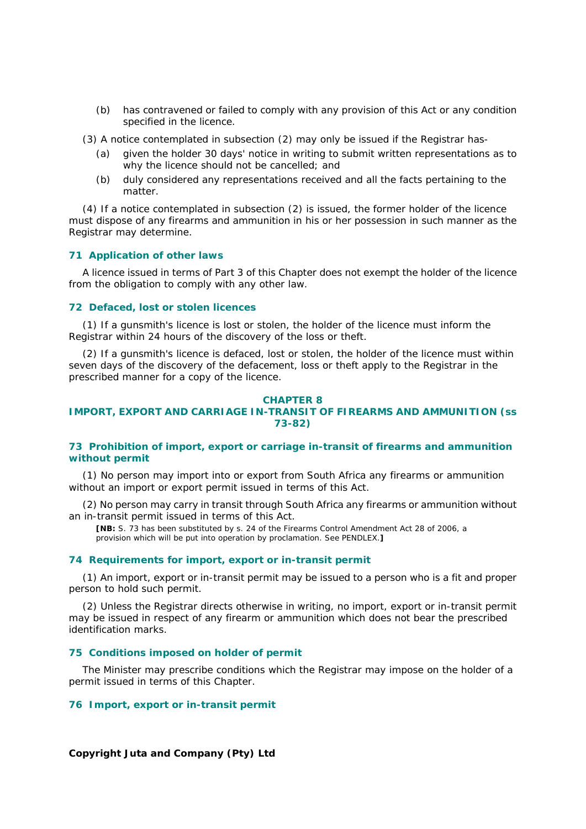*(b)* has contravened or failed to comply with any provision of this Act or any condition specified in the licence.

(3) A notice contemplated in subsection (2) may only be issued if the Registrar has-

- *(a)* given the holder 30 days' notice in writing to submit written representations as to why the licence should not be cancelled; and
- *(b)* duly considered any representations received and all the facts pertaining to the matter.

(4) If a notice contemplated in subsection (2) is issued, the former holder of the licence must dispose of any firearms and ammunition in his or her possession in such manner as the Registrar may determine.

#### **71 Application of other laws**

A licence issued in terms of Part 3 of this Chapter does not exempt the holder of the licence from the obligation to comply with any other law.

### **72 Defaced, lost or stolen licences**

(1) If a gunsmith's licence is lost or stolen, the holder of the licence must inform the Registrar within 24 hours of the discovery of the loss or theft.

(2) If a gunsmith's licence is defaced, lost or stolen, the holder of the licence must within seven days of the discovery of the defacement, loss or theft apply to the Registrar in the prescribed manner for a copy of the licence.

### **CHAPTER 8 IMPORT, EXPORT AND CARRIAGE IN-TRANSIT OF FIREARMS AND AMMUNITION (ss 73-82)**

### **73 Prohibition of import, export or carriage in-transit of firearms and ammunition without permit**

(1) No person may import into or export from South Africa any firearms or ammunition without an import or export permit issued in terms of this Act.

(2) No person may carry in transit through South Africa any firearms or ammunition without an in-transit permit issued in terms of this Act.

**[NB:** S. 73 has been substituted by s. 24 of the Firearms Control Amendment Act 28 of 2006, a provision which will be put into operation by proclamation. See PENDLEX.**]**

### **74 Requirements for import, export or in-transit permit**

(1) An import, export or in-transit permit may be issued to a person who is a fit and proper person to hold such permit.

(2) Unless the Registrar directs otherwise in writing, no import, export or in-transit permit may be issued in respect of any firearm or ammunition which does not bear the prescribed identification marks.

### **75 Conditions imposed on holder of permit**

The Minister may prescribe conditions which the Registrar may impose on the holder of a permit issued in terms of this Chapter.

### **76 Import, export or in-transit permit**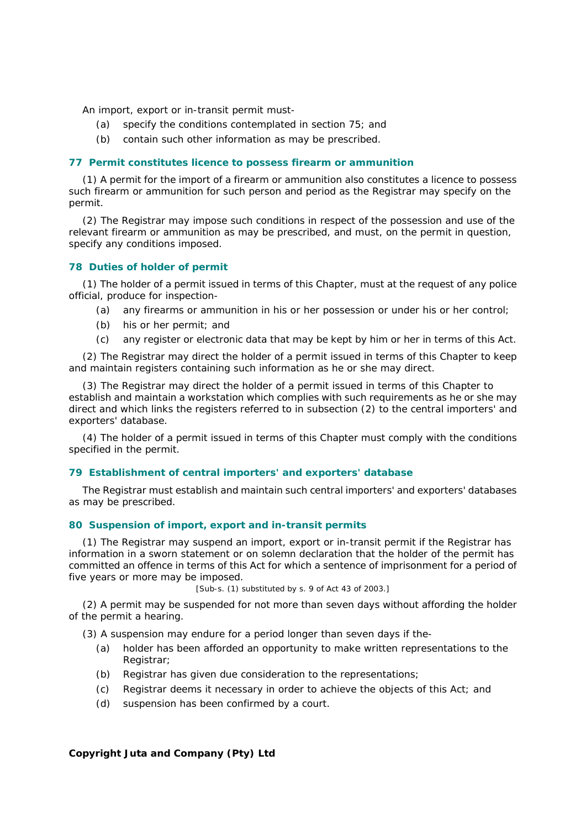An import, export or in-transit permit must-

- *(a)* specify the conditions contemplated in section 75; and
- *(b)* contain such other information as may be prescribed.

### **77 Permit constitutes licence to possess firearm or ammunition**

(1) A permit for the import of a firearm or ammunition also constitutes a licence to possess such firearm or ammunition for such person and period as the Registrar may specify on the permit.

(2) The Registrar may impose such conditions in respect of the possession and use of the relevant firearm or ammunition as may be prescribed, and must, on the permit in question, specify any conditions imposed.

## **78 Duties of holder of permit**

(1) The holder of a permit issued in terms of this Chapter, must at the request of any police official, produce for inspection-

- *(a)* any firearms or ammunition in his or her possession or under his or her control;
- *(b)* his or her permit; and
- *(c)* any register or electronic data that may be kept by him or her in terms of this Act.

(2) The Registrar may direct the holder of a permit issued in terms of this Chapter to keep and maintain registers containing such information as he or she may direct.

(3) The Registrar may direct the holder of a permit issued in terms of this Chapter to establish and maintain a workstation which complies with such requirements as he or she may direct and which links the registers referred to in subsection (2) to the central importers' and exporters' database.

(4) The holder of a permit issued in terms of this Chapter must comply with the conditions specified in the permit.

### **79 Establishment of central importers' and exporters' database**

The Registrar must establish and maintain such central importers' and exporters' databases as may be prescribed.

### **80 Suspension of import, export and in-transit permits**

(1) The Registrar may suspend an import, export or in-transit permit if the Registrar has information in a sworn statement or on solemn declaration that the holder of the permit has committed an offence in terms of this Act for which a sentence of imprisonment for a period of five years or more may be imposed.

[Sub-s. (1) substituted by s. 9 of Act 43 of 2003.]

(2) A permit may be suspended for not more than seven days without affording the holder of the permit a hearing.

(3) A suspension may endure for a period longer than seven days if the-

- *(a)* holder has been afforded an opportunity to make written representations to the Registrar;
- *(b)* Registrar has given due consideration to the representations;
- *(c)* Registrar deems it necessary in order to achieve the objects of this Act; and
- *(d)* suspension has been confirmed by a court.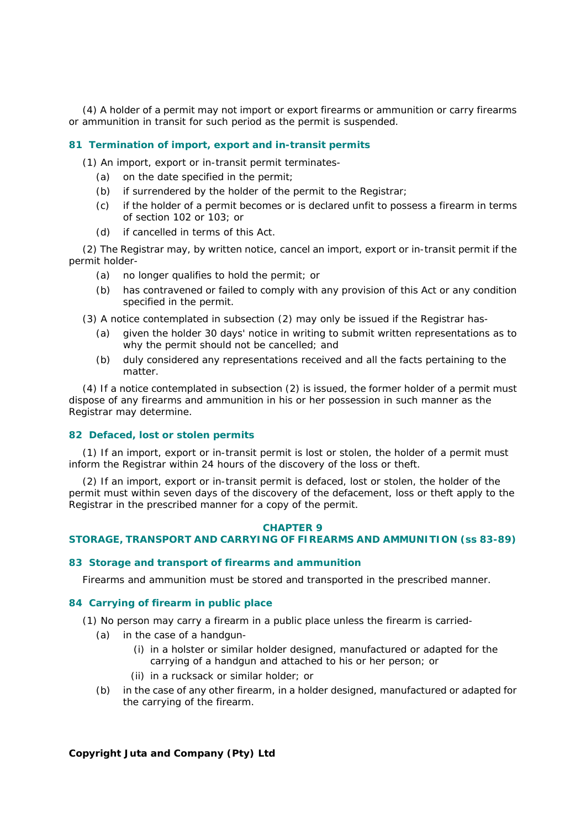(4) A holder of a permit may not import or export firearms or ammunition or carry firearms or ammunition in transit for such period as the permit is suspended.

# **81 Termination of import, export and in-transit permits**

(1) An import, export or in-transit permit terminates-

- *(a)* on the date specified in the permit;
- *(b)* if surrendered by the holder of the permit to the Registrar;
- *(c)* if the holder of a permit becomes or is declared unfit to possess a firearm in terms of section 102 or 103; or
- *(d)* if cancelled in terms of this Act.

(2) The Registrar may, by written notice, cancel an import, export or in-transit permit if the permit holder-

- *(a)* no longer qualifies to hold the permit; or
- *(b)* has contravened or failed to comply with any provision of this Act or any condition specified in the permit.

(3) A notice contemplated in subsection (2) may only be issued if the Registrar has-

- *(a)* given the holder 30 days' notice in writing to submit written representations as to why the permit should not be cancelled; and
- *(b)* duly considered any representations received and all the facts pertaining to the matter.

(4) If a notice contemplated in subsection (2) is issued, the former holder of a permit must dispose of any firearms and ammunition in his or her possession in such manner as the Registrar may determine.

# **82 Defaced, lost or stolen permits**

(1) If an import, export or in-transit permit is lost or stolen, the holder of a permit must inform the Registrar within 24 hours of the discovery of the loss or theft.

(2) If an import, export or in-transit permit is defaced, lost or stolen, the holder of the permit must within seven days of the discovery of the defacement, loss or theft apply to the Registrar in the prescribed manner for a copy of the permit.

#### **CHAPTER 9**

## **STORAGE, TRANSPORT AND CARRYING OF FIREARMS AND AMMUNITION (ss 83-89)**

#### **83 Storage and transport of firearms and ammunition**

Firearms and ammunition must be stored and transported in the prescribed manner.

### **84 Carrying of firearm in public place**

(1) No person may carry a firearm in a public place unless the firearm is carried-

- *(a)* in the case of a handgun-
	- (i) in a holster or similar holder designed, manufactured or adapted for the carrying of a handgun and attached to his or her person; or
	- (ii) in a rucksack or similar holder; or
- *(b)* in the case of any other firearm, in a holder designed, manufactured or adapted for the carrying of the firearm.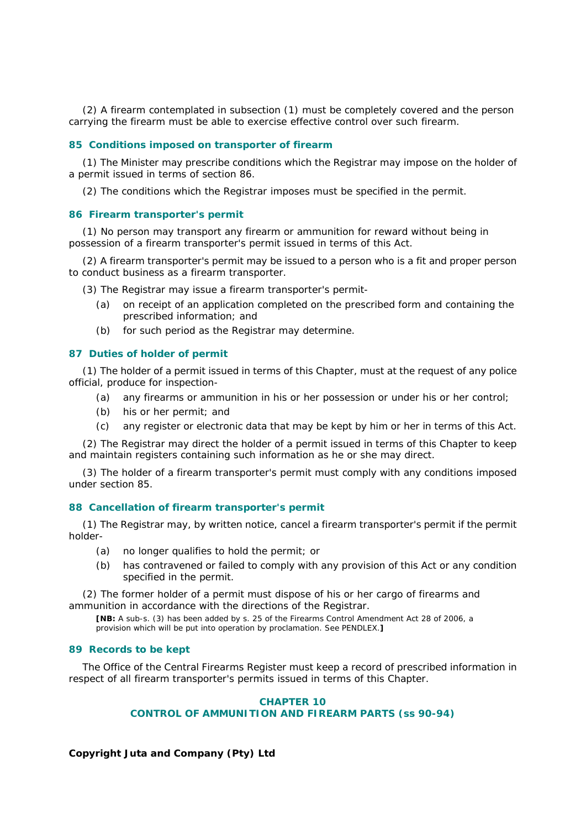(2) A firearm contemplated in subsection (1) must be completely covered and the person carrying the firearm must be able to exercise effective control over such firearm.

#### **85 Conditions imposed on transporter of firearm**

(1) The Minister may prescribe conditions which the Registrar may impose on the holder of a permit issued in terms of section 86.

(2) The conditions which the Registrar imposes must be specified in the permit.

#### **86 Firearm transporter's permit**

(1) No person may transport any firearm or ammunition for reward without being in possession of a firearm transporter's permit issued in terms of this Act.

(2) A firearm transporter's permit may be issued to a person who is a fit and proper person to conduct business as a firearm transporter.

(3) The Registrar may issue a firearm transporter's permit-

- *(a)* on receipt of an application completed on the prescribed form and containing the prescribed information; and
- *(b)* for such period as the Registrar may determine.

#### **87 Duties of holder of permit**

(1) The holder of a permit issued in terms of this Chapter, must at the request of any police official, produce for inspection-

- *(a)* any firearms or ammunition in his or her possession or under his or her control;
- *(b)* his or her permit; and
- *(c)* any register or electronic data that may be kept by him or her in terms of this Act.

(2) The Registrar may direct the holder of a permit issued in terms of this Chapter to keep and maintain registers containing such information as he or she may direct.

(3) The holder of a firearm transporter's permit must comply with any conditions imposed under section 85.

#### **88 Cancellation of firearm transporter's permit**

(1) The Registrar may, by written notice, cancel a firearm transporter's permit if the permit holder-

- *(a)* no longer qualifies to hold the permit; or
- *(b)* has contravened or failed to comply with any provision of this Act or any condition specified in the permit.

(2) The former holder of a permit must dispose of his or her cargo of firearms and ammunition in accordance with the directions of the Registrar.

**[NB:** A sub-s. (3) has been added by s. 25 of the Firearms Control Amendment Act 28 of 2006, a provision which will be put into operation by proclamation. See PENDLEX.**]**

#### **89 Records to be kept**

The Office of the Central Firearms Register must keep a record of prescribed information in respect of all firearm transporter's permits issued in terms of this Chapter.

### **CHAPTER 10 CONTROL OF AMMUNITION AND FIREARM PARTS (ss 90-94)**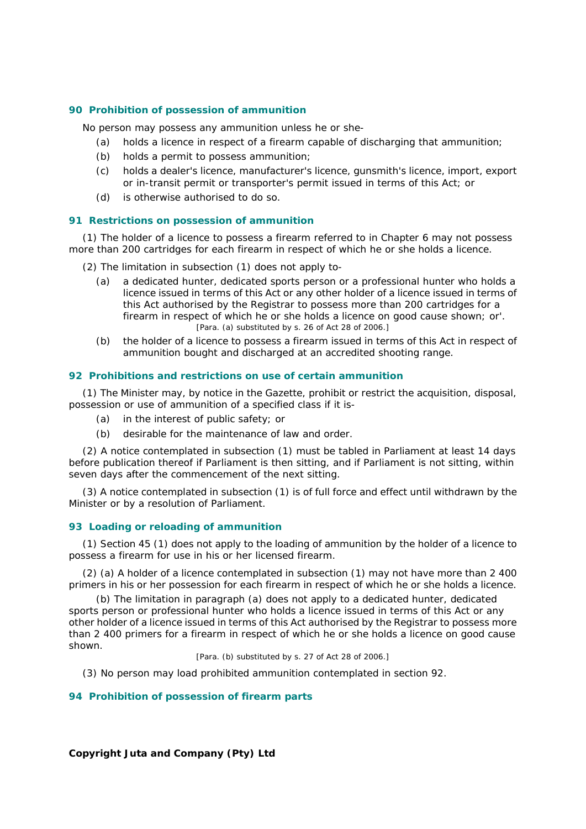#### **90 Prohibition of possession of ammunition**

No person may possess any ammunition unless he or she-

- *(a)* holds a licence in respect of a firearm capable of discharging that ammunition;
- *(b)* holds a permit to possess ammunition;
- *(c)* holds a dealer's licence, manufacturer's licence, gunsmith's licence, import, export or in-transit permit or transporter's permit issued in terms of this Act; or
- *(d)* is otherwise authorised to do so.

#### **91 Restrictions on possession of ammunition**

(1) The holder of a licence to possess a firearm referred to in Chapter 6 may not possess more than 200 cartridges for each firearm in respect of which he or she holds a licence.

- (2) The limitation in subsection (1) does not apply to-
	- *(a)* a dedicated hunter, dedicated sports person or a professional hunter who holds a licence issued in terms of this Act or any other holder of a licence issued in terms of this Act authorised by the Registrar to possess more than 200 cartridges for a firearm in respect of which he or she holds a licence on good cause shown; or'. [Para. *(a)* substituted by s. 26 of Act 28 of 2006.]
	- *(b)* the holder of a licence to possess a firearm issued in terms of this Act in respect of ammunition bought and discharged at an accredited shooting range.

#### **92 Prohibitions and restrictions on use of certain ammunition**

(1) The Minister may, by notice in the *Gazette,* prohibit or restrict the acquisition, disposal, possession or use of ammunition of a specified class if it is-

- *(a)* in the interest of public safety; or
- *(b)* desirable for the maintenance of law and order.

(2) A notice contemplated in subsection (1) must be tabled in Parliament at least 14 days before publication thereof if Parliament is then sitting, and if Parliament is not sitting, within seven days after the commencement of the next sitting.

(3) A notice contemplated in subsection (1) is of full force and effect until withdrawn by the Minister or by a resolution of Parliament.

#### **93 Loading or reloading of ammunition**

(1) Section 45 (1) does not apply to the loading of ammunition by the holder of a licence to possess a firearm for use in his or her licensed firearm.

(2) *(a)* A holder of a licence contemplated in subsection (1) may not have more than 2 400 primers in his or her possession for each firearm in respect of which he or she holds a licence.

*(b)* The limitation in paragraph *(a)* does not apply to a dedicated hunter, dedicated sports person or professional hunter who holds a licence issued in terms of this Act or any other holder of a licence issued in terms of this Act authorised by the Registrar to possess more than 2 400 primers for a firearm in respect of which he or she holds a licence on good cause shown.

[Para. *(b)* substituted by s. 27 of Act 28 of 2006.]

(3) No person may load prohibited ammunition contemplated in section 92.

#### **94 Prohibition of possession of firearm parts**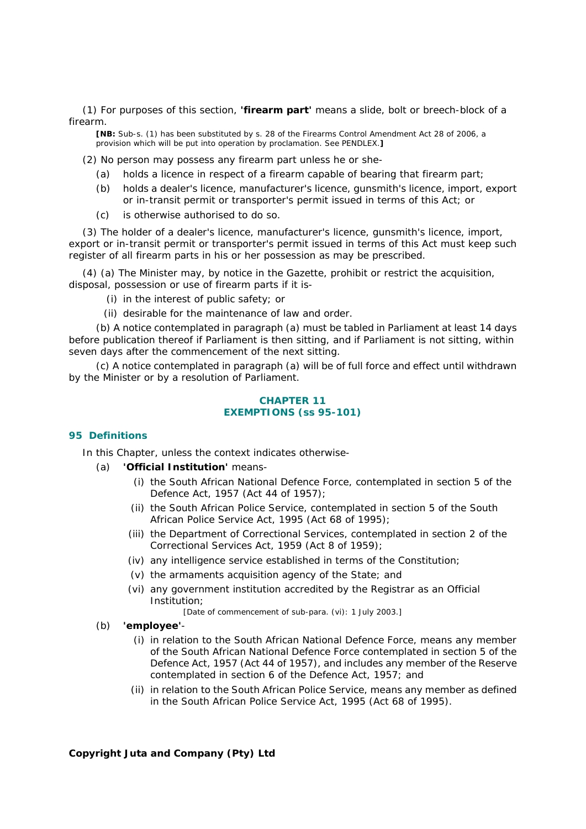(1) For purposes of this section, **'firearm part'** means a slide, bolt or breech-block of a firearm.

**[NB:** Sub-s. (1) has been substituted by s. 28 of the Firearms Control Amendment Act 28 of 2006, a provision which will be put into operation by proclamation. See PENDLEX.**]**

(2) No person may possess any firearm part unless he or she-

- *(a)* holds a licence in respect of a firearm capable of bearing that firearm part;
- *(b)* holds a dealer's licence, manufacturer's licence, gunsmith's licence, import, export or in-transit permit or transporter's permit issued in terms of this Act; or
- *(c)* is otherwise authorised to do so.

(3) The holder of a dealer's licence, manufacturer's licence, gunsmith's licence, import, export or in-transit permit or transporter's permit issued in terms of this Act must keep such register of all firearm parts in his or her possession as may be prescribed.

(4) *(a)* The Minister may, by notice in the *Gazette*, prohibit or restrict the acquisition, disposal, possession or use of firearm parts if it is-

(i) in the interest of public safety; or

(ii) desirable for the maintenance of law and order.

*(b)* A notice contemplated in paragraph *(a)* must be tabled in Parliament at least 14 days before publication thereof if Parliament is then sitting, and if Parliament is not sitting, within seven days after the commencement of the next sitting.

*(c)* A notice contemplated in paragraph *(a)* will be of full force and effect until withdrawn by the Minister or by a resolution of Parliament.

#### **CHAPTER 11 EXEMPTIONS (ss 95-101)**

### **95 Definitions**

In this Chapter, unless the context indicates otherwise-

- *(a)* **'Official Institution'** means-
	- (i) the South African National Defence Force, contemplated in section 5 of the Defence Act, 1957 (Act 44 of 1957);
	- (ii) the South African Police Service, contemplated in section 5 of the South African Police Service Act, 1995 (Act 68 of 1995);
	- (iii) the Department of Correctional Services, contemplated in section 2 of the Correctional Services Act, 1959 (Act 8 of 1959);
	- (iv) any intelligence service established in terms of the Constitution;
	- (v) the armaments acquisition agency of the State; and
	- (vi) any government institution accredited by the Registrar as an Official Institution;

[Date of commencement of sub-para. (vi): 1 July 2003.]

- *(b)* **'employee'**
	- (i) in relation to the South African National Defence Force, means any member of the South African National Defence Force contemplated in section 5 of the Defence Act, 1957 (Act 44 of 1957), and includes any member of the Reserve contemplated in section 6 of the Defence Act, 1957; and
	- (ii) in relation to the South African Police Service, means any member as defined in the South African Police Service Act, 1995 (Act 68 of 1995).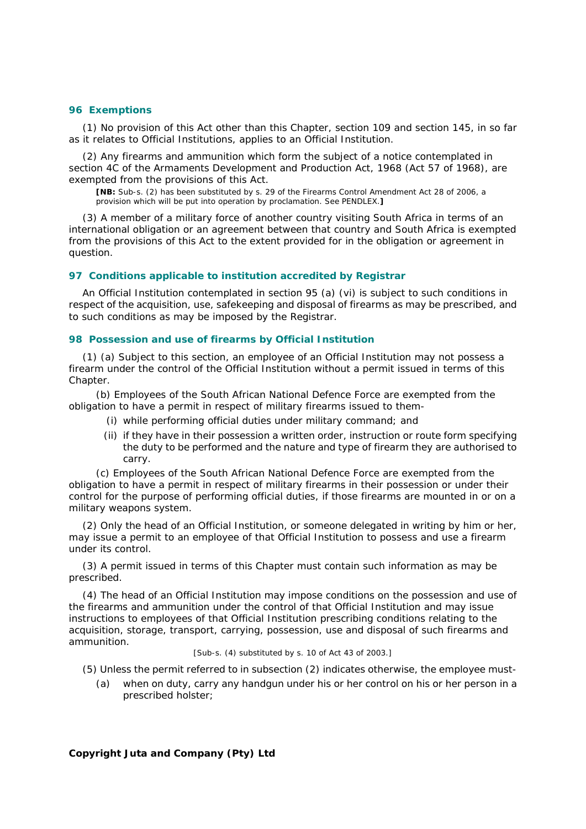#### **96 Exemptions**

(1) No provision of this Act other than this Chapter, section 109 and section 145, in so far as it relates to Official Institutions, applies to an Official Institution.

(2) Any firearms and ammunition which form the subject of a notice contemplated in section 4C of the Armaments Development and Production Act, 1968 (Act 57 of 1968), are exempted from the provisions of this Act.

**[NB:** Sub-s. (2) has been substituted by s. 29 of the Firearms Control Amendment Act 28 of 2006, a provision which will be put into operation by proclamation. See PENDLEX.**]**

(3) A member of a military force of another country visiting South Africa in terms of an international obligation or an agreement between that country and South Africa is exempted from the provisions of this Act to the extent provided for in the obligation or agreement in question.

#### **97 Conditions applicable to institution accredited by Registrar**

An Official Institution contemplated in section 95 *(a)* (vi) is subject to such conditions in respect of the acquisition, use, safekeeping and disposal of firearms as may be prescribed, and to such conditions as may be imposed by the Registrar.

#### **98 Possession and use of firearms by Official Institution**

(1) *(a)* Subject to this section, an employee of an Official Institution may not possess a firearm under the control of the Official Institution without a permit issued in terms of this Chapter.

*(b)* Employees of the South African National Defence Force are exempted from the obligation to have a permit in respect of military firearms issued to them-

- (i) while performing official duties under military command; and
- (ii) if they have in their possession a written order, instruction or route form specifying the duty to be performed and the nature and type of firearm they are authorised to carry.

*(c)* Employees of the South African National Defence Force are exempted from the obligation to have a permit in respect of military firearms in their possession or under their control for the purpose of performing official duties, if those firearms are mounted in or on a military weapons system.

(2) Only the head of an Official Institution, or someone delegated in writing by him or her, may issue a permit to an employee of that Official Institution to possess and use a firearm under its control.

(3) A permit issued in terms of this Chapter must contain such information as may be prescribed.

(4) The head of an Official Institution may impose conditions on the possession and use of the firearms and ammunition under the control of that Official Institution and may issue instructions to employees of that Official Institution prescribing conditions relating to the acquisition, storage, transport, carrying, possession, use and disposal of such firearms and ammunition.

# [Sub-s. (4) substituted by s. 10 of Act 43 of 2003.]

(5) Unless the permit referred to in subsection (2) indicates otherwise, the employee must-

*(a)* when on duty, carry any handgun under his or her control on his or her person in a prescribed holster;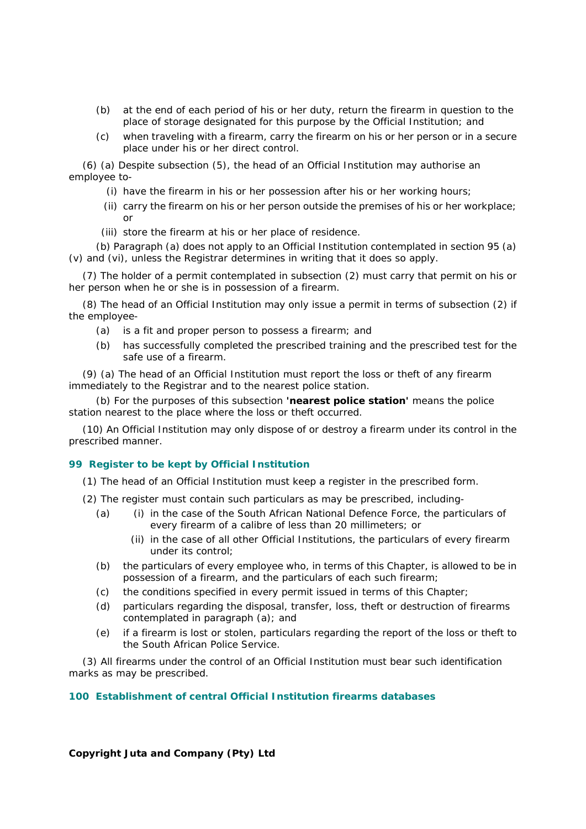- *(b)* at the end of each period of his or her duty, return the firearm in question to the place of storage designated for this purpose by the Official Institution; and
- *(c)* when traveling with a firearm, carry the firearm on his or her person or in a secure place under his or her direct control.

(6) *(a)* Despite subsection (5), the head of an Official Institution may authorise an employee to-

- (i) have the firearm in his or her possession after his or her working hours;
- (ii) carry the firearm on his or her person outside the premises of his or her workplace; or
- (iii) store the firearm at his or her place of residence.

*(b)* Paragraph *(a)* does not apply to an Official Institution contemplated in section 95 *(a)* (v) and (vi), unless the Registrar determines in writing that it does so apply.

(7) The holder of a permit contemplated in subsection (2) must carry that permit on his or her person when he or she is in possession of a firearm.

(8) The head of an Official Institution may only issue a permit in terms of subsection (2) if the employee-

- *(a)* is a fit and proper person to possess a firearm; and
- *(b)* has successfully completed the prescribed training and the prescribed test for the safe use of a firearm.

(9) *(a)* The head of an Official Institution must report the loss or theft of any firearm immediately to the Registrar and to the nearest police station.

*(b)* For the purposes of this subsection **'nearest police station'** means the police station nearest to the place where the loss or theft occurred.

(10) An Official Institution may only dispose of or destroy a firearm under its control in the prescribed manner.

## **99 Register to be kept by Official Institution**

(1) The head of an Official Institution must keep a register in the prescribed form.

(2) The register must contain such particulars as may be prescribed, including-

- *(a)* (i) in the case of the South African National Defence Force, the particulars of every firearm of a calibre of less than 20 millimeters; or
	- (ii) in the case of all other Official Institutions, the particulars of every firearm under its control;
- *(b)* the particulars of every employee who, in terms of this Chapter, is allowed to be in possession of a firearm, and the particulars of each such firearm;
- *(c)* the conditions specified in every permit issued in terms of this Chapter;
- *(d)* particulars regarding the disposal, transfer, loss, theft or destruction of firearms contemplated in paragraph *(a)*; and
- *(e)* if a firearm is lost or stolen, particulars regarding the report of the loss or theft to the South African Police Service.

(3) All firearms under the control of an Official Institution must bear such identification marks as may be prescribed.

### **100 Establishment of central Official Institution firearms databases**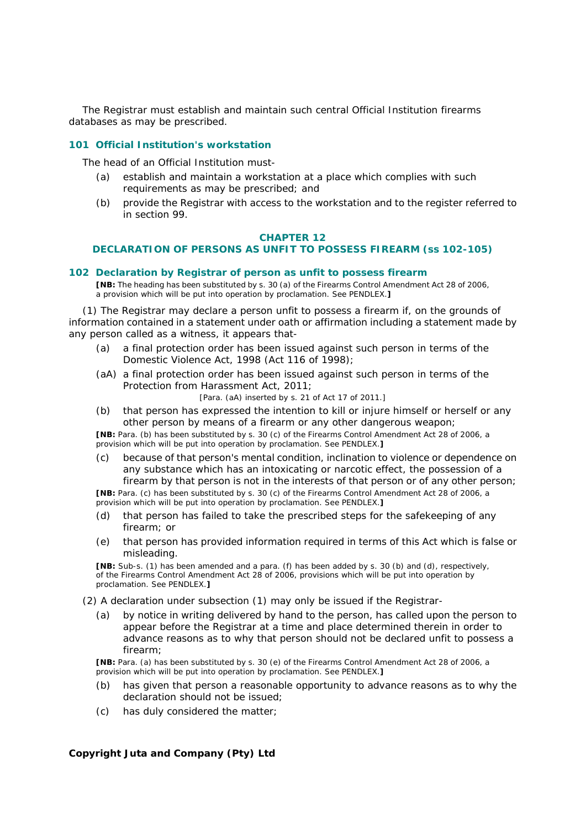The Registrar must establish and maintain such central Official Institution firearms databases as may be prescribed.

# **101 Official Institution's workstation**

The head of an Official Institution must-

- *(a)* establish and maintain a workstation at a place which complies with such requirements as may be prescribed; and
- *(b)* provide the Registrar with access to the workstation and to the register referred to in section 99.

#### **CHAPTER 12**

### **DECLARATION OF PERSONS AS UNFIT TO POSSESS FIREARM (ss 102-105)**

#### **102 Declaration by Registrar of person as unfit to possess firearm**

**[NB:** The heading has been substituted by s. 30 *(a)* of the Firearms Control Amendment Act 28 of 2006, a provision which will be put into operation by proclamation. See PENDLEX.**]**

(1) The Registrar may declare a person unfit to possess a firearm if, on the grounds of information contained in a statement under oath or affirmation including a statement made by any person called as a witness, it appears that-

- *(a)* a final protection order has been issued against such person in terms of the Domestic Violence Act, 1998 (Act 116 of 1998);
- *(a*A*)* a final protection order has been issued against such person in terms of the Protection from Harassment Act, 2011;

[Para. *(a*A*)* inserted by s. 21 of Act 17 of 2011.]

*(b)* that person has expressed the intention to kill or injure himself or herself or any other person by means of a firearm or any other dangerous weapon;

**[NB:** Para. *(b)* has been substituted by s. 30 *(c)* of the Firearms Control Amendment Act 28 of 2006, a provision which will be put into operation by proclamation. See PENDLEX.**]**

*(c)* because of that person's mental condition, inclination to violence or dependence on any substance which has an intoxicating or narcotic effect, the possession of a firearm by that person is not in the interests of that person or of any other person;

**[NB:** Para. *(c)* has been substituted by s. 30 *(c)* of the Firearms Control Amendment Act 28 of 2006, a provision which will be put into operation by proclamation. See PENDLEX.**]**

- *(d)* that person has failed to take the prescribed steps for the safekeeping of any firearm; or
- *(e)* that person has provided information required in terms of this Act which is false or misleading.

**[NB:** Sub-s. (1) has been amended and a para. *(f)* has been added by s. 30 *(b)* and *(d)*, respectively, of the Firearms Control Amendment Act 28 of 2006, provisions which will be put into operation by proclamation. See PENDLEX.**]**

- (2) A declaration under subsection (1) may only be issued if the Registrar-
	- *(a)* by notice in writing delivered by hand to the person, has called upon the person to appear before the Registrar at a time and place determined therein in order to advance reasons as to why that person should not be declared unfit to possess a firearm;

**[NB:** Para. *(a)* has been substituted by s. 30 *(e)* of the Firearms Control Amendment Act 28 of 2006, a provision which will be put into operation by proclamation. See PENDLEX.**]**

- *(b)* has given that person a reasonable opportunity to advance reasons as to why the declaration should not be issued;
- *(c)* has duly considered the matter;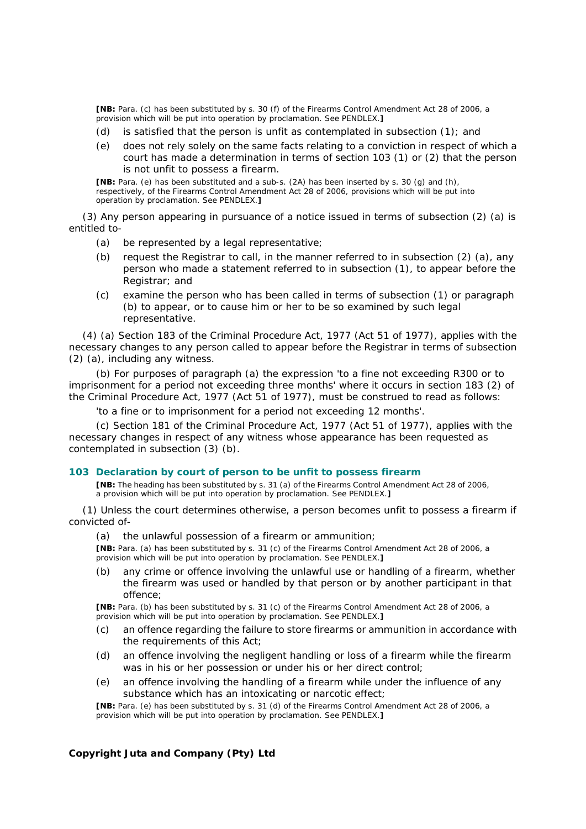**[NB:** Para. *(c)* has been substituted by s. 30 *(f)* of the Firearms Control Amendment Act 28 of 2006, a provision which will be put into operation by proclamation. See PENDLEX.**]**

- *(d)* is satisfied that the person is unfit as contemplated in subsection (1); and
- *(e)* does not rely solely on the same facts relating to a conviction in respect of which a court has made a determination in terms of section 103 (1) or (2) that the person is not unfit to possess a firearm.

**[NB:** Para. *(e)* has been substituted and a sub-s. (2A) has been inserted by s. 30 *(g)* and *(h)*, respectively, of the Firearms Control Amendment Act 28 of 2006, provisions which will be put into operation by proclamation. See PENDLEX.**]**

(3) Any person appearing in pursuance of a notice issued in terms of subsection (2) *(a)* is entitled to-

- *(a)* be represented by a legal representative;
- *(b)* request the Registrar to call, in the manner referred to in subsection (2) *(a)*, any person who made a statement referred to in subsection (1), to appear before the Registrar; and
- *(c)* examine the person who has been called in terms of subsection (1) or paragraph *(b)* to appear, or to cause him or her to be so examined by such legal representative.

(4) *(a)* Section 183 of the Criminal Procedure Act, 1977 (Act 51 of 1977), applies with the necessary changes to any person called to appear before the Registrar in terms of subsection (2) *(a)*, including any witness.

*(b)* For purposes of paragraph *(a)* the expression 'to a fine not exceeding R300 or to imprisonment for a period not exceeding three months' where it occurs in section 183 (2) of the Criminal Procedure Act, 1977 (Act 51 of 1977), must be construed to read as follows:

'to a fine or to imprisonment for a period not exceeding 12 months'.

*(c)* Section 181 of the Criminal Procedure Act, 1977 (Act 51 of 1977), applies with the necessary changes in respect of any witness whose appearance has been requested as contemplated in subsection (3) *(b)*.

### **103 Declaration by court of person to be unfit to possess firearm**

**[NB:** The heading has been substituted by s. 31 *(a)* of the Firearms Control Amendment Act 28 of 2006, a provision which will be put into operation by proclamation. See PENDLEX.**]**

(1) Unless the court determines otherwise, a person becomes unfit to possess a firearm if convicted of-

*(a)* the unlawful possession of a firearm or ammunition;

**[NB:** Para. *(a)* has been substituted by s. 31 *(c)* of the Firearms Control Amendment Act 28 of 2006, a provision which will be put into operation by proclamation. See PENDLEX.**]**

*(b)* any crime or offence involving the unlawful use or handling of a firearm, whether the firearm was used or handled by that person or by another participant in that offence;

**[NB:** Para. *(b)* has been substituted by s. 31 *(c)* of the Firearms Control Amendment Act 28 of 2006, a provision which will be put into operation by proclamation. See PENDLEX.**]**

- *(c)* an offence regarding the failure to store firearms or ammunition in accordance with the requirements of this Act;
- *(d)* an offence involving the negligent handling or loss of a firearm while the firearm was in his or her possession or under his or her direct control;
- *(e)* an offence involving the handling of a firearm while under the influence of any substance which has an intoxicating or narcotic effect;

**[NB:** Para. *(e)* has been substituted by s. 31 *(d)* of the Firearms Control Amendment Act 28 of 2006, a provision which will be put into operation by proclamation. See PENDLEX.**]**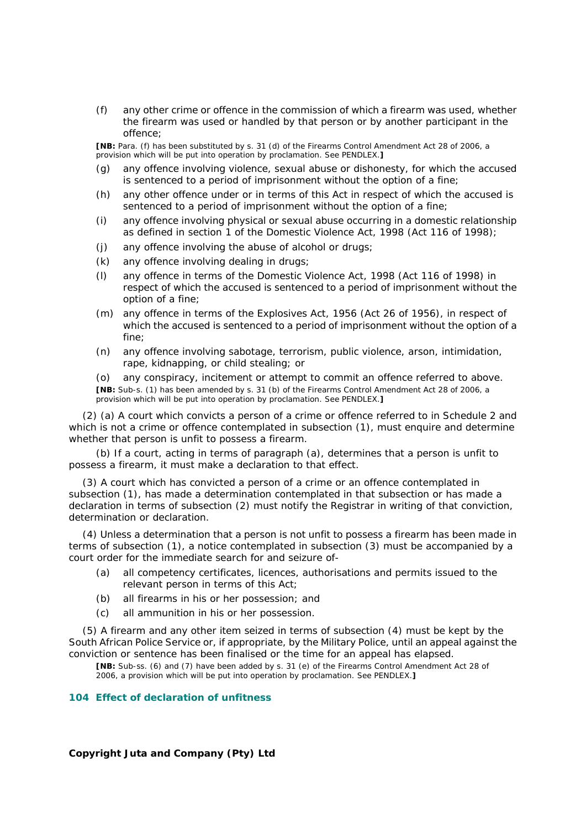*(f)* any other crime or offence in the commission of which a firearm was used, whether the firearm was used or handled by that person or by another participant in the offence;

**[NB:** Para. *(f)* has been substituted by s. 31 *(d)* of the Firearms Control Amendment Act 28 of 2006, a provision which will be put into operation by proclamation. See PENDLEX.**]**

- *(g)* any offence involving violence, sexual abuse or dishonesty, for which the accused is sentenced to a period of imprisonment without the option of a fine;
- *(h)* any other offence under or in terms of this Act in respect of which the accused is sentenced to a period of imprisonment without the option of a fine;
- *(i)* any offence involving physical or sexual abuse occurring in a domestic relationship as defined in section 1 of the Domestic Violence Act, 1998 (Act 116 of 1998);
- *(j)* any offence involving the abuse of alcohol or drugs;
- *(k)* any offence involving dealing in drugs;
- *(l)* any offence in terms of the Domestic Violence Act, 1998 (Act 116 of 1998) in respect of which the accused is sentenced to a period of imprisonment without the option of a fine;
- *(m)* any offence in terms of the Explosives Act, 1956 (Act 26 of 1956), in respect of which the accused is sentenced to a period of imprisonment without the option of a fine;
- *(n)* any offence involving sabotage, terrorism, public violence, arson, intimidation, rape, kidnapping, or child stealing; or

*(o)* any conspiracy, incitement or attempt to commit an offence referred to above. **[NB:** Sub-s. (1) has been amended by s. 31 *(b)* of the Firearms Control Amendment Act 28 of 2006, a provision which will be put into operation by proclamation. See PENDLEX.**]**

(2) *(a)* A court which convicts a person of a crime or offence referred to in Schedule 2 and which is not a crime or offence contemplated in subsection (1), must enquire and determine whether that person is unfit to possess a firearm.

*(b)* If a court, acting in terms of paragraph *(a)*, determines that a person is unfit to possess a firearm, it must make a declaration to that effect.

(3) A court which has convicted a person of a crime or an offence contemplated in subsection (1), has made a determination contemplated in that subsection or has made a declaration in terms of subsection (2) must notify the Registrar in writing of that conviction, determination or declaration.

(4) Unless a determination that a person is not unfit to possess a firearm has been made in terms of subsection (1), a notice contemplated in subsection (3) must be accompanied by a court order for the immediate search for and seizure of-

- *(a)* all competency certificates, licences, authorisations and permits issued to the relevant person in terms of this Act;
- *(b)* all firearms in his or her possession; and
- *(c)* all ammunition in his or her possession.

(5) A firearm and any other item seized in terms of subsection (4) must be kept by the South African Police Service or, if appropriate, by the Military Police, until an appeal against the conviction or sentence has been finalised or the time for an appeal has elapsed.

**[NB:** Sub-ss. (6) and (7) have been added by s. 31 *(e)* of the Firearms Control Amendment Act 28 of 2006, a provision which will be put into operation by proclamation. See PENDLEX.**]**

## **104 Effect of declaration of unfitness**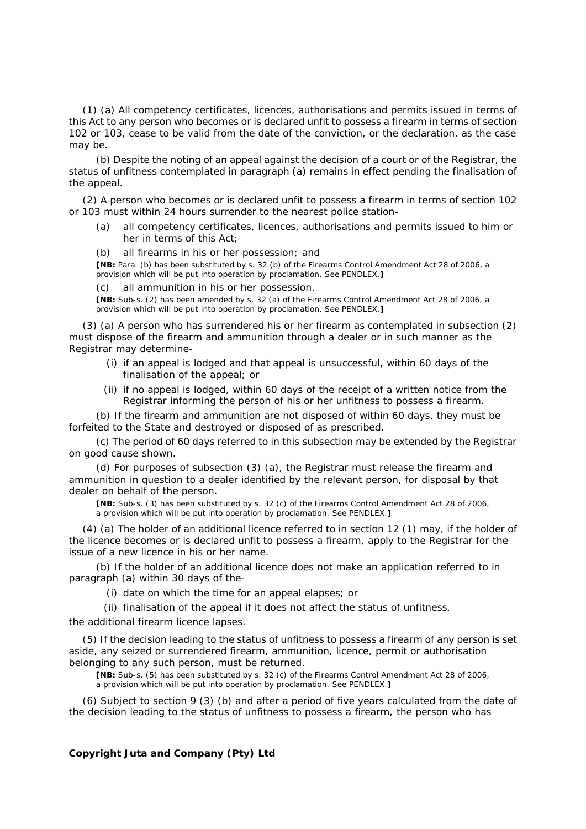(1) *(a)* All competency certificates, licences, authorisations and permits issued in terms of this Act to any person who becomes or is declared unfit to possess a firearm in terms of section 102 or 103, cease to be valid from the date of the conviction, or the declaration, as the case may be.

*(b)* Despite the noting of an appeal against the decision of a court or of the Registrar, the status of unfitness contemplated in paragraph *(a)* remains in effect pending the finalisation of the appeal.

(2) A person who becomes or is declared unfit to possess a firearm in terms of section 102 or 103 must within 24 hours surrender to the nearest police station-

- *(a)* all competency certificates, licences, authorisations and permits issued to him or her in terms of this Act;
- *(b)* all firearms in his or her possession; and

**[NB:** Para. *(b)* has been substituted by s. 32 *(b)* of the Firearms Control Amendment Act 28 of 2006, a provision which will be put into operation by proclamation. See PENDLEX.**]**

*(c)* all ammunition in his or her possession.

**[NB:** Sub-s. (2) has been amended by s. 32 *(a)* of the Firearms Control Amendment Act 28 of 2006, a provision which will be put into operation by proclamation. See PENDLEX.**]**

(3) *(a)* A person who has surrendered his or her firearm as contemplated in subsection (2) must dispose of the firearm and ammunition through a dealer or in such manner as the Registrar may determine-

- (i) if an appeal is lodged and that appeal is unsuccessful, within 60 days of the finalisation of the appeal; or
- (ii) if no appeal is lodged, within 60 days of the receipt of a written notice from the Registrar informing the person of his or her unfitness to possess a firearm.

*(b)* If the firearm and ammunition are not disposed of within 60 days, they must be forfeited to the State and destroyed or disposed of as prescribed.

*(c)* The period of 60 days referred to in this subsection may be extended by the Registrar on good cause shown.

*(d)* For purposes of subsection (3) *(a)*, the Registrar must release the firearm and ammunition in question to a dealer identified by the relevant person, for disposal by that dealer on behalf of the person.

**[NB:** Sub-s. (3) has been substituted by s. 32 *(c)* of the Firearms Control Amendment Act 28 of 2006, a provision which will be put into operation by proclamation. See PENDLEX.**]**

(4) *(a)* The holder of an additional licence referred to in section 12 (1) may, if the holder of the licence becomes or is declared unfit to possess a firearm, apply to the Registrar for the issue of a new licence in his or her name.

*(b)* If the holder of an additional licence does not make an application referred to in paragraph *(a)* within 30 days of the-

(i) date on which the time for an appeal elapses; or

(ii) finalisation of the appeal if it does not affect the status of unfitness,

the additional firearm licence lapses.

(5) If the decision leading to the status of unfitness to possess a firearm of any person is set aside, any seized or surrendered firearm, ammunition, licence, permit or authorisation belonging to any such person, must be returned.

**[NB:** Sub-s. (5) has been substituted by s. 32 *(c)* of the Firearms Control Amendment Act 28 of 2006, a provision which will be put into operation by proclamation. See PENDLEX.**]**

(6) Subject to section 9 (3) *(b)* and after a period of five years calculated from the date of the decision leading to the status of unfitness to possess a firearm, the person who has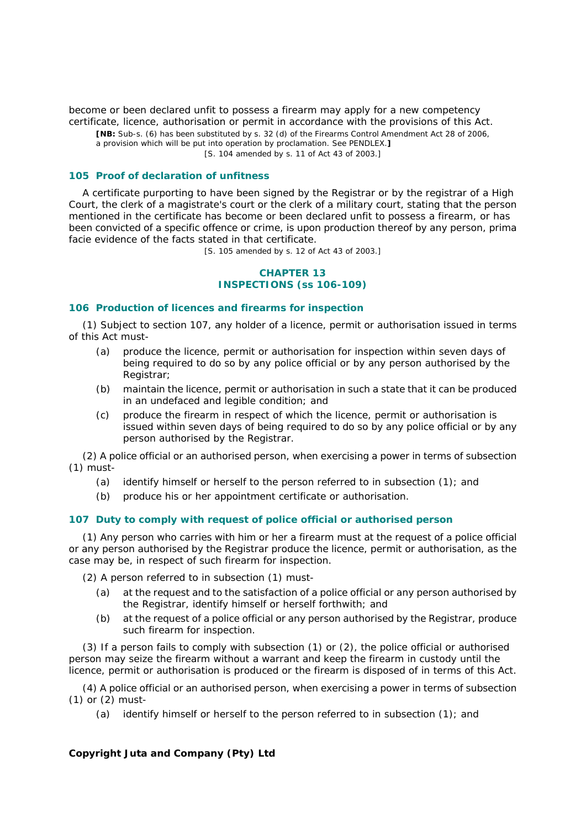become or been declared unfit to possess a firearm may apply for a new competency certificate, licence, authorisation or permit in accordance with the provisions of this Act.

**[NB:** Sub-s. (6) has been substituted by s. 32 *(d)* of the Firearms Control Amendment Act 28 of 2006,

a provision which will be put into operation by proclamation. See PENDLEX.**]** [S. 104 amended by s. 11 of Act 43 of 2003.]

### **105 Proof of declaration of unfitness**

A certificate purporting to have been signed by the Registrar or by the registrar of a High Court, the clerk of a magistrate's court or the clerk of a military court, stating that the person mentioned in the certificate has become or been declared unfit to possess a firearm, or has been convicted of a specific offence or crime, is upon production thereof by any person, *prima facie* evidence of the facts stated in that certificate.

[S. 105 amended by s. 12 of Act 43 of 2003.]

# **CHAPTER 13 INSPECTIONS (ss 106-109)**

#### **106 Production of licences and firearms for inspection**

(1) Subject to section 107, any holder of a licence, permit or authorisation issued in terms of this Act must-

- *(a)* produce the licence, permit or authorisation for inspection within seven days of being required to do so by any police official or by any person authorised by the Registrar;
- *(b)* maintain the licence, permit or authorisation in such a state that it can be produced in an undefaced and legible condition; and
- *(c)* produce the firearm in respect of which the licence, permit or authorisation is issued within seven days of being required to do so by any police official or by any person authorised by the Registrar.

(2) A police official or an authorised person, when exercising a power in terms of subsection (1) must-

- *(a)* identify himself or herself to the person referred to in subsection (1); and
- *(b)* produce his or her appointment certificate or authorisation.

### **107 Duty to comply with request of police official or authorised person**

(1) Any person who carries with him or her a firearm must at the request of a police official or any person authorised by the Registrar produce the licence, permit or authorisation, as the case may be, in respect of such firearm for inspection.

(2) A person referred to in subsection (1) must-

- *(a)* at the request and to the satisfaction of a police official or any person authorised by the Registrar, identify himself or herself forthwith; and
- *(b)* at the request of a police official or any person authorised by the Registrar, produce such firearm for inspection.

(3) If a person fails to comply with subsection (1) or (2), the police official or authorised person may seize the firearm without a warrant and keep the firearm in custody until the licence, permit or authorisation is produced or the firearm is disposed of in terms of this Act.

(4) A police official or an authorised person, when exercising a power in terms of subsection (1) or (2) must-

*(a)* identify himself or herself to the person referred to in subsection (1); and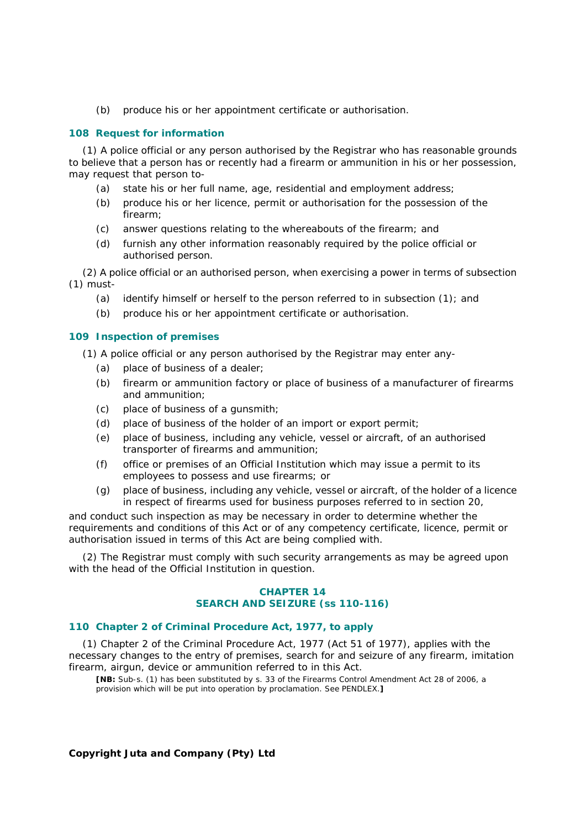*(b)* produce his or her appointment certificate or authorisation.

## **108 Request for information**

(1) A police official or any person authorised by the Registrar who has reasonable grounds to believe that a person has or recently had a firearm or ammunition in his or her possession, may request that person to-

- *(a)* state his or her full name, age, residential and employment address;
- *(b)* produce his or her licence, permit or authorisation for the possession of the firearm;
- *(c)* answer questions relating to the whereabouts of the firearm; and
- *(d)* furnish any other information reasonably required by the police official or authorised person.

(2) A police official or an authorised person, when exercising a power in terms of subsection (1) must-

- *(a)* identify himself or herself to the person referred to in subsection (1); and
- *(b)* produce his or her appointment certificate or authorisation.

## **109 Inspection of premises**

(1) A police official or any person authorised by the Registrar may enter any-

- *(a)* place of business of a dealer;
- *(b)* firearm or ammunition factory or place of business of a manufacturer of firearms and ammunition;
- *(c)* place of business of a gunsmith;
- *(d)* place of business of the holder of an import or export permit;
- *(e)* place of business, including any vehicle, vessel or aircraft, of an authorised transporter of firearms and ammunition;
- *(f)* office or premises of an Official Institution which may issue a permit to its employees to possess and use firearms; or
- *(g)* place of business, including any vehicle, vessel or aircraft, of the holder of a licence in respect of firearms used for business purposes referred to in section 20,

and conduct such inspection as may be necessary in order to determine whether the requirements and conditions of this Act or of any competency certificate, licence, permit or authorisation issued in terms of this Act are being complied with.

(2) The Registrar must comply with such security arrangements as may be agreed upon with the head of the Official Institution in question.

## **CHAPTER 14 SEARCH AND SEIZURE (ss 110-116)**

# **110 Chapter 2 of Criminal Procedure Act, 1977, to apply**

(1) Chapter 2 of the Criminal Procedure Act, 1977 (Act 51 of 1977), applies with the necessary changes to the entry of premises, search for and seizure of any firearm, imitation firearm, airgun, device or ammunition referred to in this Act.

**[NB:** Sub-s. (1) has been substituted by s. 33 of the Firearms Control Amendment Act 28 of 2006, a provision which will be put into operation by proclamation. See PENDLEX.**]**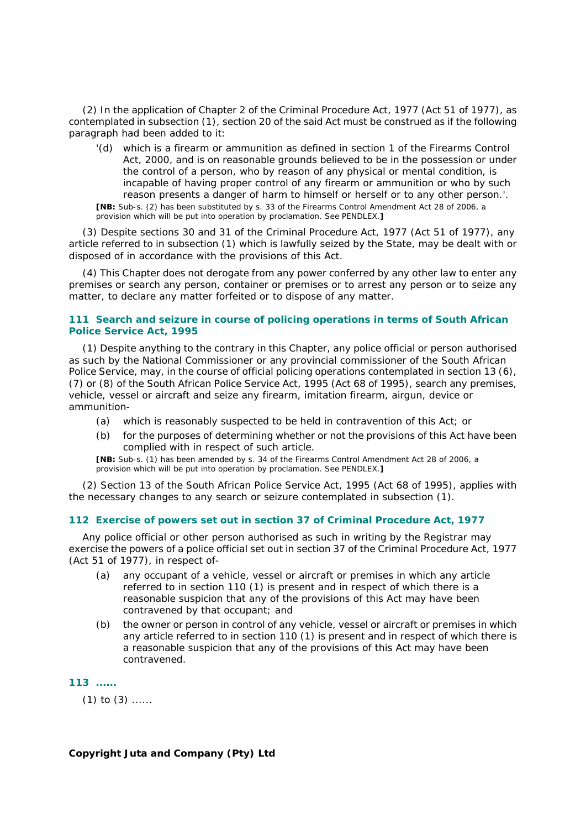(2) In the application of Chapter 2 of the Criminal Procedure Act, 1977 (Act 51 of 1977), as contemplated in subsection (1), section 20 of the said Act must be construed as if the following paragraph had been added to it:

 '*(d)* which is a firearm or ammunition as defined in section 1 of the Firearms Control Act, 2000, and is on reasonable grounds believed to be in the possession or under the control of a person, who by reason of any physical or mental condition, is incapable of having proper control of any firearm or ammunition or who by such reason presents a danger of harm to himself or herself or to any other person.'. **[NB:** Sub-s. (2) has been substituted by s. 33 of the Firearms Control Amendment Act 28 of 2006, a provision which will be put into operation by proclamation. See PENDLEX.**]**

(3) Despite sections 30 and 31 of the Criminal Procedure Act, 1977 (Act 51 of 1977), any article referred to in subsection (1) which is lawfully seized by the State, may be dealt with or disposed of in accordance with the provisions of this Act.

(4) This Chapter does not derogate from any power conferred by any other law to enter any premises or search any person, container or premises or to arrest any person or to seize any matter, to declare any matter forfeited or to dispose of any matter.

## **111 Search and seizure in course of policing operations in terms of South African Police Service Act, 1995**

(1) Despite anything to the contrary in this Chapter, any police official or person authorised as such by the National Commissioner or any provincial commissioner of the South African Police Service, may, in the course of official policing operations contemplated in section 13 (6), (7) or (8) of the South African Police Service Act, 1995 (Act 68 of 1995), search any premises, vehicle, vessel or aircraft and seize any firearm, imitation firearm, airgun, device or ammunition-

- *(a)* which is reasonably suspected to be held in contravention of this Act; or
- *(b)* for the purposes of determining whether or not the provisions of this Act have been complied with in respect of such article.

**[NB:** Sub-s. (1) has been amended by s. 34 of the Firearms Control Amendment Act 28 of 2006, a provision which will be put into operation by proclamation. See PENDLEX.**]**

(2) Section 13 of the South African Police Service Act, 1995 (Act 68 of 1995), applies with the necessary changes to any search or seizure contemplated in subsection (1).

### **112 Exercise of powers set out in section 37 of Criminal Procedure Act, 1977**

Any police official or other person authorised as such in writing by the Registrar may exercise the powers of a police official set out in section 37 of the Criminal Procedure Act, 1977 (Act 51 of 1977), in respect of-

- *(a)* any occupant of a vehicle, vessel or aircraft or premises in which any article referred to in section 110 (1) is present and in respect of which there is a reasonable suspicion that any of the provisions of this Act may have been contravened by that occupant; and
- *(b)* the owner or person in control of any vehicle, vessel or aircraft or premises in which any article referred to in section 110 (1) is present and in respect of which there is a reasonable suspicion that any of the provisions of this Act may have been contravened.

**113 ......** 

 $(1)$  to  $(3)$  ......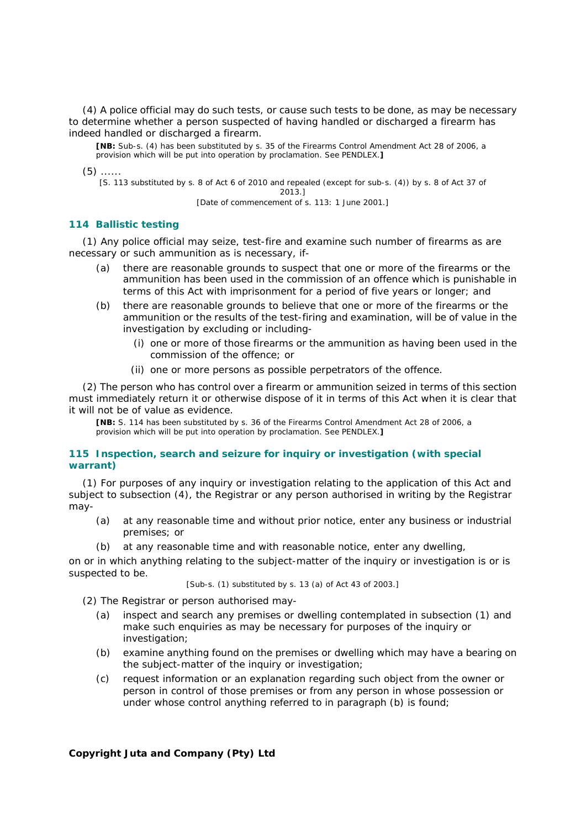(4) A police official may do such tests, or cause such tests to be done, as may be necessary to determine whether a person suspected of having handled or discharged a firearm has indeed handled or discharged a firearm.

**[NB:** Sub-s. (4) has been substituted by s. 35 of the Firearms Control Amendment Act 28 of 2006, a provision which will be put into operation by proclamation. See PENDLEX.**]**

 $(5)$  ......

[S. 113 substituted by s. 8 of Act 6 of 2010 and repealed (except for sub-s. (4)) by s. 8 of Act 37 of 2013.]

[Date of commencement of s. 113: 1 June 2001.]

### **114 Ballistic testing**

(1) Any police official may seize, test-fire and examine such number of firearms as are necessary or such ammunition as is necessary, if-

- *(a)* there are reasonable grounds to suspect that one or more of the firearms or the ammunition has been used in the commission of an offence which is punishable in terms of this Act with imprisonment for a period of five years or longer; and
- *(b)* there are reasonable grounds to believe that one or more of the firearms or the ammunition or the results of the test-firing and examination, will be of value in the investigation by excluding or including-
	- (i) one or more of those firearms or the ammunition as having been used in the commission of the offence; or
	- (ii) one or more persons as possible perpetrators of the offence.

(2) The person who has control over a firearm or ammunition seized in terms of this section must immediately return it or otherwise dispose of it in terms of this Act when it is clear that it will not be of value as evidence.

**[NB:** S. 114 has been substituted by s. 36 of the Firearms Control Amendment Act 28 of 2006, a provision which will be put into operation by proclamation. See PENDLEX.**]**

## **115 Inspection, search and seizure for inquiry or investigation (with special warrant)**

(1) For purposes of any inquiry or investigation relating to the application of this Act and subject to subsection (4), the Registrar or any person authorised in writing by the Registrar may-

- *(a)* at any reasonable time and without prior notice, enter any business or industrial premises; or
- *(b)* at any reasonable time and with reasonable notice, enter any dwelling,

on or in which anything relating to the subject-matter of the inquiry or investigation is or is suspected to be.

[Sub-s. (1) substituted by s. 13 *(a)* of Act 43 of 2003.]

(2) The Registrar or person authorised may-

- *(a)* inspect and search any premises or dwelling contemplated in subsection (1) and make such enquiries as may be necessary for purposes of the inquiry or investigation;
- *(b)* examine anything found on the premises or dwelling which may have a bearing on the subject-matter of the inquiry or investigation;
- *(c)* request information or an explanation regarding such object from the owner or person in control of those premises or from any person in whose possession or under whose control anything referred to in paragraph *(b)* is found;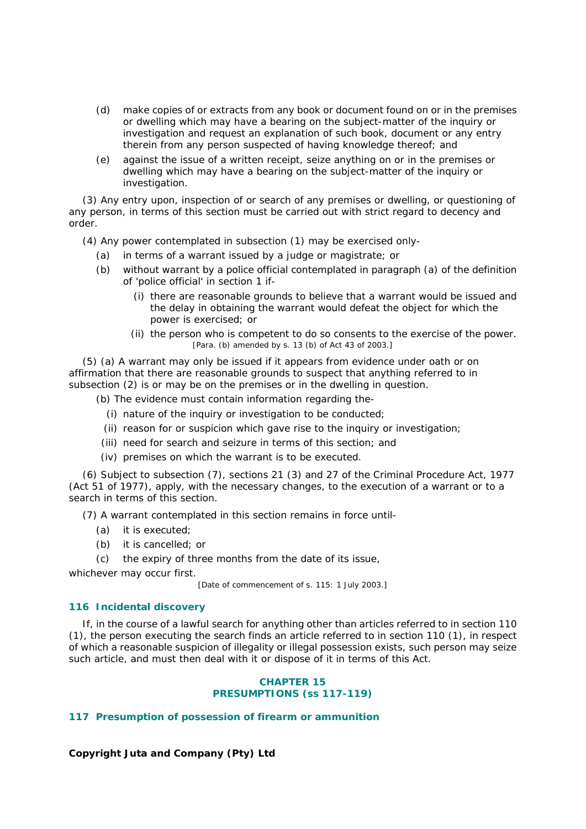- *(d)* make copies of or extracts from any book or document found on or in the premises or dwelling which may have a bearing on the subject-matter of the inquiry or investigation and request an explanation of such book, document or any entry therein from any person suspected of having knowledge thereof; and
- *(e)* against the issue of a written receipt, seize anything on or in the premises or dwelling which may have a bearing on the subject-matter of the inquiry or investigation.

(3) Any entry upon, inspection of or search of any premises or dwelling, or questioning of any person, in terms of this section must be carried out with strict regard to decency and order.

(4) Any power contemplated in subsection (1) may be exercised only-

- *(a)* in terms of a warrant issued by a judge or magistrate; or
- *(b)* without warrant by a police official contemplated in paragraph *(a)* of the definition of 'police official' in section 1 if-
	- (i) there are reasonable grounds to believe that a warrant would be issued and the delay in obtaining the warrant would defeat the object for which the power is exercised; or
	- (ii) the person who is competent to do so consents to the exercise of the power. [Para. *(b)* amended by s. 13 *(b)* of Act 43 of 2003.]

(5) *(a)* A warrant may only be issued if it appears from evidence under oath or on affirmation that there are reasonable grounds to suspect that anything referred to in subsection (2) is or may be on the premises or in the dwelling in question.

*(b)* The evidence must contain information regarding the-

- (i) nature of the inquiry or investigation to be conducted;
- (ii) reason for or suspicion which gave rise to the inquiry or investigation;
- (iii) need for search and seizure in terms of this section; and
- (iv) premises on which the warrant is to be executed.

(6) Subject to subsection (7), sections 21 (3) and 27 of the Criminal Procedure Act, 1977 (Act 51 of 1977), apply, with the necessary changes, to the execution of a warrant or to a search in terms of this section.

(7) A warrant contemplated in this section remains in force until-

- *(a)* it is executed;
- *(b)* it is cancelled; or
- *(c)* the expiry of three months from the date of its issue,

whichever may occur first.

[Date of commencement of s. 115: 1 July 2003.]

## **116 Incidental discovery**

If, in the course of a lawful search for anything other than articles referred to in section 110 (1), the person executing the search finds an article referred to in section 110 (1), in respect of which a reasonable suspicion of illegality or illegal possession exists, such person may seize such article, and must then deal with it or dispose of it in terms of this Act.

# **CHAPTER 15 PRESUMPTIONS (ss 117-119)**

# **117 Presumption of possession of firearm or ammunition**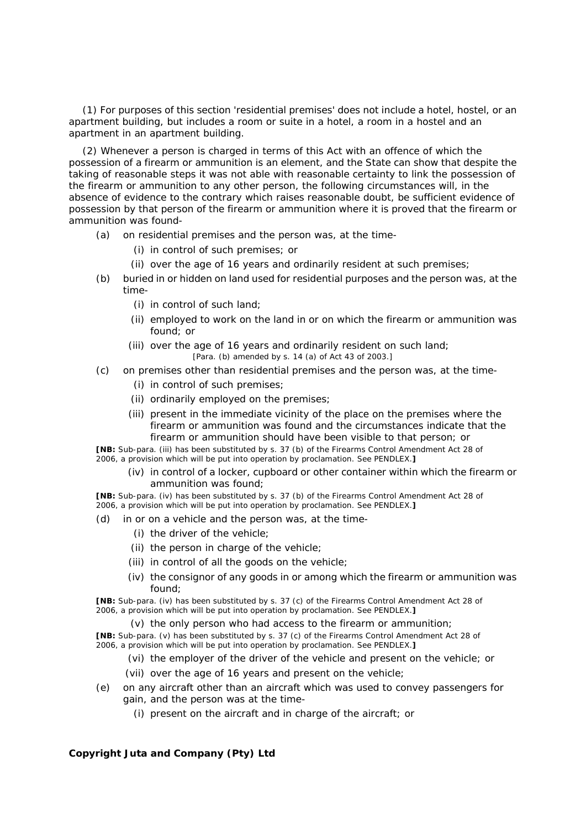(1) For purposes of this section 'residential premises' does not include a hotel, hostel, or an apartment building, but includes a room or suite in a hotel, a room in a hostel and an apartment in an apartment building.

(2) Whenever a person is charged in terms of this Act with an offence of which the possession of a firearm or ammunition is an element, and the State can show that despite the taking of reasonable steps it was not able with reasonable certainty to link the possession of the firearm or ammunition to any other person, the following circumstances will, in the absence of evidence to the contrary which raises reasonable doubt, be sufficient evidence of possession by that person of the firearm or ammunition where it is proved that the firearm or ammunition was found-

- *(a)* on residential premises and the person was, at the time-
	- (i) in control of such premises; or
	- (ii) over the age of 16 years and ordinarily resident at such premises;
- *(b)* buried in or hidden on land used for residential purposes and the person was, at the time-
	- (i) in control of such land;
	- (ii) employed to work on the land in or on which the firearm or ammunition was found; or
	- (iii) over the age of 16 years and ordinarily resident on such land; [Para. *(b)* amended by s. 14 *(a)* of Act 43 of 2003.]
- *(c)* on premises other than residential premises and the person was, at the time-
	- (i) in control of such premises;
	- (ii) ordinarily employed on the premises;
	- (iii) present in the immediate vicinity of the place on the premises where the firearm or ammunition was found and the circumstances indicate that the firearm or ammunition should have been visible to that person; or

**[NB:** Sub-para. (iii) has been substituted by s. 37 *(b)* of the Firearms Control Amendment Act 28 of 2006, a provision which will be put into operation by proclamation. See PENDLEX.**]**

 (iv) in control of a locker, cupboard or other container within which the firearm or ammunition was found;

**[NB:** Sub-para. (iv) has been substituted by s. 37 *(b)* of the Firearms Control Amendment Act 28 of 2006, a provision which will be put into operation by proclamation. See PENDLEX.**]**

- *(d)* in or on a vehicle and the person was, at the time-
	- (i) the driver of the vehicle;
	- (ii) the person in charge of the vehicle;
	- (iii) in control of all the goods on the vehicle;
	- (iv) the consignor of any goods in or among which the firearm or ammunition was found;

**[NB:** Sub-para. (iv) has been substituted by s. 37 *(c)* of the Firearms Control Amendment Act 28 of 2006, a provision which will be put into operation by proclamation. See PENDLEX.**]**

(v) the only person who had access to the firearm or ammunition;

**[NB:** Sub-para. (v) has been substituted by s. 37 *(c)* of the Firearms Control Amendment Act 28 of 2006, a provision which will be put into operation by proclamation. See PENDLEX.**]**

- (vi) the employer of the driver of the vehicle and present on the vehicle; or
- (vii) over the age of 16 years and present on the vehicle;
- *(e)* on any aircraft other than an aircraft which was used to convey passengers for gain, and the person was at the time-
	- (i) present on the aircraft and in charge of the aircraft; or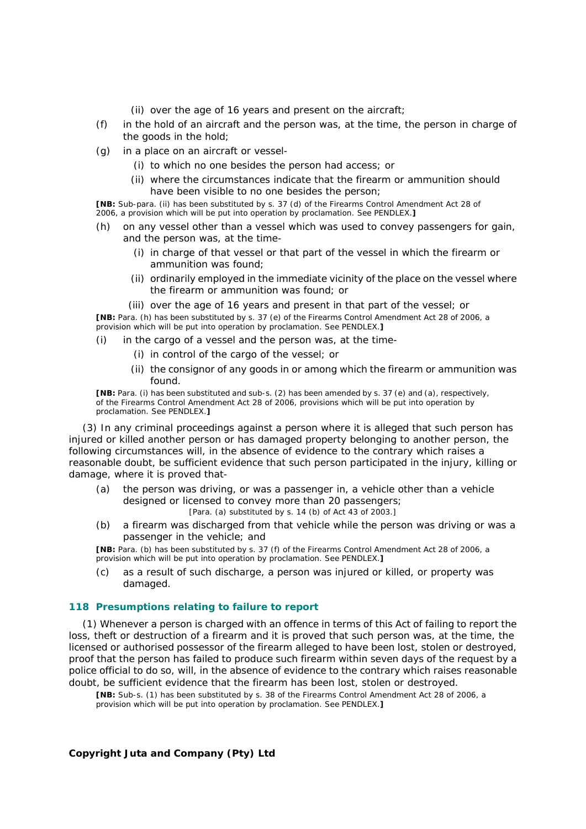- (ii) over the age of 16 years and present on the aircraft;
- *(f)* in the hold of an aircraft and the person was, at the time, the person in charge of the goods in the hold;
- *(g)* in a place on an aircraft or vessel-
	- (i) to which no one besides the person had access; or
	- (ii) where the circumstances indicate that the firearm or ammunition should have been visible to no one besides the person;

**[NB:** Sub-para. (ii) has been substituted by s. 37 *(d)* of the Firearms Control Amendment Act 28 of 2006, a provision which will be put into operation by proclamation. See PENDLEX.**]**

- *(h)* on any vessel other than a vessel which was used to convey passengers for gain, and the person was, at the time-
	- (i) in charge of that vessel or that part of the vessel in which the firearm or ammunition was found;
	- (ii) ordinarily employed in the immediate vicinity of the place on the vessel where the firearm or ammunition was found; or
- (iii) over the age of 16 years and present in that part of the vessel; or **[NB:** Para. *(h)* has been substituted by s. 37 *(e)* of the Firearms Control Amendment Act 28 of 2006, a provision which will be put into operation by proclamation. See PENDLEX.**]**
- *(i)* in the cargo of a vessel and the person was, at the time-
	- (i) in control of the cargo of the vessel; or
	- (ii) the consignor of any goods in or among which the firearm or ammunition was found.

**[NB:** Para. *(i)* has been substituted and sub-s. (2) has been amended by s. 37 *(e)* and *(a)*, respectively, of the Firearms Control Amendment Act 28 of 2006, provisions which will be put into operation by proclamation. See PENDLEX.**]**

(3) In any criminal proceedings against a person where it is alleged that such person has injured or killed another person or has damaged property belonging to another person, the following circumstances will, in the absence of evidence to the contrary which raises a reasonable doubt, be sufficient evidence that such person participated in the injury, killing or damage, where it is proved that-

- *(a)* the person was driving, or was a passenger in, a vehicle other than a vehicle designed or licensed to convey more than 20 passengers; [Para. *(a)* substituted by s. 14 *(b)* of Act 43 of 2003.]
- *(b)* a firearm was discharged from that vehicle while the person was driving or was a passenger in the vehicle; and

**[NB:** Para. *(b)* has been substituted by s. 37 *(f)* of the Firearms Control Amendment Act 28 of 2006, a provision which will be put into operation by proclamation. See PENDLEX.**]**

*(c)* as a result of such discharge, a person was injured or killed, or property was damaged.

### **118 Presumptions relating to failure to report**

(1) Whenever a person is charged with an offence in terms of this Act of failing to report the loss, theft or destruction of a firearm and it is proved that such person was, at the time, the licensed or authorised possessor of the firearm alleged to have been lost, stolen or destroyed, proof that the person has failed to produce such firearm within seven days of the request by a police official to do so, will, in the absence of evidence to the contrary which raises reasonable doubt, be sufficient evidence that the firearm has been lost, stolen or destroyed.

**[NB:** Sub-s. (1) has been substituted by s. 38 of the Firearms Control Amendment Act 28 of 2006, a provision which will be put into operation by proclamation. See PENDLEX.**]**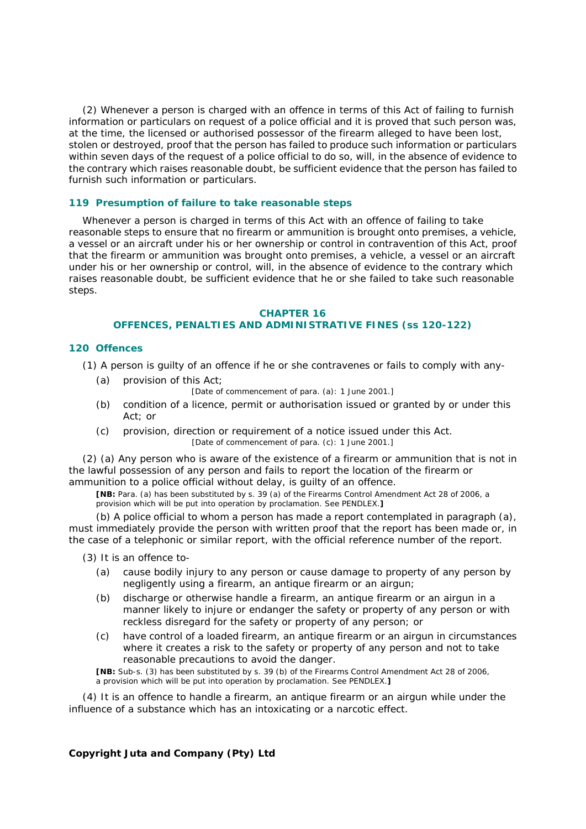(2) Whenever a person is charged with an offence in terms of this Act of failing to furnish information or particulars on request of a police official and it is proved that such person was, at the time, the licensed or authorised possessor of the firearm alleged to have been lost, stolen or destroyed, proof that the person has failed to produce such information or particulars within seven days of the request of a police official to do so, will, in the absence of evidence to the contrary which raises reasonable doubt, be sufficient evidence that the person has failed to furnish such information or particulars.

#### **119 Presumption of failure to take reasonable steps**

Whenever a person is charged in terms of this Act with an offence of failing to take reasonable steps to ensure that no firearm or ammunition is brought onto premises, a vehicle, a vessel or an aircraft under his or her ownership or control in contravention of this Act, proof that the firearm or ammunition was brought onto premises, a vehicle, a vessel or an aircraft under his or her ownership or control, will, in the absence of evidence to the contrary which raises reasonable doubt, be sufficient evidence that he or she failed to take such reasonable steps.

### **CHAPTER 16**

## **OFFENCES, PENALTIES AND ADMINISTRATIVE FINES (ss 120-122)**

#### **120 Offences**

(1) A person is guilty of an offence if he or she contravenes or fails to comply with any-

- *(a)* provision of this Act;
	- [Date of commencement of para. *(a)*: 1 June 2001.]
- *(b)* condition of a licence, permit or authorisation issued or granted by or under this Act; or
- *(c)* provision, direction or requirement of a notice issued under this Act. [Date of commencement of para. *(c)*: 1 June 2001.]

(2) *(a)* Any person who is aware of the existence of a firearm or ammunition that is not in the lawful possession of any person and fails to report the location of the firearm or ammunition to a police official without delay, is guilty of an offence.

**[NB:** Para. *(a)* has been substituted by s. 39 *(a)* of the Firearms Control Amendment Act 28 of 2006, a provision which will be put into operation by proclamation. See PENDLEX.**]**

*(b)* A police official to whom a person has made a report contemplated in paragraph *(a)*, must immediately provide the person with written proof that the report has been made or, in the case of a telephonic or similar report, with the official reference number of the report.

- (3) It is an offence to-
	- *(a)* cause bodily injury to any person or cause damage to property of any person by negligently using a firearm, an antique firearm or an airgun;
	- *(b)* discharge or otherwise handle a firearm, an antique firearm or an airgun in a manner likely to injure or endanger the safety or property of any person or with reckless disregard for the safety or property of any person; or
	- *(c)* have control of a loaded firearm, an antique firearm or an airgun in circumstances where it creates a risk to the safety or property of any person and not to take reasonable precautions to avoid the danger.

**[NB:** Sub-s. (3) has been substituted by s. 39 *(b)* of the Firearms Control Amendment Act 28 of 2006, a provision which will be put into operation by proclamation. See PENDLEX.**]**

(4) It is an offence to handle a firearm, an antique firearm or an airgun while under the influence of a substance which has an intoxicating or a narcotic effect.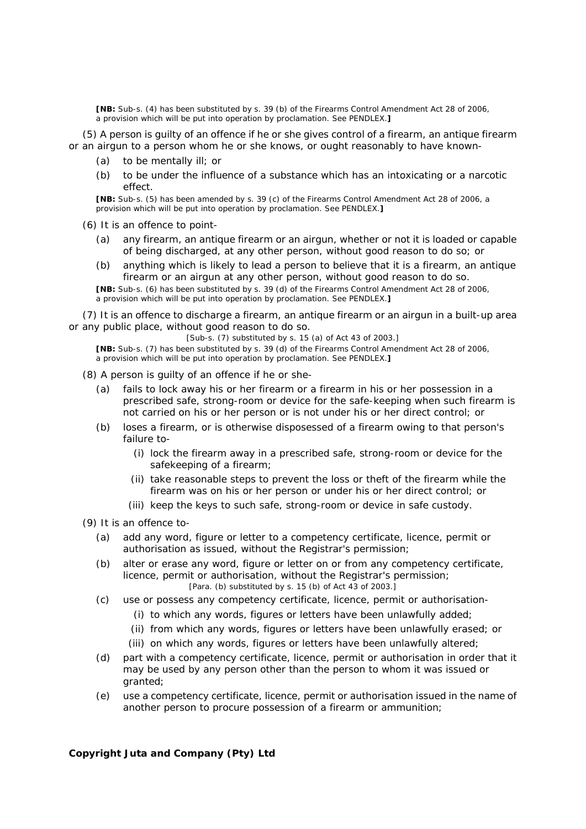**[NB:** Sub-s. (4) has been substituted by s. 39 *(b)* of the Firearms Control Amendment Act 28 of 2006, a provision which will be put into operation by proclamation. See PENDLEX.**]**

(5) A person is guilty of an offence if he or she gives control of a firearm, an antique firearm or an airgun to a person whom he or she knows, or ought reasonably to have known-

- *(a)* to be mentally ill; or
- *(b)* to be under the influence of a substance which has an intoxicating or a narcotic effect.

**[NB:** Sub-s. (5) has been amended by s. 39 *(c)* of the Firearms Control Amendment Act 28 of 2006, a provision which will be put into operation by proclamation. See PENDLEX.**]**

(6) It is an offence to point-

- *(a)* any firearm, an antique firearm or an airgun, whether or not it is loaded or capable of being discharged, at any other person, without good reason to do so; or
- *(b)* anything which is likely to lead a person to believe that it is a firearm, an antique firearm or an airgun at any other person, without good reason to do so.

**[NB:** Sub-s. (6) has been substituted by s. 39 *(d)* of the Firearms Control Amendment Act 28 of 2006, a provision which will be put into operation by proclamation. See PENDLEX.**]**

(7) It is an offence to discharge a firearm, an antique firearm or an airgun in a built-up area or any public place, without good reason to do so.

[Sub-s. (7) substituted by s. 15 *(a)* of Act 43 of 2003.]

**[NB:** Sub-s. (7) has been substituted by s. 39 *(d)* of the Firearms Control Amendment Act 28 of 2006, a provision which will be put into operation by proclamation. See PENDLEX.**]**

- (8) A person is guilty of an offence if he or she-
	- *(a)* fails to lock away his or her firearm or a firearm in his or her possession in a prescribed safe, strong-room or device for the safe-keeping when such firearm is not carried on his or her person or is not under his or her direct control; or
	- *(b)* loses a firearm, or is otherwise disposessed of a firearm owing to that person's failure to-
		- (i) lock the firearm away in a prescribed safe, strong-room or device for the safekeeping of a firearm;
		- (ii) take reasonable steps to prevent the loss or theft of the firearm while the firearm was on his or her person or under his or her direct control; or
		- (iii) keep the keys to such safe, strong-room or device in safe custody.

(9) It is an offence to-

- *(a)* add any word, figure or letter to a competency certificate, licence, permit or authorisation as issued, without the Registrar's permission;
- *(b)* alter or erase any word, figure or letter on or from any competency certificate, licence, permit or authorisation, without the Registrar's permission; [Para. *(b)* substituted by s. 15 *(b)* of Act 43 of 2003.]
- *(c)* use or possess any competency certificate, licence, permit or authorisation-
	- (i) to which any words, figures or letters have been unlawfully added;
	- (ii) from which any words, figures or letters have been unlawfully erased; or
	- (iii) on which any words, figures or letters have been unlawfully altered;
- *(d)* part with a competency certificate, licence, permit or authorisation in order that it may be used by any person other than the person to whom it was issued or granted;
- *(e)* use a competency certificate, licence, permit or authorisation issued in the name of another person to procure possession of a firearm or ammunition;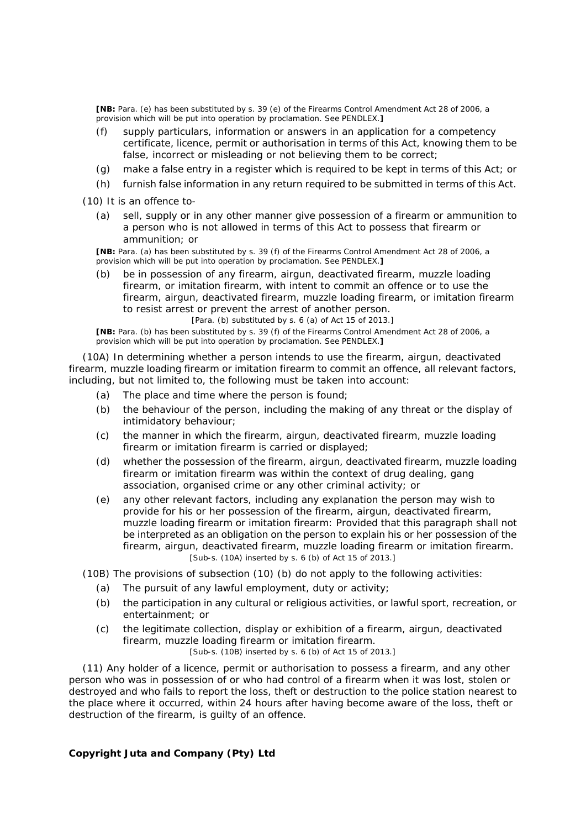**[NB:** Para. *(e)* has been substituted by s. 39 *(e)* of the Firearms Control Amendment Act 28 of 2006, a provision which will be put into operation by proclamation. See PENDLEX.**]**

- *(f)* supply particulars, information or answers in an application for a competency certificate, licence, permit or authorisation in terms of this Act, knowing them to be false, incorrect or misleading or not believing them to be correct;
- *(g)* make a false entry in a register which is required to be kept in terms of this Act; or
- *(h)* furnish false information in any return required to be submitted in terms of this Act.

(10) It is an offence to-

*(a)* sell, supply or in any other manner give possession of a firearm or ammunition to a person who is not allowed in terms of this Act to possess that firearm or ammunition; or

**[NB:** Para. *(a)* has been substituted by s. 39 *(f)* of the Firearms Control Amendment Act 28 of 2006, a provision which will be put into operation by proclamation. See PENDLEX.**]**

*(b)* be in possession of any firearm, airgun, deactivated firearm, muzzle loading firearm, or imitation firearm, with intent to commit an offence or to use the firearm, airgun, deactivated firearm, muzzle loading firearm, or imitation firearm to resist arrest or prevent the arrest of another person.

[Para. *(b)* substituted by s. 6 *(a)* of Act 15 of 2013.]

**[NB:** Para. *(b)* has been substituted by s. 39 *(f)* of the Firearms Control Amendment Act 28 of 2006, a provision which will be put into operation by proclamation. See PENDLEX.**]**

(10A) In determining whether a person intends to use the firearm, airgun, deactivated firearm, muzzle loading firearm or imitation firearm to commit an offence, all relevant factors, including, but not limited to, the following must be taken into account:

- *(a)* The place and time where the person is found;
- *(b)* the behaviour of the person, including the making of any threat or the display of intimidatory behaviour;
- *(c)* the manner in which the firearm, airgun, deactivated firearm, muzzle loading firearm or imitation firearm is carried or displayed;
- *(d)* whether the possession of the firearm, airgun, deactivated firearm, muzzle loading firearm or imitation firearm was within the context of drug dealing, gang association, organised crime or any other criminal activity; or
- *(e)* any other relevant factors, including any explanation the person may wish to provide for his or her possession of the firearm, airgun, deactivated firearm, muzzle loading firearm or imitation firearm: Provided that this paragraph shall not be interpreted as an obligation on the person to explain his or her possession of the firearm, airgun, deactivated firearm, muzzle loading firearm or imitation firearm. [Sub-s. (10A) inserted by s. 6 *(b)* of Act 15 of 2013.]

(10B) The provisions of subsection (10) *(b)* do not apply to the following activities:

- *(a)* The pursuit of any lawful employment, duty or activity;
- *(b)* the participation in any cultural or religious activities, or lawful sport, recreation, or entertainment; or
- *(c)* the legitimate collection, display or exhibition of a firearm, airgun, deactivated firearm, muzzle loading firearm or imitation firearm.

[Sub-s. (10B) inserted by s. 6 *(b)* of Act 15 of 2013.]

(11) Any holder of a licence, permit or authorisation to possess a firearm, and any other person who was in possession of or who had control of a firearm when it was lost, stolen or destroyed and who fails to report the loss, theft or destruction to the police station nearest to the place where it occurred, within 24 hours after having become aware of the loss, theft or destruction of the firearm, is guilty of an offence.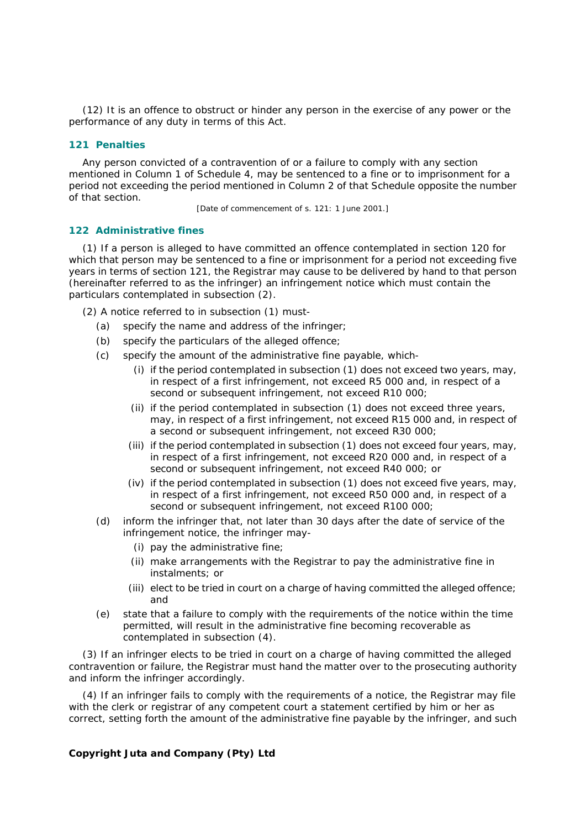(12) It is an offence to obstruct or hinder any person in the exercise of any power or the performance of any duty in terms of this Act.

## **121 Penalties**

Any person convicted of a contravention of or a failure to comply with any section mentioned in Column 1 of Schedule 4, may be sentenced to a fine or to imprisonment for a period not exceeding the period mentioned in Column 2 of that Schedule opposite the number of that section.

[Date of commencement of s. 121: 1 June 2001.]

#### **122 Administrative fines**

(1) If a person is alleged to have committed an offence contemplated in section 120 for which that person may be sentenced to a fine or imprisonment for a period not exceeding five years in terms of section 121, the Registrar may cause to be delivered by hand to that person (hereinafter referred to as the infringer) an infringement notice which must contain the particulars contemplated in subsection (2).

(2) A notice referred to in subsection (1) must-

- *(a)* specify the name and address of the infringer;
- *(b)* specify the particulars of the alleged offence;
- *(c)* specify the amount of the administrative fine payable, which-
	- (i) if the period contemplated in subsection (1) does not exceed two years, may, in respect of a first infringement, not exceed R5 000 and, in respect of a second or subsequent infringement, not exceed R10 000;
	- (ii) if the period contemplated in subsection (1) does not exceed three years, may, in respect of a first infringement, not exceed R15 000 and, in respect of a second or subsequent infringement, not exceed R30 000;
	- (iii) if the period contemplated in subsection (1) does not exceed four years, may, in respect of a first infringement, not exceed R20 000 and, in respect of a second or subsequent infringement, not exceed R40 000; or
	- (iv) if the period contemplated in subsection (1) does not exceed five years, may, in respect of a first infringement, not exceed R50 000 and, in respect of a second or subsequent infringement, not exceed R100 000;
- *(d)* inform the infringer that, not later than 30 days after the date of service of the infringement notice, the infringer may-
	- (i) pay the administrative fine;
	- (ii) make arrangements with the Registrar to pay the administrative fine in instalments; or
	- (iii) elect to be tried in court on a charge of having committed the alleged offence; and
- *(e)* state that a failure to comply with the requirements of the notice within the time permitted, will result in the administrative fine becoming recoverable as contemplated in subsection (4).

(3) If an infringer elects to be tried in court on a charge of having committed the alleged contravention or failure, the Registrar must hand the matter over to the prosecuting authority and inform the infringer accordingly.

(4) If an infringer fails to comply with the requirements of a notice, the Registrar may file with the clerk or registrar of any competent court a statement certified by him or her as correct, setting forth the amount of the administrative fine payable by the infringer, and such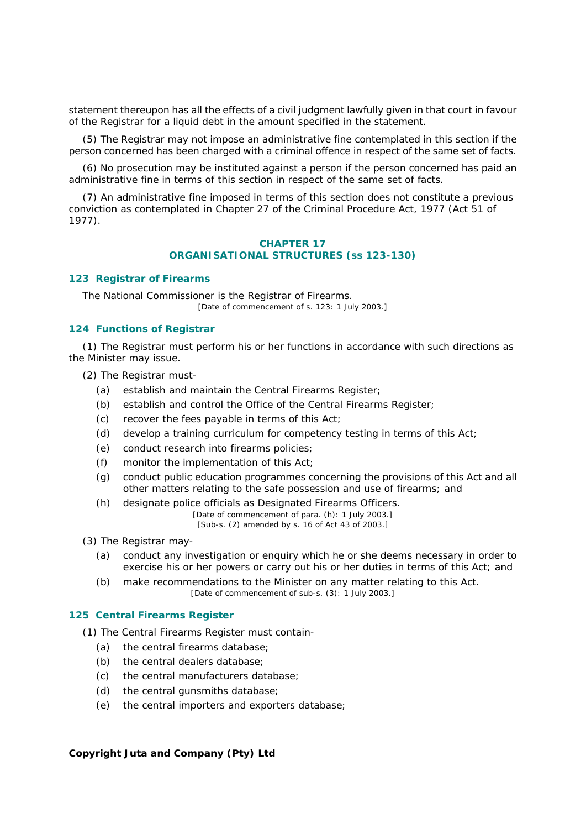statement thereupon has all the effects of a civil judgment lawfully given in that court in favour of the Registrar for a liquid debt in the amount specified in the statement.

(5) The Registrar may not impose an administrative fine contemplated in this section if the person concerned has been charged with a criminal offence in respect of the same set of facts.

(6) No prosecution may be instituted against a person if the person concerned has paid an administrative fine in terms of this section in respect of the same set of facts.

(7) An administrative fine imposed in terms of this section does not constitute a previous conviction as contemplated in Chapter 27 of the Criminal Procedure Act, 1977 (Act 51 of 1977).

### **CHAPTER 17 ORGANISATIONAL STRUCTURES (ss 123-130)**

### **123 Registrar of Firearms**

The National Commissioner is the Registrar of Firearms. [Date of commencement of s. 123: 1 July 2003.]

## **124 Functions of Registrar**

(1) The Registrar must perform his or her functions in accordance with such directions as the Minister may issue.

- (2) The Registrar must-
	- *(a)* establish and maintain the Central Firearms Register;
	- *(b)* establish and control the Office of the Central Firearms Register;
	- *(c)* recover the fees payable in terms of this Act;
	- *(d)* develop a training curriculum for competency testing in terms of this Act;
	- *(e)* conduct research into firearms policies;
	- *(f)* monitor the implementation of this Act;
	- *(g)* conduct public education programmes concerning the provisions of this Act and all other matters relating to the safe possession and use of firearms; and
	- *(h)* designate police officials as Designated Firearms Officers.

[Date of commencement of para. *(h)*: 1 July 2003.] [Sub-s. (2) amended by s. 16 of Act 43 of 2003.]

(3) The Registrar may-

- *(a)* conduct any investigation or enquiry which he or she deems necessary in order to exercise his or her powers or carry out his or her duties in terms of this Act; and
- *(b)* make recommendations to the Minister on any matter relating to this Act. [Date of commencement of sub-s. (3): 1 July 2003.]

#### **125 Central Firearms Register**

(1) The Central Firearms Register must contain-

- *(a)* the central firearms database;
- *(b)* the central dealers database;
- *(c)* the central manufacturers database;
- *(d)* the central gunsmiths database;
- *(e)* the central importers and exporters database;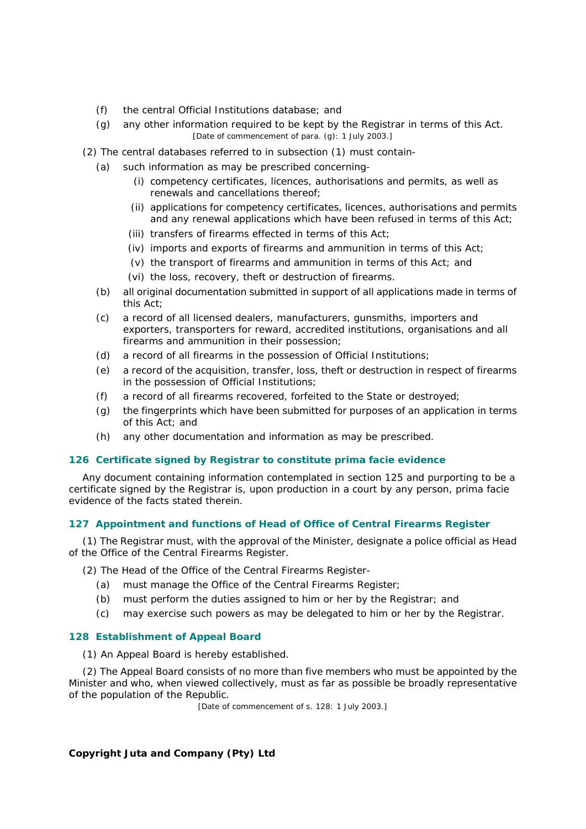- *(f)* the central Official Institutions database; and
- *(g)* any other information required to be kept by the Registrar in terms of this Act. [Date of commencement of para. *(g)*: 1 July 2003.]
- (2) The central databases referred to in subsection (1) must contain-
	- *(a)* such information as may be prescribed concerning-
		- (i) competency certificates, licences, authorisations and permits, as well as renewals and cancellations thereof;
		- (ii) applications for competency certificates, licences, authorisations and permits and any renewal applications which have been refused in terms of this Act;
		- (iii) transfers of firearms effected in terms of this Act;
		- (iv) imports and exports of firearms and ammunition in terms of this Act;
		- (v) the transport of firearms and ammunition in terms of this Act; and
		- (vi) the loss, recovery, theft or destruction of firearms.
	- *(b)* all original documentation submitted in support of all applications made in terms of this Act;
	- *(c)* a record of all licensed dealers, manufacturers, gunsmiths, importers and exporters, transporters for reward, accredited institutions, organisations and all firearms and ammunition in their possession;
	- *(d)* a record of all firearms in the possession of Official Institutions;
	- *(e)* a record of the acquisition, transfer, loss, theft or destruction in respect of firearms in the possession of Official Institutions;
	- *(f)* a record of all firearms recovered, forfeited to the State or destroyed;
	- *(g)* the fingerprints which have been submitted for purposes of an application in terms of this Act; and
	- *(h)* any other documentation and information as may be prescribed.

# **126 Certificate signed by Registrar to constitute** *prima facie* **evidence**

Any document containing information contemplated in section 125 and purporting to be a certificate signed by the Registrar is, upon production in a court by any person, *prima facie* evidence of the facts stated therein.

# **127 Appointment and functions of Head of Office of Central Firearms Register**

(1) The Registrar must, with the approval of the Minister, designate a police official as Head of the Office of the Central Firearms Register.

(2) The Head of the Office of the Central Firearms Register-

- *(a)* must manage the Office of the Central Firearms Register;
- *(b)* must perform the duties assigned to him or her by the Registrar; and
- *(c)* may exercise such powers as may be delegated to him or her by the Registrar.

### **128 Establishment of Appeal Board**

(1) An Appeal Board is hereby established.

(2) The Appeal Board consists of no more than five members who must be appointed by the Minister and who, when viewed collectively, must as far as possible be broadly representative of the population of the Republic.

[Date of commencement of s. 128: 1 July 2003.]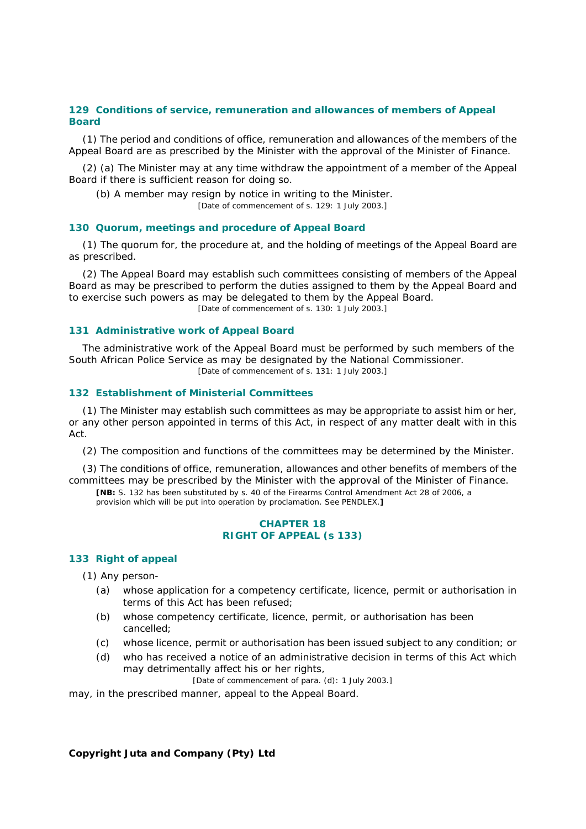### **129 Conditions of service, remuneration and allowances of members of Appeal Board**

(1) The period and conditions of office, remuneration and allowances of the members of the Appeal Board are as prescribed by the Minister with the approval of the Minister of Finance.

(2) *(a)* The Minister may at any time withdraw the appointment of a member of the Appeal Board if there is sufficient reason for doing so.

*(b)* A member may resign by notice in writing to the Minister.

[Date of commencement of s. 129: 1 July 2003.]

#### **130 Quorum, meetings and procedure of Appeal Board**

(1) The quorum for, the procedure at, and the holding of meetings of the Appeal Board are as prescribed.

(2) The Appeal Board may establish such committees consisting of members of the Appeal Board as may be prescribed to perform the duties assigned to them by the Appeal Board and to exercise such powers as may be delegated to them by the Appeal Board. [Date of commencement of s. 130: 1 July 2003.]

#### **131 Administrative work of Appeal Board**

The administrative work of the Appeal Board must be performed by such members of the South African Police Service as may be designated by the National Commissioner. [Date of commencement of s. 131: 1 July 2003.]

## **132 Establishment of Ministerial Committees**

(1) The Minister may establish such committees as may be appropriate to assist him or her, or any other person appointed in terms of this Act, in respect of any matter dealt with in this Act.

(2) The composition and functions of the committees may be determined by the Minister.

(3) The conditions of office, remuneration, allowances and other benefits of members of the committees may be prescribed by the Minister with the approval of the Minister of Finance.

**[NB:** S. 132 has been substituted by s. 40 of the Firearms Control Amendment Act 28 of 2006, a provision which will be put into operation by proclamation. See PENDLEX.**]**

### **CHAPTER 18 RIGHT OF APPEAL (s 133)**

### **133 Right of appeal**

(1) Any person-

- *(a)* whose application for a competency certificate, licence, permit or authorisation in terms of this Act has been refused;
- *(b)* whose competency certificate, licence, permit, or authorisation has been cancelled;
- *(c)* whose licence, permit or authorisation has been issued subject to any condition; or
- *(d)* who has received a notice of an administrative decision in terms of this Act which may detrimentally affect his or her rights,

[Date of commencement of para. *(d)*: 1 July 2003.]

may, in the prescribed manner, appeal to the Appeal Board.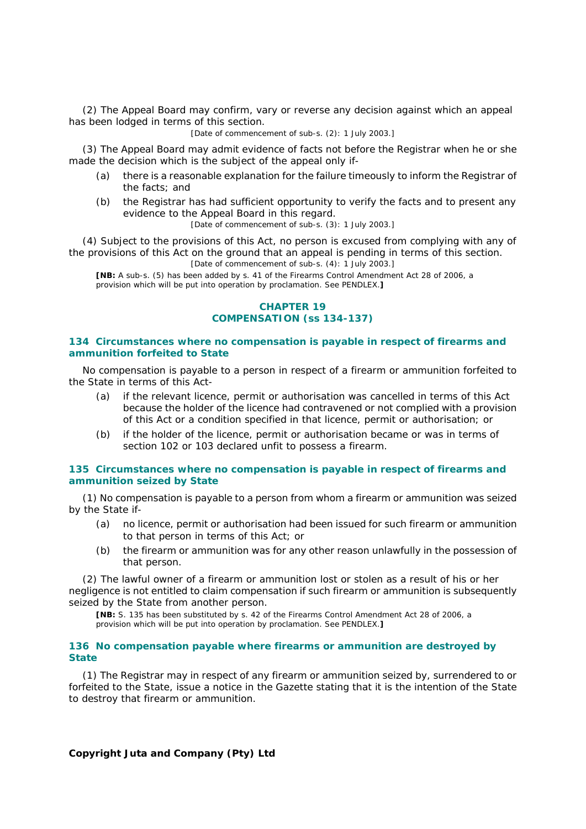(2) The Appeal Board may confirm, vary or reverse any decision against which an appeal has been lodged in terms of this section.

[Date of commencement of sub-s. (2): 1 July 2003.]

(3) The Appeal Board may admit evidence of facts not before the Registrar when he or she made the decision which is the subject of the appeal only if-

- *(a)* there is a reasonable explanation for the failure timeously to inform the Registrar of the facts; and
- *(b)* the Registrar has had sufficient opportunity to verify the facts and to present any evidence to the Appeal Board in this regard.

[Date of commencement of sub-s. (3): 1 July 2003.]

(4) Subject to the provisions of this Act, no person is excused from complying with any of the provisions of this Act on the ground that an appeal is pending in terms of this section.

[Date of commencement of sub-s. (4): 1 July 2003.]

**[NB:** A sub-s. (5) has been added by s. 41 of the Firearms Control Amendment Act 28 of 2006, a provision which will be put into operation by proclamation. See PENDLEX.**]**

## **CHAPTER 19 COMPENSATION (ss 134-137)**

#### **134 Circumstances where no compensation is payable in respect of firearms and ammunition forfeited to State**

No compensation is payable to a person in respect of a firearm or ammunition forfeited to the State in terms of this Act-

- *(a)* if the relevant licence, permit or authorisation was cancelled in terms of this Act because the holder of the licence had contravened or not complied with a provision of this Act or a condition specified in that licence, permit or authorisation; or
- *(b)* if the holder of the licence, permit or authorisation became or was in terms of section 102 or 103 declared unfit to possess a firearm.

## **135 Circumstances where no compensation is payable in respect of firearms and ammunition seized by State**

(1) No compensation is payable to a person from whom a firearm or ammunition was seized by the State if-

- *(a)* no licence, permit or authorisation had been issued for such firearm or ammunition to that person in terms of this Act; or
- *(b)* the firearm or ammunition was for any other reason unlawfully in the possession of that person.

(2) The lawful owner of a firearm or ammunition lost or stolen as a result of his or her negligence is not entitled to claim compensation if such firearm or ammunition is subsequently seized by the State from another person.

**[NB:** S. 135 has been substituted by s. 42 of the Firearms Control Amendment Act 28 of 2006, a provision which will be put into operation by proclamation. See PENDLEX.**]**

#### **136 No compensation payable where firearms or ammunition are destroyed by State**

(1) The Registrar may in respect of any firearm or ammunition seized by, surrendered to or forfeited to the State, issue a notice in the *Gazette* stating that it is the intention of the State to destroy that firearm or ammunition.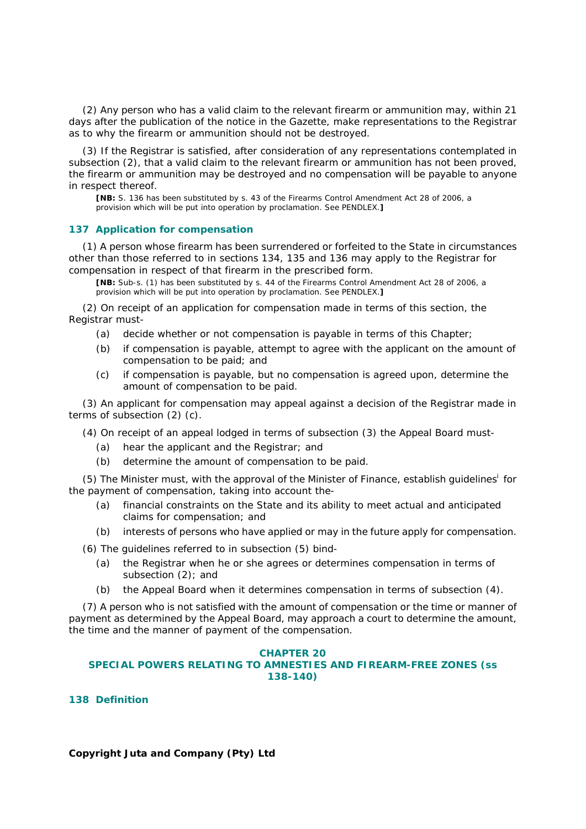(2) Any person who has a valid claim to the relevant firearm or ammunition may, within 21 days after the publication of the notice in the *Gazette*, make representations to the Registrar as to why the firearm or ammunition should not be destroyed.

(3) If the Registrar is satisfied, after consideration of any representations contemplated in subsection (2), that a valid claim to the relevant firearm or ammunition has not been proved, the firearm or ammunition may be destroyed and no compensation will be payable to anyone in respect thereof.

**[NB:** S. 136 has been substituted by s. 43 of the Firearms Control Amendment Act 28 of 2006, a provision which will be put into operation by proclamation. See PENDLEX.**]**

### **137 Application for compensation**

(1) A person whose firearm has been surrendered or forfeited to the State in circumstances other than those referred to in sections 134, 135 and 136 may apply to the Registrar for compensation in respect of that firearm in the prescribed form.

**[NB:** Sub-s. (1) has been substituted by s. 44 of the Firearms Control Amendment Act 28 of 2006, a provision which will be put into operation by proclamation. See PENDLEX.**]**

(2) On receipt of an application for compensation made in terms of this section, the Registrar must-

- *(a)* decide whether or not compensation is payable in terms of this Chapter;
- *(b)* if compensation is payable, attempt to agree with the applicant on the amount of compensation to be paid; and
- *(c)* if compensation is payable, but no compensation is agreed upon, determine the amount of compensation to be paid.

(3) An applicant for compensation may appeal against a decision of the Registrar made in terms of subsection (2) *(c)*.

(4) On receipt of an appeal lodged in terms of subsection (3) the Appeal Board must-

- *(a)* hear the applicant and the Registrar; and
- *(b)* determine the amount of compensation to be paid.

(5) The Minister must, with the approval of the Minister of Finance, establish guidelines<sup>i</sup> for the payment of compensation, taking into account the-

- *(a)* financial constraints on the State and its ability to meet actual and anticipated claims for compensation; and
- *(b)* interests of persons who have applied or may in the future apply for compensation.

(6) The guidelines referred to in subsection (5) bind-

- *(a)* the Registrar when he or she agrees or determines compensation in terms of subsection (2); and
- *(b)* the Appeal Board when it determines compensation in terms of subsection (4).

(7) A person who is not satisfied with the amount of compensation or the time or manner of payment as determined by the Appeal Board, may approach a court to determine the amount, the time and the manner of payment of the compensation.

#### **CHAPTER 20**

### **SPECIAL POWERS RELATING TO AMNESTIES AND FIREARM-FREE ZONES (ss 138-140)**

**138 Definition**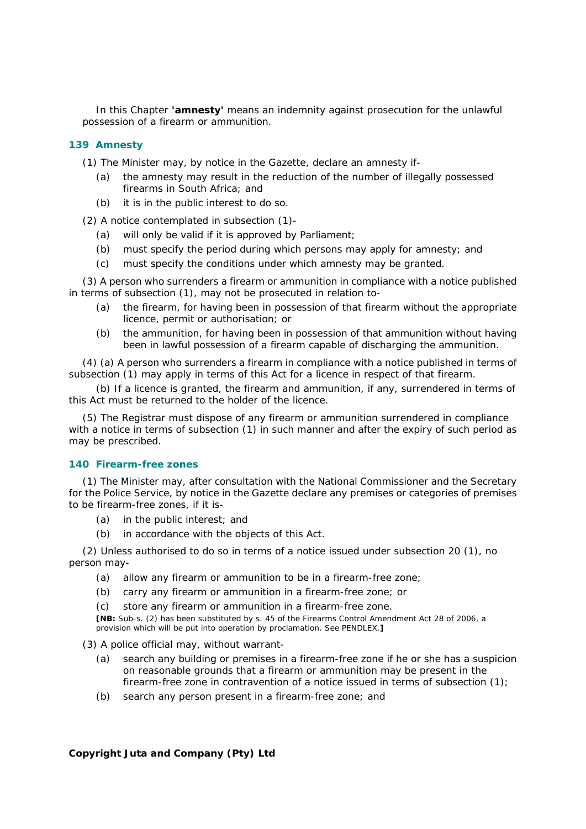In this Chapter **'amnesty'** means an indemnity against prosecution for the unlawful possession of a firearm or ammunition.

# **139 Amnesty**

(1) The Minister may, by notice in the *Gazette*, declare an amnesty if-

- *(a)* the amnesty may result in the reduction of the number of illegally possessed firearms in South Africa; and
- *(b)* it is in the public interest to do so.

(2) A notice contemplated in subsection (1)-

- *(a)* will only be valid if it is approved by Parliament;
- *(b)* must specify the period during which persons may apply for amnesty; and
- *(c)* must specify the conditions under which amnesty may be granted.

(3) A person who surrenders a firearm or ammunition in compliance with a notice published in terms of subsection (1), may not be prosecuted in relation to-

- *(a)* the firearm, for having been in possession of that firearm without the appropriate licence, permit or authorisation; or
- *(b)* the ammunition, for having been in possession of that ammunition without having been in lawful possession of a firearm capable of discharging the ammunition.

(4) *(a)* A person who surrenders a firearm in compliance with a notice published in terms of subsection (1) may apply in terms of this Act for a licence in respect of that firearm.

*(b)* If a licence is granted, the firearm and ammunition, if any, surrendered in terms of this Act must be returned to the holder of the licence.

(5) The Registrar must dispose of any firearm or ammunition surrendered in compliance with a notice in terms of subsection (1) in such manner and after the expiry of such period as may be prescribed.

### **140 Firearm-free zones**

(1) The Minister may, after consultation with the National Commissioner and the Secretary for the Police Service, by notice in the *Gazette* declare any premises or categories of premises to be firearm-free zones, if it is-

- *(a)* in the public interest; and
- *(b)* in accordance with the objects of this Act.

(2) Unless authorised to do so in terms of a notice issued under subsection 20 (1), no person may-

- *(a)* allow any firearm or ammunition to be in a firearm-free zone;
- *(b)* carry any firearm or ammunition in a firearm-free zone; or
- *(c)* store any firearm or ammunition in a firearm-free zone.

**[NB:** Sub-s. (2) has been substituted by s. 45 of the Firearms Control Amendment Act 28 of 2006, a provision which will be put into operation by proclamation. See PENDLEX.**]**

(3) A police official may, without warrant-

- *(a)* search any building or premises in a firearm-free zone if he or she has a suspicion on reasonable grounds that a firearm or ammunition may be present in the firearm-free zone in contravention of a notice issued in terms of subsection (1);
- *(b)* search any person present in a firearm-free zone; and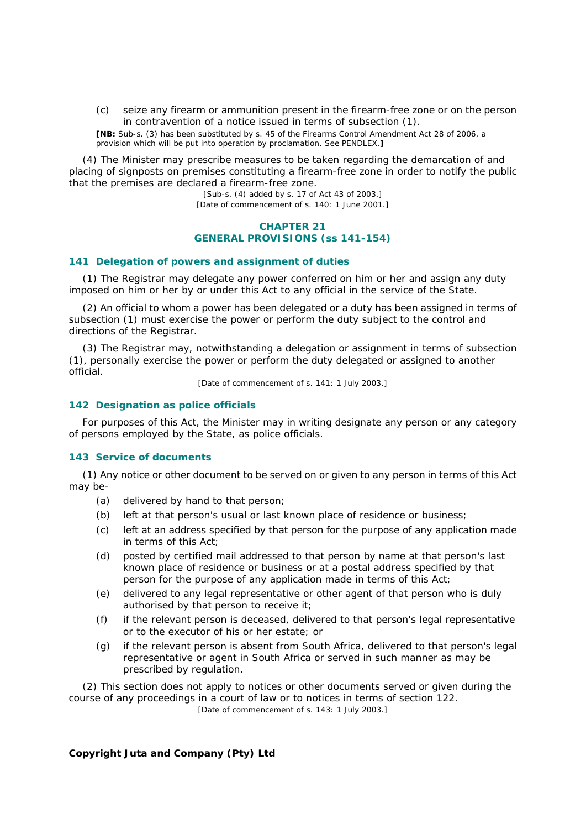*(c)* seize any firearm or ammunition present in the firearm-free zone or on the person in contravention of a notice issued in terms of subsection (1).

**[NB:** Sub-s. (3) has been substituted by s. 45 of the Firearms Control Amendment Act 28 of 2006, a provision which will be put into operation by proclamation. See PENDLEX.**]**

(4) The Minister may prescribe measures to be taken regarding the demarcation of and placing of signposts on premises constituting a firearm-free zone in order to notify the public that the premises are declared a firearm-free zone.

[Sub-s. (4) added by s. 17 of Act 43 of 2003.] [Date of commencement of s. 140: 1 June 2001.]

## **CHAPTER 21 GENERAL PROVISIONS (ss 141-154)**

#### **141 Delegation of powers and assignment of duties**

(1) The Registrar may delegate any power conferred on him or her and assign any duty imposed on him or her by or under this Act to any official in the service of the State.

(2) An official to whom a power has been delegated or a duty has been assigned in terms of subsection (1) must exercise the power or perform the duty subject to the control and directions of the Registrar.

(3) The Registrar may, notwithstanding a delegation or assignment in terms of subsection (1), personally exercise the power or perform the duty delegated or assigned to another official.

[Date of commencement of s. 141: 1 July 2003.]

### **142 Designation as police officials**

For purposes of this Act, the Minister may in writing designate any person or any category of persons employed by the State, as police officials.

## **143 Service of documents**

(1) Any notice or other document to be served on or given to any person in terms of this Act may be-

- *(a)* delivered by hand to that person;
- *(b)* left at that person's usual or last known place of residence or business;
- *(c)* left at an address specified by that person for the purpose of any application made in terms of this Act;
- *(d)* posted by certified mail addressed to that person by name at that person's last known place of residence or business or at a postal address specified by that person for the purpose of any application made in terms of this Act;
- *(e)* delivered to any legal representative or other agent of that person who is duly authorised by that person to receive it;
- *(f)* if the relevant person is deceased, delivered to that person's legal representative or to the executor of his or her estate; or
- *(g)* if the relevant person is absent from South Africa, delivered to that person's legal representative or agent in South Africa or served in such manner as may be prescribed by regulation.

(2) This section does not apply to notices or other documents served or given during the course of any proceedings in a court of law or to notices in terms of section 122. [Date of commencement of s. 143: 1 July 2003.]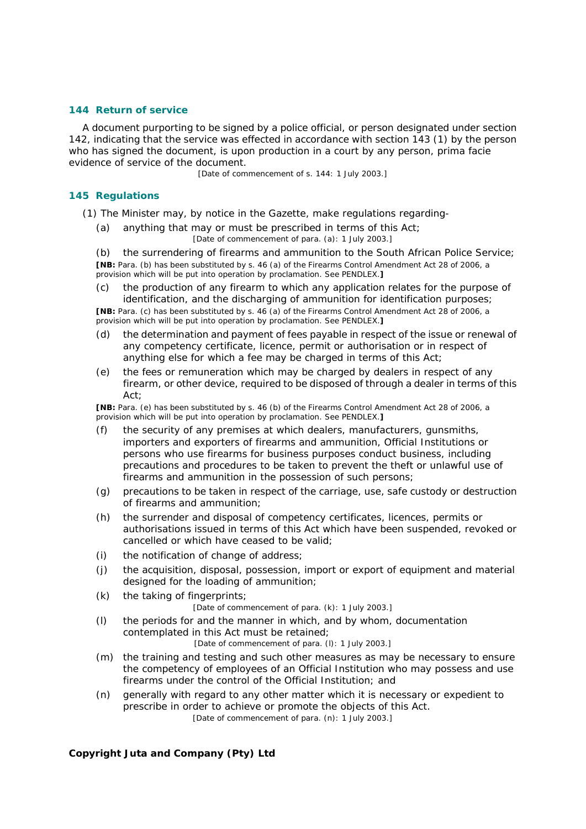### **144 Return of service**

A document purporting to be signed by a police official, or person designated under section 142, indicating that the service was effected in accordance with section 143 (1) by the person who has signed the document, is upon production in a court by any person, *prima facie* evidence of service of the document.

[Date of commencement of s. 144: 1 July 2003.]

### **145 Regulations**

(1) The Minister may, by notice in the *Gazette*, make regulations regarding-

*(a)* anything that may or must be prescribed in terms of this Act;

[Date of commencement of para. *(a)*: 1 July 2003.]

*(b)* the surrendering of firearms and ammunition to the South African Police Service; **[NB:** Para. *(b)* has been substituted by s. 46 *(a)* of the Firearms Control Amendment Act 28 of 2006, a provision which will be put into operation by proclamation. See PENDLEX.**]**

*(c)* the production of any firearm to which any application relates for the purpose of identification, and the discharging of ammunition for identification purposes;

**[NB:** Para. *(c)* has been substituted by s. 46 *(a)* of the Firearms Control Amendment Act 28 of 2006, a provision which will be put into operation by proclamation. See PENDLEX.**]**

- *(d)* the determination and payment of fees payable in respect of the issue or renewal of any competency certificate, licence, permit or authorisation or in respect of anything else for which a fee may be charged in terms of this Act;
- *(e)* the fees or remuneration which may be charged by dealers in respect of any firearm, or other device, required to be disposed of through a dealer in terms of this  $Act'$

**[NB:** Para. *(e)* has been substituted by s. 46 *(b)* of the Firearms Control Amendment Act 28 of 2006, a provision which will be put into operation by proclamation. See PENDLEX.**]**

- *(f)* the security of any premises at which dealers, manufacturers, gunsmiths, importers and exporters of firearms and ammunition, Official Institutions or persons who use firearms for business purposes conduct business, including precautions and procedures to be taken to prevent the theft or unlawful use of firearms and ammunition in the possession of such persons;
- *(g)* precautions to be taken in respect of the carriage, use, safe custody or destruction of firearms and ammunition;
- *(h)* the surrender and disposal of competency certificates, licences, permits or authorisations issued in terms of this Act which have been suspended, revoked or cancelled or which have ceased to be valid;
- *(i)* the notification of change of address;
- *(j)* the acquisition, disposal, possession, import or export of equipment and material designed for the loading of ammunition;
- *(k)* the taking of fingerprints;

[Date of commencement of para. *(k)*: 1 July 2003.]

*(l)* the periods for and the manner in which, and by whom, documentation contemplated in this Act must be retained;

[Date of commencement of para. *(l)*: 1 July 2003.]

- *(m)* the training and testing and such other measures as may be necessary to ensure the competency of employees of an Official Institution who may possess and use firearms under the control of the Official Institution; and
- *(n)* generally with regard to any other matter which it is necessary or expedient to prescribe in order to achieve or promote the objects of this Act.

[Date of commencement of para. *(n)*: 1 July 2003.]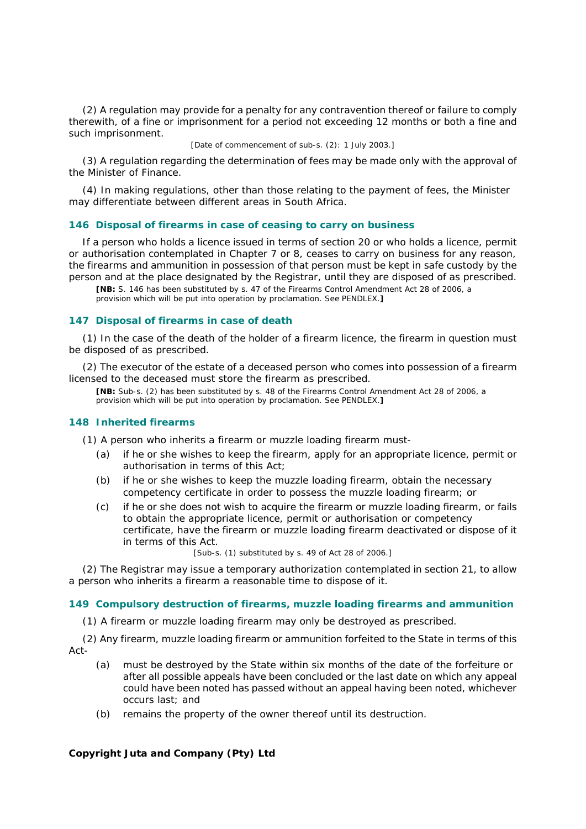(2) A regulation may provide for a penalty for any contravention thereof or failure to comply therewith, of a fine or imprisonment for a period not exceeding 12 months or both a fine and such imprisonment.

[Date of commencement of sub-s. (2): 1 July 2003.]

(3) A regulation regarding the determination of fees may be made only with the approval of the Minister of Finance.

(4) In making regulations, other than those relating to the payment of fees, the Minister may differentiate between different areas in South Africa.

#### **146 Disposal of firearms in case of ceasing to carry on business**

If a person who holds a licence issued in terms of section 20 or who holds a licence, permit or authorisation contemplated in Chapter 7 or 8, ceases to carry on business for any reason, the firearms and ammunition in possession of that person must be kept in safe custody by the person and at the place designated by the Registrar, until they are disposed of as prescribed.

**[NB:** S. 146 has been substituted by s. 47 of the Firearms Control Amendment Act 28 of 2006, a provision which will be put into operation by proclamation. See PENDLEX.**]**

#### **147 Disposal of firearms in case of death**

(1) In the case of the death of the holder of a firearm licence, the firearm in question must be disposed of as prescribed.

(2) The executor of the estate of a deceased person who comes into possession of a firearm licensed to the deceased must store the firearm as prescribed.

**[NB:** Sub-s. (2) has been substituted by s. 48 of the Firearms Control Amendment Act 28 of 2006, a provision which will be put into operation by proclamation. See PENDLEX.**]**

#### **148 Inherited firearms**

(1) A person who inherits a firearm or muzzle loading firearm must-

- *(a)* if he or she wishes to keep the firearm, apply for an appropriate licence, permit or authorisation in terms of this Act;
- *(b)* if he or she wishes to keep the muzzle loading firearm, obtain the necessary competency certificate in order to possess the muzzle loading firearm; or
- *(c)* if he or she does not wish to acquire the firearm or muzzle loading firearm, or fails to obtain the appropriate licence, permit or authorisation or competency certificate, have the firearm or muzzle loading firearm deactivated or dispose of it in terms of this Act.

[Sub-s. (1) substituted by s. 49 of Act 28 of 2006.]

(2) The Registrar may issue a temporary authorization contemplated in section 21, to allow a person who inherits a firearm a reasonable time to dispose of it.

#### **149 Compulsory destruction of firearms, muzzle loading firearms and ammunition**

(1) A firearm or muzzle loading firearm may only be destroyed as prescribed.

(2) Any firearm, muzzle loading firearm or ammunition forfeited to the State in terms of this Act-

- *(a)* must be destroyed by the State within six months of the date of the forfeiture or after all possible appeals have been concluded or the last date on which any appeal could have been noted has passed without an appeal having been noted, whichever occurs last; and
- *(b)* remains the property of the owner thereof until its destruction.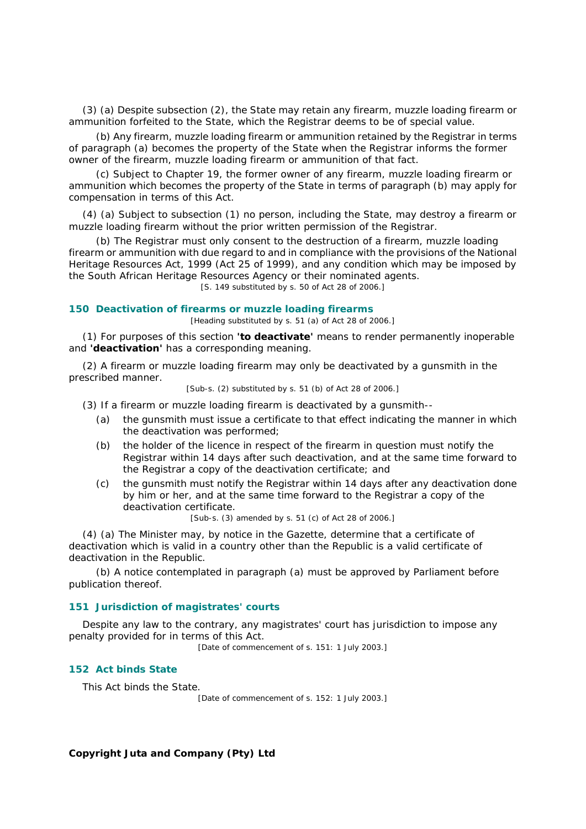(3) *(a)* Despite subsection (2), the State may retain any firearm, muzzle loading firearm or ammunition forfeited to the State, which the Registrar deems to be of special value.

*(b)* Any firearm, muzzle loading firearm or ammunition retained by the Registrar in terms of paragraph *(a)* becomes the property of the State when the Registrar informs the former owner of the firearm, muzzle loading firearm or ammunition of that fact.

*(c)* Subject to Chapter 19, the former owner of any firearm, muzzle loading firearm or ammunition which becomes the property of the State in terms of paragraph *(b)* may apply for compensation in terms of this Act.

(4) *(a)* Subject to subsection (1) no person, including the State, may destroy a firearm or muzzle loading firearm without the prior written permission of the Registrar.

*(b)* The Registrar must only consent to the destruction of a firearm, muzzle loading firearm or ammunition with due regard to and in compliance with the provisions of the National Heritage Resources Act, 1999 (Act 25 of 1999), and any condition which may be imposed by the South African Heritage Resources Agency or their nominated agents.

[S. 149 substituted by s. 50 of Act 28 of 2006.]

#### **150 Deactivation of firearms or muzzle loading firearms**

[Heading substituted by s. 51 *(a)* of Act 28 of 2006.]

(1) For purposes of this section **'to deactivate'** means to render permanently inoperable and **'deactivation'** has a corresponding meaning.

(2) A firearm or muzzle loading firearm may only be deactivated by a gunsmith in the prescribed manner.

[Sub-s. (2) substituted by s. 51 *(b)* of Act 28 of 2006.]

- (3) If a firearm or muzzle loading firearm is deactivated by a gunsmith--
	- *(a)* the gunsmith must issue a certificate to that effect indicating the manner in which the deactivation was performed;
	- *(b)* the holder of the licence in respect of the firearm in question must notify the Registrar within 14 days after such deactivation, and at the same time forward to the Registrar a copy of the deactivation certificate; and
	- *(c)* the gunsmith must notify the Registrar within 14 days after any deactivation done by him or her, and at the same time forward to the Registrar a copy of the deactivation certificate.

[Sub-s. (3) amended by s. 51 *(c)* of Act 28 of 2006.]

(4) *(a)* The Minister may, by notice in the *Gazette*, determine that a certificate of deactivation which is valid in a country other than the Republic is a valid certificate of deactivation in the Republic.

*(b)* A notice contemplated in paragraph *(a)* must be approved by Parliament before publication thereof.

#### **151 Jurisdiction of magistrates' courts**

Despite any law to the contrary, any magistrates' court has jurisdiction to impose any penalty provided for in terms of this Act.

[Date of commencement of s. 151: 1 July 2003.]

#### **152 Act binds State**

This Act binds the State.

[Date of commencement of s. 152: 1 July 2003.]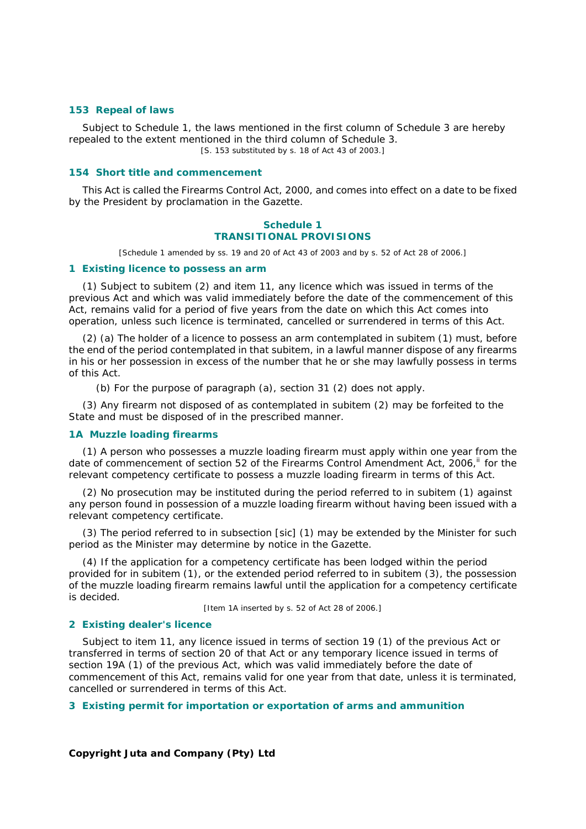#### **153 Repeal of laws**

Subject to Schedule 1, the laws mentioned in the first column of Schedule 3 are hereby repealed to the extent mentioned in the third column of Schedule 3. [S. 153 substituted by s. 18 of Act 43 of 2003.]

#### **154 Short title and commencement**

This Act is called the Firearms Control Act, 2000, and comes into effect on a date to be fixed by the President by proclamation in the *Gazette*.

# **Schedule 1 TRANSITIONAL PROVISIONS**

[Schedule 1 amended by ss. 19 and 20 of Act 43 of 2003 and by s. 52 of Act 28 of 2006.]

#### **1 Existing licence to possess an arm**

(1) Subject to subitem (2) and item 11, any licence which was issued in terms of the previous Act and which was valid immediately before the date of the commencement of this Act, remains valid for a period of five years from the date on which this Act comes into operation, unless such licence is terminated, cancelled or surrendered in terms of this Act.

(2) *(a)* The holder of a licence to possess an arm contemplated in subitem (1) must, before the end of the period contemplated in that subitem, in a lawful manner dispose of any firearms in his or her possession in excess of the number that he or she may lawfully possess in terms of this Act.

*(b)* For the purpose of paragraph *(a)*, section 31 (2) does not apply.

(3) Any firearm not disposed of as contemplated in subitem (2) may be forfeited to the State and must be disposed of in the prescribed manner.

#### **1A Muzzle loading firearms**

(1) A person who possesses a muzzle loading firearm must apply within one year from the date of commencement of section 52 of the Firearms Control Amendment Act, 2006,<sup>ii</sup> for the relevant competency certificate to possess a muzzle loading firearm in terms of this Act.

(2) No prosecution may be instituted during the period referred to in subitem (1) against any person found in possession of a muzzle loading firearm without having been issued with a relevant competency certificate.

(3) The period referred to in subsection [sic] (1) may be extended by the Minister for such period as the Minister may determine by notice in the *Gazette*.

(4) If the application for a competency certificate has been lodged within the period provided for in subitem (1), or the extended period referred to in subitem (3), the possession of the muzzle loading firearm remains lawful until the application for a competency certificate is decided.

[Item 1A inserted by s. 52 of Act 28 of 2006.]

#### **2 Existing dealer's licence**

Subject to item 11, any licence issued in terms of section 19 (1) of the previous Act or transferred in terms of section 20 of that Act or any temporary licence issued in terms of section 19A (1) of the previous Act, which was valid immediately before the date of commencement of this Act, remains valid for one year from that date, unless it is terminated, cancelled or surrendered in terms of this Act.

## **3 Existing permit for importation or exportation of arms and ammunition**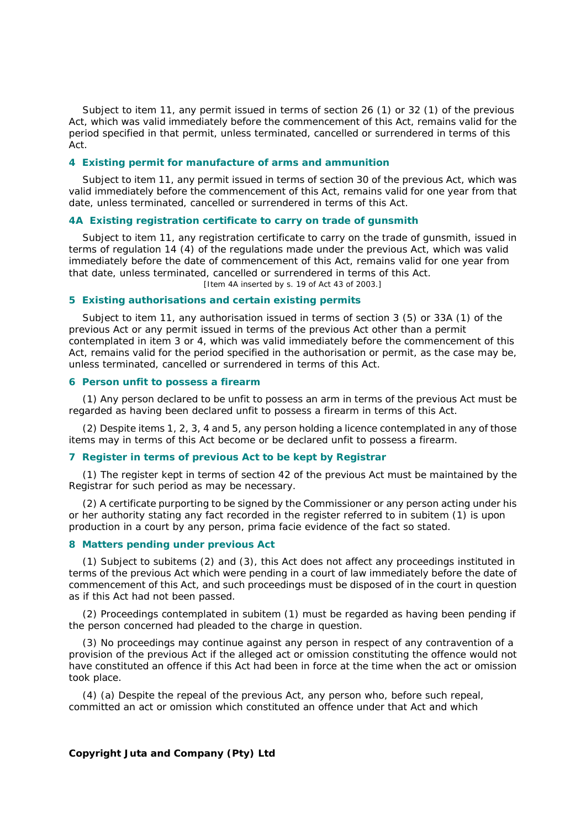Subject to item 11, any permit issued in terms of section 26 (1) or 32 (1) of the previous Act, which was valid immediately before the commencement of this Act, remains valid for the period specified in that permit, unless terminated, cancelled or surrendered in terms of this Act.

#### **4 Existing permit for manufacture of arms and ammunition**

Subject to item 11, any permit issued in terms of section 30 of the previous Act, which was valid immediately before the commencement of this Act, remains valid for one year from that date, unless terminated, cancelled or surrendered in terms of this Act.

#### **4A Existing registration certificate to carry on trade of gunsmith**

Subject to item 11, any registration certificate to carry on the trade of gunsmith, issued in terms of regulation 14 (4) of the regulations made under the previous Act, which was valid immediately before the date of commencement of this Act, remains valid for one year from that date, unless terminated, cancelled or surrendered in terms of this Act. [Item 4A inserted by s. 19 of Act 43 of 2003.]

#### **5 Existing authorisations and certain existing permits**

Subject to item 11, any authorisation issued in terms of section 3 (5) or 33A (1) of the previous Act or any permit issued in terms of the previous Act other than a permit contemplated in item 3 or 4, which was valid immediately before the commencement of this Act, remains valid for the period specified in the authorisation or permit, as the case may be, unless terminated, cancelled or surrendered in terms of this Act.

### **6 Person unfit to possess a firearm**

(1) Any person declared to be unfit to possess an arm in terms of the previous Act must be regarded as having been declared unfit to possess a firearm in terms of this Act.

(2) Despite items 1, 2, 3, 4 and 5, any person holding a licence contemplated in any of those items may in terms of this Act become or be declared unfit to possess a firearm.

# **7 Register in terms of previous Act to be kept by Registrar**

(1) The register kept in terms of section 42 of the previous Act must be maintained by the Registrar for such period as may be necessary.

(2) A certificate purporting to be signed by the Commissioner or any person acting under his or her authority stating any fact recorded in the register referred to in subitem (1) is upon production in a court by any person, *prima facie* evidence of the fact so stated.

#### **8 Matters pending under previous Act**

(1) Subject to subitems (2) and (3), this Act does not affect any proceedings instituted in terms of the previous Act which were pending in a court of law immediately before the date of commencement of this Act, and such proceedings must be disposed of in the court in question as if this Act had not been passed.

(2) Proceedings contemplated in subitem (1) must be regarded as having been pending if the person concerned had pleaded to the charge in question.

(3) No proceedings may continue against any person in respect of any contravention of a provision of the previous Act if the alleged act or omission constituting the offence would not have constituted an offence if this Act had been in force at the time when the act or omission took place.

(4) *(a)* Despite the repeal of the previous Act, any person who, before such repeal, committed an act or omission which constituted an offence under that Act and which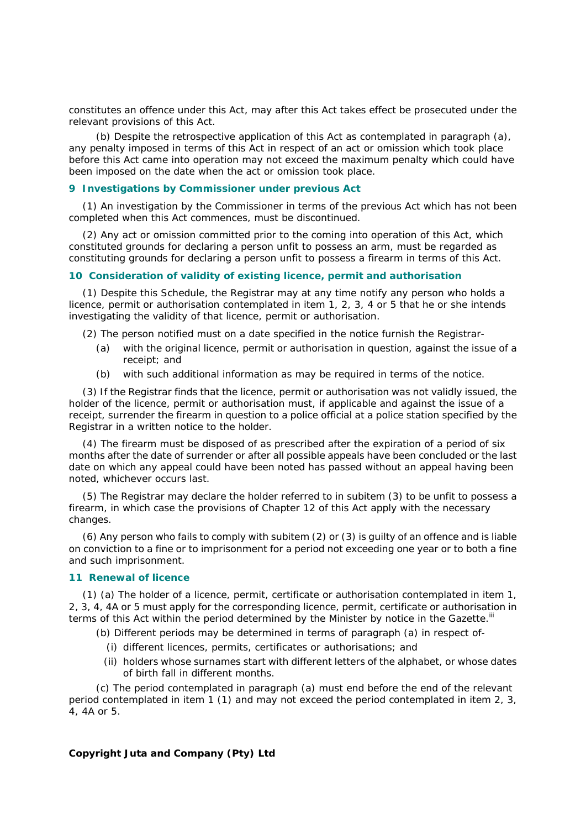constitutes an offence under this Act, may after this Act takes effect be prosecuted under the relevant provisions of this Act.

*(b)* Despite the retrospective application of this Act as contemplated in paragraph *(a)*, any penalty imposed in terms of this Act in respect of an act or omission which took place before this Act came into operation may not exceed the maximum penalty which could have been imposed on the date when the act or omission took place.

# **9 Investigations by Commissioner under previous Act**

(1) An investigation by the Commissioner in terms of the previous Act which has not been completed when this Act commences, must be discontinued.

(2) Any act or omission committed prior to the coming into operation of this Act, which constituted grounds for declaring a person unfit to possess an arm, must be regarded as constituting grounds for declaring a person unfit to possess a firearm in terms of this Act.

#### **10 Consideration of validity of existing licence, permit and authorisation**

(1) Despite this Schedule, the Registrar may at any time notify any person who holds a licence, permit or authorisation contemplated in item 1, 2, 3, 4 or 5 that he or she intends investigating the validity of that licence, permit or authorisation.

(2) The person notified must on a date specified in the notice furnish the Registrar-

- *(a)* with the original licence, permit or authorisation in question, against the issue of a receipt; and
- *(b)* with such additional information as may be required in terms of the notice.

(3) If the Registrar finds that the licence, permit or authorisation was not validly issued, the holder of the licence, permit or authorisation must, if applicable and against the issue of a receipt, surrender the firearm in question to a police official at a police station specified by the Registrar in a written notice to the holder.

(4) The firearm must be disposed of as prescribed after the expiration of a period of six months after the date of surrender or after all possible appeals have been concluded or the last date on which any appeal could have been noted has passed without an appeal having been noted, whichever occurs last.

(5) The Registrar may declare the holder referred to in subitem (3) to be unfit to possess a firearm, in which case the provisions of Chapter 12 of this Act apply with the necessary changes.

(6) Any person who fails to comply with subitem (2) or (3) is guilty of an offence and is liable on conviction to a fine or to imprisonment for a period not exceeding one year or to both a fine and such imprisonment.

#### **11 Renewal of licence**

(1) *(a)* The holder of a licence, permit, certificate or authorisation contemplated in item 1, 2, 3, 4, 4A or 5 must apply for the corresponding licence, permit, certificate or authorisation in terms of this Act within the period determined by the Minister by notice in the *Gazette*.<sup>III</sup>

*(b)* Different periods may be determined in terms of paragraph *(a)* in respect of-

- (i) different licences, permits, certificates or authorisations; and
- (ii) holders whose surnames start with different letters of the alphabet, or whose dates of birth fall in different months.

*(c)* The period contemplated in paragraph *(a)* must end before the end of the relevant period contemplated in item 1 (1) and may not exceed the period contemplated in item 2, 3, 4, 4A or 5.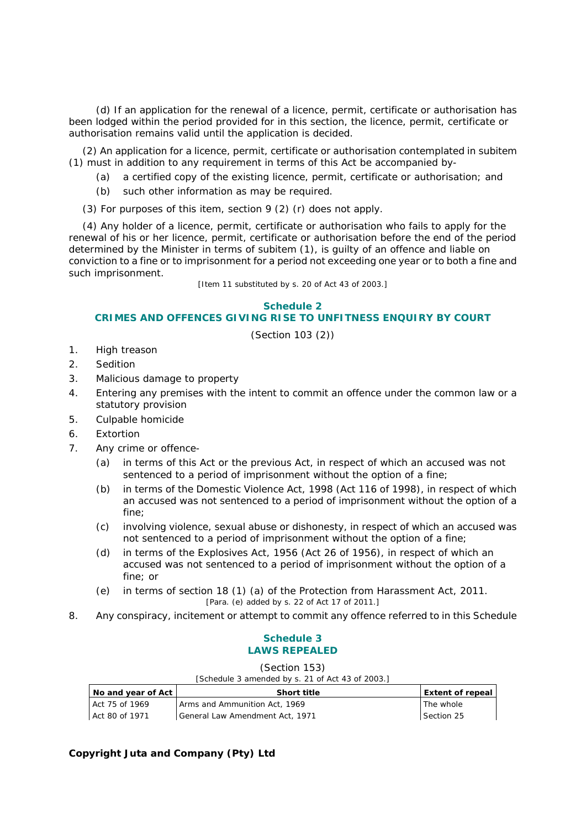*(d)* If an application for the renewal of a licence, permit, certificate or authorisation has been lodged within the period provided for in this section, the licence, permit, certificate or authorisation remains valid until the application is decided.

(2) An application for a licence, permit, certificate or authorisation contemplated in subitem (1) must in addition to any requirement in terms of this Act be accompanied by-

- *(a)* a certified copy of the existing licence, permit, certificate or authorisation; and
- *(b)* such other information as may be required.

(3) For purposes of this item, section 9 (2) *(r)* does not apply.

(4) Any holder of a licence, permit, certificate or authorisation who fails to apply for the renewal of his or her licence, permit, certificate or authorisation before the end of the period determined by the Minister in terms of subitem (1), is guilty of an offence and liable on conviction to a fine or to imprisonment for a period not exceeding one year or to both a fine and such imprisonment.

[Item 11 substituted by s. 20 of Act 43 of 2003.]

#### **Schedule 2 CRIMES AND OFFENCES GIVING RISE TO UNFITNESS ENQUIRY BY COURT**

(Section 103 (2))

- 1. High treason
- 2. Sedition
- 3. Malicious damage to property
- 4. Entering any premises with the intent to commit an offence under the common law or a statutory provision
- 5. Culpable homicide
- 6. Extortion
- 7. Any crime or offence-
	- *(a)* in terms of this Act or the previous Act, in respect of which an accused was not sentenced to a period of imprisonment without the option of a fine;
	- *(b)* in terms of the Domestic Violence Act, 1998 (Act 116 of 1998), in respect of which an accused was not sentenced to a period of imprisonment without the option of a fine;
	- *(c)* involving violence, sexual abuse or dishonesty, in respect of which an accused was not sentenced to a period of imprisonment without the option of a fine;
	- *(d)* in terms of the Explosives Act, 1956 (Act 26 of 1956), in respect of which an accused was not sentenced to a period of imprisonment without the option of a fine; or
	- *(e)* in terms of section 18 (1) *(a)* of the Protection from Harassment Act, 2011. [Para. *(e)* added by s. 22 of Act 17 of 2011.]
- 8. Any conspiracy, incitement or attempt to commit any offence referred to in this Schedule

# **Schedule 3 LAWS REPEALED**

(Section 153)

| [Schedule 3 amended by s. 21 of Act 43 of 2003.] |  |  |
|--------------------------------------------------|--|--|
|                                                  |  |  |

| No and year of Act I | <b>Short title</b>              | Extent of repeal |
|----------------------|---------------------------------|------------------|
| Act 75 of 1969       | Arms and Ammunition Act, 1969   | The whole        |
| Act 80 of 1971       | General Law Amendment Act, 1971 | Section 25       |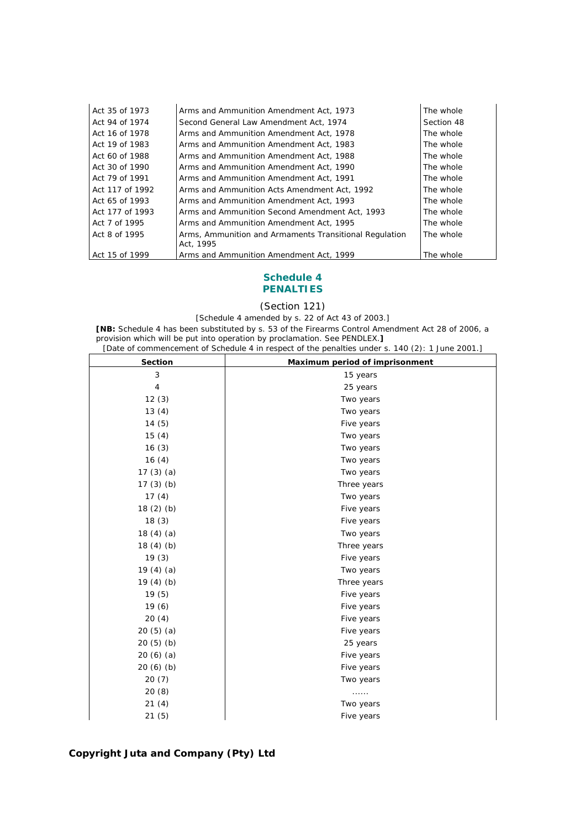| Act 35 of 1973  | Arms and Ammunition Amendment Act, 1973                             | The whole  |
|-----------------|---------------------------------------------------------------------|------------|
| Act 94 of 1974  | Second General Law Amendment Act, 1974                              | Section 48 |
| Act 16 of 1978  | Arms and Ammunition Amendment Act, 1978                             | The whole  |
| Act 19 of 1983  | Arms and Ammunition Amendment Act, 1983                             | The whole  |
| Act 60 of 1988  | Arms and Ammunition Amendment Act, 1988                             | The whole  |
| Act 30 of 1990  | Arms and Ammunition Amendment Act, 1990                             | The whole  |
| Act 79 of 1991  | Arms and Ammunition Amendment Act, 1991                             | The whole  |
| Act 117 of 1992 | Arms and Ammunition Acts Amendment Act, 1992                        | The whole  |
| Act 65 of 1993  | Arms and Ammunition Amendment Act, 1993                             | The whole  |
| Act 177 of 1993 | Arms and Ammunition Second Amendment Act, 1993                      | The whole  |
| Act 7 of 1995   | Arms and Ammunition Amendment Act, 1995                             | The whole  |
| Act 8 of 1995   | Arms, Ammunition and Armaments Transitional Regulation<br>Act. 1995 | The whole  |
| Act 15 of 1999  | Arms and Ammunition Amendment Act, 1999                             | The whole  |

## **Schedule 4 PENALTIES**

(Section 121)

[Schedule 4 amended by s. 22 of Act 43 of 2003.]

**[NB:** Schedule 4 has been substituted by s. 53 of the Firearms Control Amendment Act 28 of 2006, a provision which will be put into operation by proclamation. See PENDLEX.**]** [Date of commencement of Schedule 4 in respect of the penalties under s. 140 (2): 1 June 2001.]

| <b>Section</b> | Maximum period of imprisonment |
|----------------|--------------------------------|
| 3              | 15 years                       |
| 4              | 25 years                       |
| 12(3)          | Two years                      |
| 13(4)          | Two years                      |
| 14(5)          | Five years                     |
| 15(4)          | Two years                      |
| 16(3)          | Two years                      |
| 16(4)          | Two years                      |
| 17 $(3)$ $(a)$ | Two years                      |
| 17 $(3)$ $(b)$ | Three years                    |
| 17(4)          | Two years                      |
| 18 $(2)$ $(b)$ | Five years                     |
| 18(3)          | Five years                     |
| 18 $(4)$ $(a)$ | Two years                      |
| 18 $(4)$ $(b)$ | Three years                    |
| 19(3)          | Five years                     |
| 19 $(4)$ $(a)$ | Two years                      |
| 19 $(4)$ $(b)$ | Three years                    |
| 19(5)          | Five years                     |
| 19(6)          | Five years                     |
| 20(4)          | Five years                     |
| 20 $(5)$ $(a)$ | Five years                     |
| 20 $(5)$ $(b)$ | 25 years                       |
| 20 $(6)$ $(a)$ | Five years                     |
| 20(6)(b)       | Five years                     |
| 20(7)          | Two years                      |
| 20(8)          | .                              |
| 21(4)          | Two years                      |
| 21(5)          | Five years                     |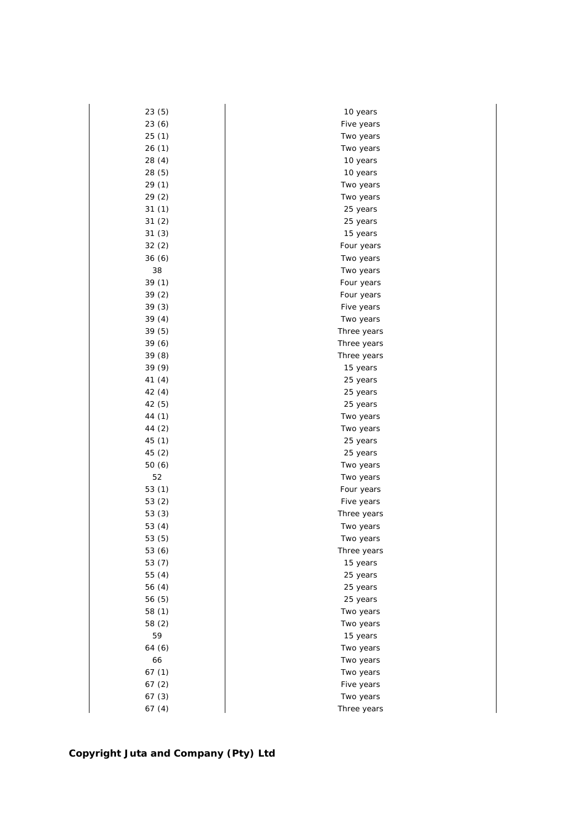| 23(5)    | 10 years    |
|----------|-------------|
| 23 (6)   | Five years  |
| 25(1)    | Two years   |
| 26(1)    | Two years   |
| 28(4)    | 10 years    |
| 28(5)    | 10 years    |
| 29 (1)   | Two years   |
| 29 (2)   | Two years   |
| 31(1)    | 25 years    |
| 31(2)    | 25 years    |
| 31(3)    | 15 years    |
| 32(2)    | Four years  |
| 36(6)    | Two years   |
| 38       | Two years   |
| 39 (1)   | Four years  |
| 39(2)    | Four years  |
| 39(3)    | Five years  |
| 39(4)    | Two years   |
| 39(5)    | Three years |
| 39 (6)   | Three years |
| 39(8)    | Three years |
| 39 (9)   | 15 years    |
| 41 (4)   | 25 years    |
| 42(4)    | 25 years    |
| 42 (5)   | 25 years    |
| 44 (1)   | Two years   |
| 44 (2)   | Two years   |
| 45 (1)   | 25 years    |
| 45 (2)   | 25 years    |
| 50 (6)   | Two years   |
| 52       | Two years   |
| 53 $(1)$ | Four years  |
| 53 (2)   | Five years  |
| 53(3)    | Three years |
| 53 $(4)$ | Two years   |
| 53 (5)   | Two years   |
| 53 (6)   | Three years |
| 53 (7)   | 15 years    |
| 55 (4)   | 25 years    |
| 56 (4)   | 25 years    |
| 56 (5)   | 25 years    |
| 58 (1)   | Two years   |
| 58 (2)   | Two years   |
| 59       | 15 years    |
| 64 (6)   | Two years   |
| 66       | Two years   |
| 67(1)    | Two years   |
| 67(2)    | Five years  |
| 67(3)    | Two years   |
| 67(4)    | Three years |
|          |             |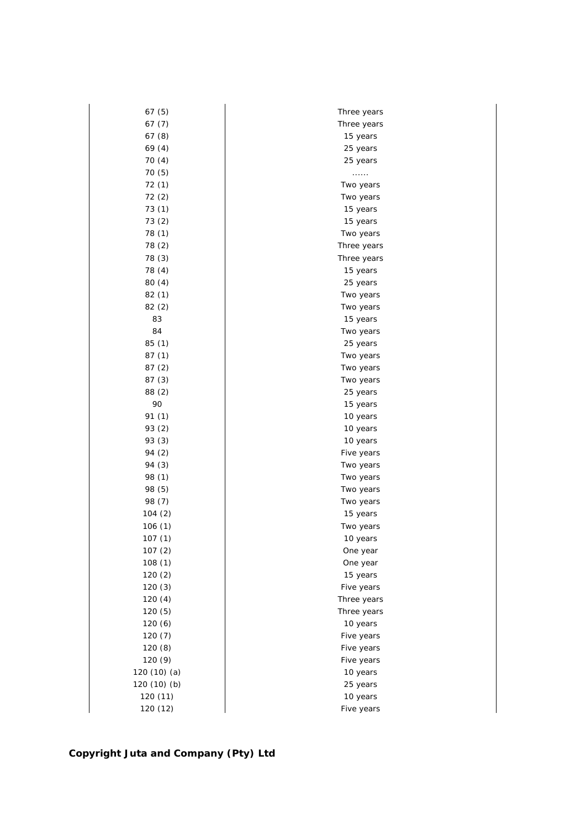| 67 (5)       | Three years |
|--------------|-------------|
| 67(7)        | Three years |
| 67(8)        | 15 years    |
| 69(4)        | 25 years    |
| 70(4)        | 25 years    |
| 70 (5)       | .           |
| 72 (1)       | Two years   |
| 72(2)        | Two years   |
| 73(1)        | 15 years    |
| 73(2)        | 15 years    |
| 78 (1)       | Two years   |
| 78 (2)       | Three years |
| 78 (3)       | Three years |
| 78 (4)       | 15 years    |
| 80(4)        | 25 years    |
| 82 (1)       | Two years   |
| 82(2)        | Two years   |
| 83           | 15 years    |
| 84           | Two years   |
| 85 (1)       | 25 years    |
| 87(1)        | Two years   |
| 87(2)        | Two years   |
| 87(3)        | Two years   |
| 88 (2)       | 25 years    |
| 90           | 15 years    |
| 91 (1)       | 10 years    |
| 93 (2)       | 10 years    |
| 93 (3)       | 10 years    |
| 94 (2)       | Five years  |
| 94 (3)       | Two years   |
| 98 (1)       | Two years   |
| 98 (5)       | Two years   |
| 98 (7)       | Two years   |
| 104 (2)      | 15 years    |
| 106(1)       | Two years   |
| 107(1)       | 10 years    |
| 107(2)       | One year    |
| 108(1)       | One year    |
| 120(2)       | 15 years    |
| 120(3)       | Five years  |
| 120(4)       | Three years |
| 120 (5)      | Three years |
| 120(6)       | 10 years    |
| 120(7)       | Five years  |
| 120(8)       | Five years  |
| 120 (9)      | Five years  |
| 120 (10) (a) | 10 years    |
| 120 (10) (b) | 25 years    |
| 120 (11)     | 10 years    |
| 120 (12)     | Five years  |
|              |             |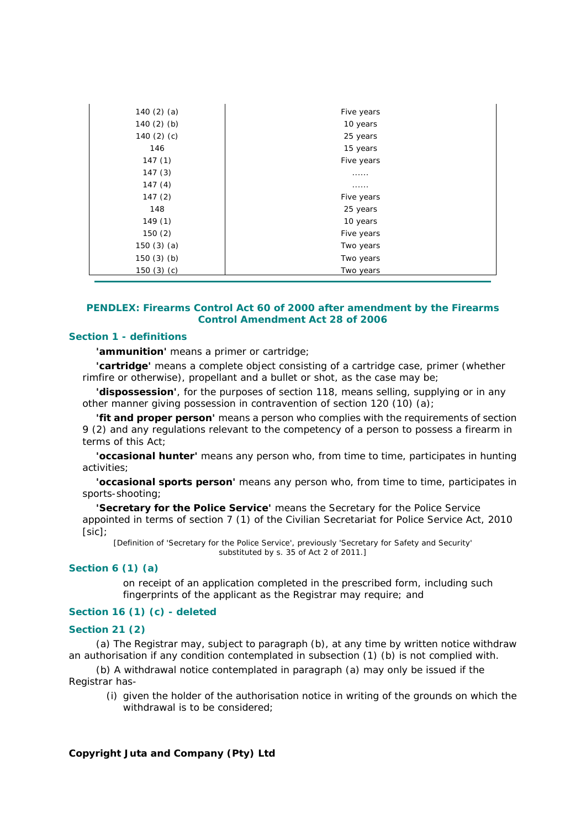| 140 $(2)$ $(a)$ | Five years |
|-----------------|------------|
| 140 $(2)$ $(b)$ | 10 years   |
| 140 $(2)$ $(c)$ | 25 years   |
| 146             | 15 years   |
| 147(1)          | Five years |
| 147(3)          | .          |
| 147(4)          | .          |
| 147(2)          | Five years |
| 148             | 25 years   |
| 149(1)          | 10 years   |
| 150(2)          | Five years |
| 150 $(3)$ $(a)$ | Two years  |
| 150 $(3)$ $(b)$ | Two years  |
| 150 $(3)$ $(c)$ | Two years  |

## *PENDLEX: Firearms Control Act 60 of 2000* **after amendment by the Firearms Control Amendment Act 28 of 2006**

## **Section 1 - definitions**

**'ammunition'** means a primer or cartridge;

**'cartridge'** means a complete object consisting of a cartridge case, primer (whether rimfire or otherwise), propellant and a bullet or shot, as the case may be;

**'dispossession'**, for the purposes of section 118, means selling, supplying or in any other manner giving possession in contravention of section 120 (10) *(a)*;

**'fit and proper person'** means a person who complies with the requirements of section 9 (2) and any regulations relevant to the competency of a person to possess a firearm in terms of this Act;

**'occasional hunter'** means any person who, from time to time, participates in hunting activities;

**'occasional sports person'** means any person who, from time to time, participates in sports-shooting;

**'Secretary for the Police Service'** means the Secretary for the Police Service appointed in terms of section 7 (1) of the Civilian Secretariat for Police Service Act, 2010 [sic];

[Definition of 'Secretary for the Police Service', previously 'Secretary for Safety and Security' substituted by s. 35 of Act 2 of 2011.]

#### **Section 6 (1)** *(a)*

on receipt of an application completed in the prescribed form, including such fingerprints of the applicant as the Registrar may require; and

## **Section 16 (1)** *(c)* **- deleted**

## **Section 21 (2)**

*(a)* The Registrar may, subject to paragraph *(b)*, at any time by written notice withdraw an authorisation if any condition contemplated in subsection (1) *(b)* is not complied with.

*(b)* A withdrawal notice contemplated in paragraph *(a)* may only be issued if the Registrar has-

 (i) given the holder of the authorisation notice in writing of the grounds on which the withdrawal is to be considered: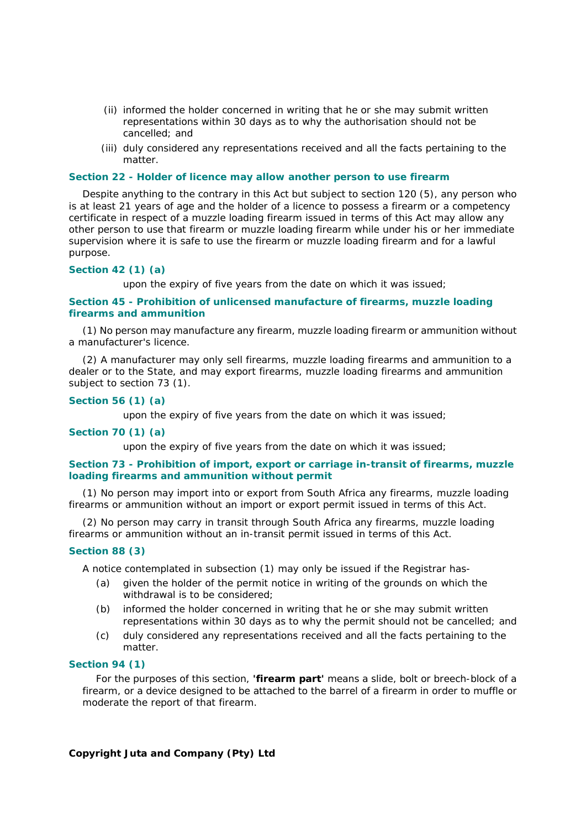- (ii) informed the holder concerned in writing that he or she may submit written representations within 30 days as to why the authorisation should not be cancelled; and
- (iii) duly considered any representations received and all the facts pertaining to the matter.

#### **Section 22 - Holder of licence may allow another person to use firearm**

Despite anything to the contrary in this Act but subject to section 120 (5), any person who is at least 21 years of age and the holder of a licence to possess a firearm or a competency certificate in respect of a muzzle loading firearm issued in terms of this Act may allow any other person to use that firearm or muzzle loading firearm while under his or her immediate supervision where it is safe to use the firearm or muzzle loading firearm and for a lawful purpose.

## **Section 42 (1)** *(a)*

upon the expiry of five years from the date on which it was issued;

#### **Section 45 - Prohibition of unlicensed manufacture of firearms, muzzle loading firearms and ammunition**

(1) No person may manufacture any firearm, muzzle loading firearm or ammunition without a manufacturer's licence.

(2) A manufacturer may only sell firearms, muzzle loading firearms and ammunition to a dealer or to the State, and may export firearms, muzzle loading firearms and ammunition subject to section 73 (1).

#### **Section 56 (1)** *(a)*

upon the expiry of five years from the date on which it was issued;

#### **Section 70 (1)** *(a)*

upon the expiry of five years from the date on which it was issued;

## **Section 73 - Prohibition of import, export or carriage in-transit of firearms, muzzle loading firearms and ammunition without permit**

(1) No person may import into or export from South Africa any firearms, muzzle loading firearms or ammunition without an import or export permit issued in terms of this Act.

(2) No person may carry in transit through South Africa any firearms, muzzle loading firearms or ammunition without an in-transit permit issued in terms of this Act.

#### **Section 88 (3)**

A notice contemplated in subsection (1) may only be issued if the Registrar has-

- *(a)* given the holder of the permit notice in writing of the grounds on which the withdrawal is to be considered;
- *(b)* informed the holder concerned in writing that he or she may submit written representations within 30 days as to why the permit should not be cancelled; and
- *(c)* duly considered any representations received and all the facts pertaining to the matter.

## **Section 94 (1)**

For the purposes of this section, **'firearm part'** means a slide, bolt or breech-block of a firearm, or a device designed to be attached to the barrel of a firearm in order to muffle or moderate the report of that firearm.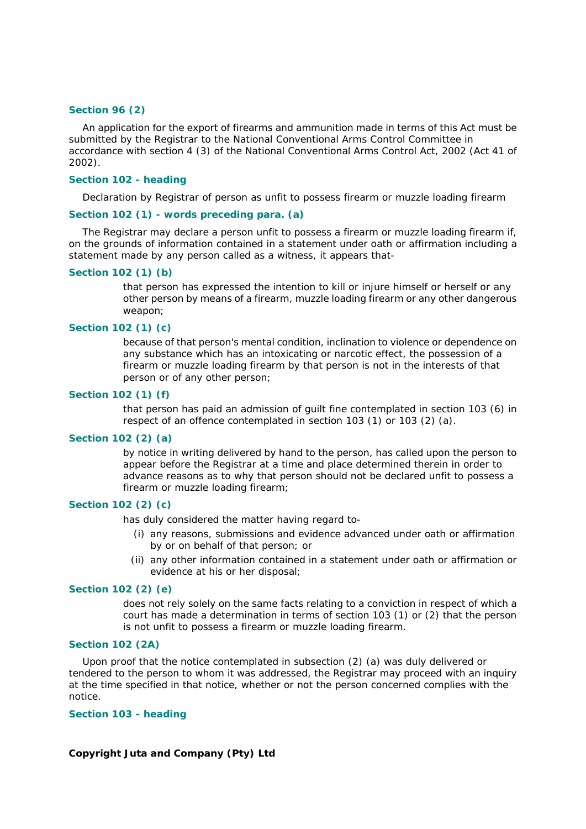#### **Section 96 (2)**

An application for the export of firearms and ammunition made in terms of this Act must be submitted by the Registrar to the National Conventional Arms Control Committee in accordance with section 4 (3) of the National Conventional Arms Control Act, 2002 (Act 41 of 2002).

## **Section 102 - heading**

Declaration by Registrar of person as unfit to possess firearm or muzzle loading firearm

### **Section 102 (1) - words preceding para.** *(a)*

The Registrar may declare a person unfit to possess a firearm or muzzle loading firearm if, on the grounds of information contained in a statement under oath or affirmation including a statement made by any person called as a witness, it appears that-

#### **Section 102 (1)** *(b)*

that person has expressed the intention to kill or injure himself or herself or any other person by means of a firearm, muzzle loading firearm or any other dangerous weapon;

## **Section 102 (1)** *(c)*

because of that person's mental condition, inclination to violence or dependence on any substance which has an intoxicating or narcotic effect, the possession of a firearm or muzzle loading firearm by that person is not in the interests of that person or of any other person;

## **Section 102 (1)** *(f)*

that person has paid an admission of guilt fine contemplated in section 103 (6) in respect of an offence contemplated in section 103 (1) or 103 (2) *(a)*.

#### **Section 102 (2)** *(a)*

by notice in writing delivered by hand to the person, has called upon the person to appear before the Registrar at a time and place determined therein in order to advance reasons as to why that person should not be declared unfit to possess a firearm or muzzle loading firearm;

#### **Section 102 (2)** *(c)*

has duly considered the matter having regard to-

- (i) any reasons, submissions and evidence advanced under oath or affirmation by or on behalf of that person; or
- (ii) any other information contained in a statement under oath or affirmation or evidence at his or her disposal;

## **Section 102 (2)** *(e)*

does not rely solely on the same facts relating to a conviction in respect of which a court has made a determination in terms of section 103 (1) or (2) that the person is not unfit to possess a firearm or muzzle loading firearm.

## **Section 102 (2A)**

Upon proof that the notice contemplated in subsection (2) *(a)* was duly delivered or tendered to the person to whom it was addressed, the Registrar may proceed with an inquiry at the time specified in that notice, whether or not the person concerned complies with the notice.

## **Section 103 - heading**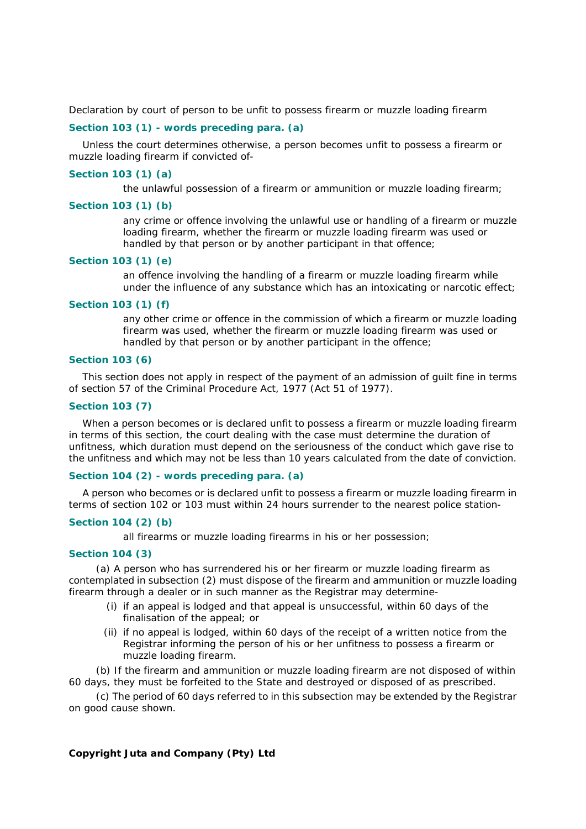Declaration by court of person to be unfit to possess firearm or muzzle loading firearm

## **Section 103 (1) - words preceding para.** *(a)*

Unless the court determines otherwise, a person becomes unfit to possess a firearm or muzzle loading firearm if convicted of-

#### **Section 103 (1)** *(a)*

the unlawful possession of a firearm or ammunition or muzzle loading firearm;

#### **Section 103 (1)** *(b)*

any crime or offence involving the unlawful use or handling of a firearm or muzzle loading firearm, whether the firearm or muzzle loading firearm was used or handled by that person or by another participant in that offence;

#### **Section 103 (1)** *(e)*

an offence involving the handling of a firearm or muzzle loading firearm while under the influence of any substance which has an intoxicating or narcotic effect;

#### **Section 103 (1)** *(f)*

any other crime or offence in the commission of which a firearm or muzzle loading firearm was used, whether the firearm or muzzle loading firearm was used or handled by that person or by another participant in the offence;

## **Section 103 (6)**

This section does not apply in respect of the payment of an admission of guilt fine in terms of section 57 of the Criminal Procedure Act, 1977 (Act 51 of 1977).

## **Section 103 (7)**

When a person becomes or is declared unfit to possess a firearm or muzzle loading firearm in terms of this section, the court dealing with the case must determine the duration of unfitness, which duration must depend on the seriousness of the conduct which gave rise to the unfitness and which may not be less than 10 years calculated from the date of conviction.

## **Section 104 (2) - words preceding para.** *(a)*

A person who becomes or is declared unfit to possess a firearm or muzzle loading firearm in terms of section 102 or 103 must within 24 hours surrender to the nearest police station-

## **Section 104 (2)** *(b)*

all firearms or muzzle loading firearms in his or her possession;

## **Section 104 (3)**

*(a)* A person who has surrendered his or her firearm or muzzle loading firearm as contemplated in subsection (2) must dispose of the firearm and ammunition or muzzle loading firearm through a dealer or in such manner as the Registrar may determine-

- (i) if an appeal is lodged and that appeal is unsuccessful, within 60 days of the finalisation of the appeal; or
- (ii) if no appeal is lodged, within 60 days of the receipt of a written notice from the Registrar informing the person of his or her unfitness to possess a firearm or muzzle loading firearm.

*(b)* If the firearm and ammunition or muzzle loading firearm are not disposed of within 60 days, they must be forfeited to the State and destroyed or disposed of as prescribed.

*(c)* The period of 60 days referred to in this subsection may be extended by the Registrar on good cause shown.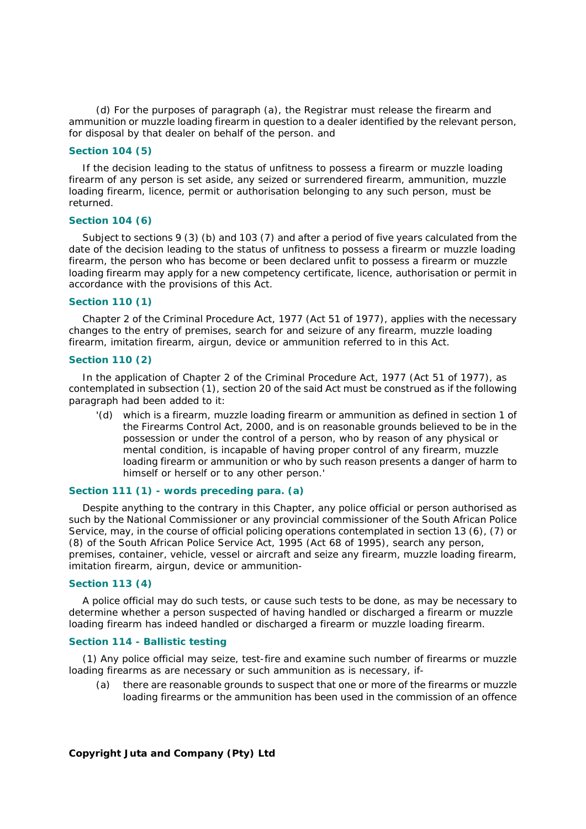*(d)* For the purposes of paragraph *(a)*, the Registrar must release the firearm and ammunition or muzzle loading firearm in question to a dealer identified by the relevant person, for disposal by that dealer on behalf of the person. and

## **Section 104 (5)**

If the decision leading to the status of unfitness to possess a firearm or muzzle loading firearm of any person is set aside, any seized or surrendered firearm, ammunition, muzzle loading firearm, licence, permit or authorisation belonging to any such person, must be returned.

### **Section 104 (6)**

Subject to sections 9 (3) *(b)* and 103 (7) and after a period of five years calculated from the date of the decision leading to the status of unfitness to possess a firearm or muzzle loading firearm, the person who has become or been declared unfit to possess a firearm or muzzle loading firearm may apply for a new competency certificate, licence, authorisation or permit in accordance with the provisions of this Act.

#### **Section 110 (1)**

Chapter 2 of the Criminal Procedure Act, 1977 (Act 51 of 1977), applies with the necessary changes to the entry of premises, search for and seizure of any firearm, muzzle loading firearm, imitation firearm, airgun, device or ammunition referred to in this Act.

## **Section 110 (2)**

In the application of Chapter 2 of the Criminal Procedure Act, 1977 (Act 51 of 1977), as contemplated in subsection (1), section 20 of the said Act must be construed as if the following paragraph had been added to it:

 '*(d)* which is a firearm, muzzle loading firearm or ammunition as defined in section 1 of the Firearms Control Act, 2000, and is on reasonable grounds believed to be in the possession or under the control of a person, who by reason of any physical or mental condition, is incapable of having proper control of any firearm, muzzle loading firearm or ammunition or who by such reason presents a danger of harm to himself or herself or to any other person.'

## **Section 111 (1) - words preceding para.** *(a)*

Despite anything to the contrary in this Chapter, any police official or person authorised as such by the National Commissioner or any provincial commissioner of the South African Police Service, may, in the course of official policing operations contemplated in section 13 (6), (7) or (8) of the South African Police Service Act, 1995 (Act 68 of 1995), search any person, premises, container, vehicle, vessel or aircraft and seize any firearm, muzzle loading firearm, imitation firearm, airgun, device or ammunition-

## **Section 113 (4)**

A police official may do such tests, or cause such tests to be done, as may be necessary to determine whether a person suspected of having handled or discharged a firearm or muzzle loading firearm has indeed handled or discharged a firearm or muzzle loading firearm.

## **Section 114 - Ballistic testing**

(1) Any police official may seize, test-fire and examine such number of firearms or muzzle loading firearms as are necessary or such ammunition as is necessary, if-

*(a)* there are reasonable grounds to suspect that one or more of the firearms or muzzle loading firearms or the ammunition has been used in the commission of an offence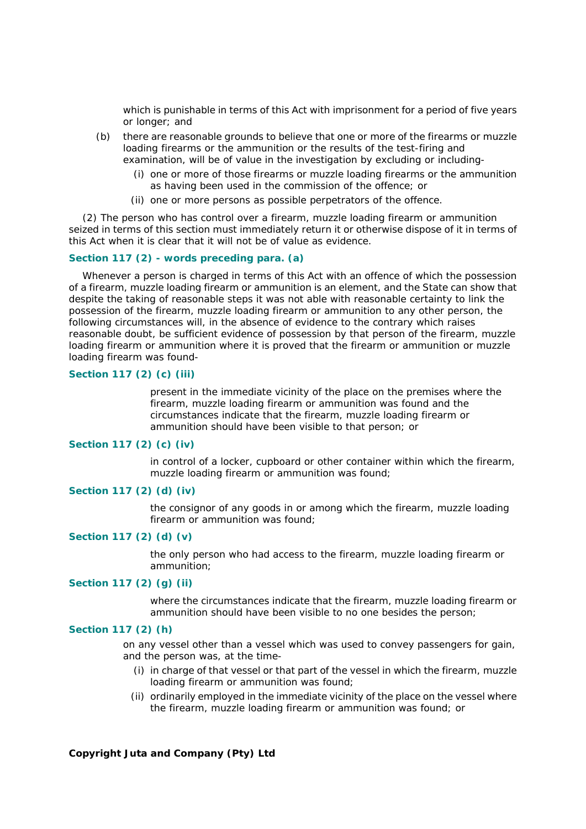which is punishable in terms of this Act with imprisonment for a period of five years or longer; and

- *(b)* there are reasonable grounds to believe that one or more of the firearms or muzzle loading firearms or the ammunition or the results of the test-firing and examination, will be of value in the investigation by excluding or including-
	- (i) one or more of those firearms or muzzle loading firearms or the ammunition as having been used in the commission of the offence; or
	- (ii) one or more persons as possible perpetrators of the offence.

(2) The person who has control over a firearm, muzzle loading firearm or ammunition seized in terms of this section must immediately return it or otherwise dispose of it in terms of this Act when it is clear that it will not be of value as evidence.

### **Section 117 (2) - words preceding para.** *(a)*

Whenever a person is charged in terms of this Act with an offence of which the possession of a firearm, muzzle loading firearm or ammunition is an element, and the State can show that despite the taking of reasonable steps it was not able with reasonable certainty to link the possession of the firearm, muzzle loading firearm or ammunition to any other person, the following circumstances will, in the absence of evidence to the contrary which raises reasonable doubt, be sufficient evidence of possession by that person of the firearm, muzzle loading firearm or ammunition where it is proved that the firearm or ammunition or muzzle loading firearm was found-

#### **Section 117 (2)** *(c)* **(iii)**

present in the immediate vicinity of the place on the premises where the firearm, muzzle loading firearm or ammunition was found and the circumstances indicate that the firearm, muzzle loading firearm or ammunition should have been visible to that person; or

#### **Section 117 (2)** *(c)* **(iv)**

in control of a locker, cupboard or other container within which the firearm, muzzle loading firearm or ammunition was found;

## **Section 117 (2)** *(d)* **(iv)**

the consignor of any goods in or among which the firearm, muzzle loading firearm or ammunition was found;

# **Section 117 (2)** *(d)* **(v)**

the only person who had access to the firearm, muzzle loading firearm or ammunition;

## **Section 117 (2)** *(g)* **(ii)**

where the circumstances indicate that the firearm, muzzle loading firearm or ammunition should have been visible to no one besides the person;

## **Section 117 (2)** *(h)*

on any vessel other than a vessel which was used to convey passengers for gain, and the person was, at the time-

- (i) in charge of that vessel or that part of the vessel in which the firearm, muzzle loading firearm or ammunition was found;
- (ii) ordinarily employed in the immediate vicinity of the place on the vessel where the firearm, muzzle loading firearm or ammunition was found; or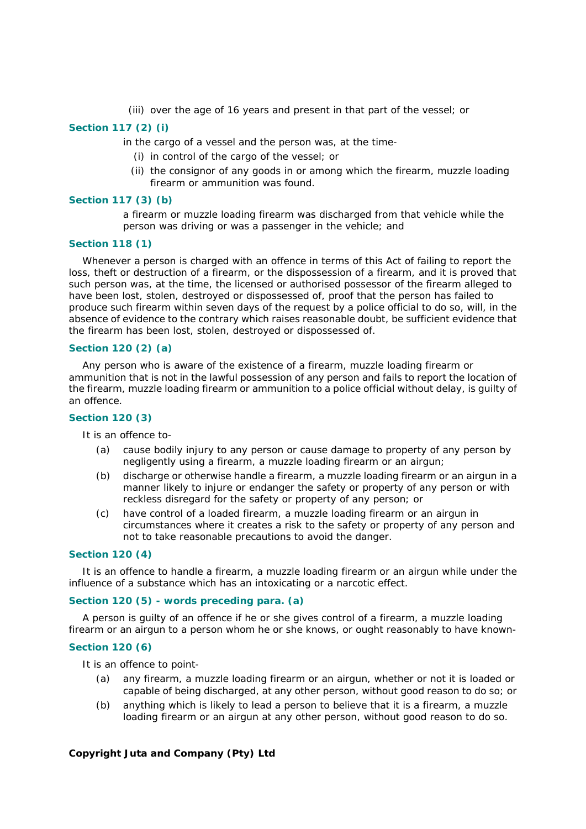(iii) over the age of 16 years and present in that part of the vessel; or

## **Section 117 (2)** *(i)*

in the cargo of a vessel and the person was, at the time-

- (i) in control of the cargo of the vessel; or
- (ii) the consignor of any goods in or among which the firearm, muzzle loading firearm or ammunition was found.

## **Section 117 (3)** *(b)*

a firearm or muzzle loading firearm was discharged from that vehicle while the person was driving or was a passenger in the vehicle; and

# **Section 118 (1)**

Whenever a person is charged with an offence in terms of this Act of failing to report the loss, theft or destruction of a firearm, or the dispossession of a firearm, and it is proved that such person was, at the time, the licensed or authorised possessor of the firearm alleged to have been lost, stolen, destroyed or dispossessed of, proof that the person has failed to produce such firearm within seven days of the request by a police official to do so, will, in the absence of evidence to the contrary which raises reasonable doubt, be sufficient evidence that the firearm has been lost, stolen, destroyed or dispossessed of.

#### **Section 120 (2)** *(a)*

Any person who is aware of the existence of a firearm, muzzle loading firearm or ammunition that is not in the lawful possession of any person and fails to report the location of the firearm, muzzle loading firearm or ammunition to a police official without delay, is guilty of an offence.

## **Section 120 (3)**

It is an offence to-

- *(a)* cause bodily injury to any person or cause damage to property of any person by negligently using a firearm, a muzzle loading firearm or an airgun;
- *(b)* discharge or otherwise handle a firearm, a muzzle loading firearm or an airgun in a manner likely to injure or endanger the safety or property of any person or with reckless disregard for the safety or property of any person; or
- *(c)* have control of a loaded firearm, a muzzle loading firearm or an airgun in circumstances where it creates a risk to the safety or property of any person and not to take reasonable precautions to avoid the danger.

#### **Section 120 (4)**

It is an offence to handle a firearm, a muzzle loading firearm or an airgun while under the influence of a substance which has an intoxicating or a narcotic effect.

## **Section 120 (5) - words preceding para.** *(a)*

A person is guilty of an offence if he or she gives control of a firearm, a muzzle loading firearm or an airgun to a person whom he or she knows, or ought reasonably to have known-

#### **Section 120 (6)**

It is an offence to point-

- *(a)* any firearm, a muzzle loading firearm or an airgun, whether or not it is loaded or capable of being discharged, at any other person, without good reason to do so; or
- *(b)* anything which is likely to lead a person to believe that it is a firearm, a muzzle loading firearm or an airgun at any other person, without good reason to do so.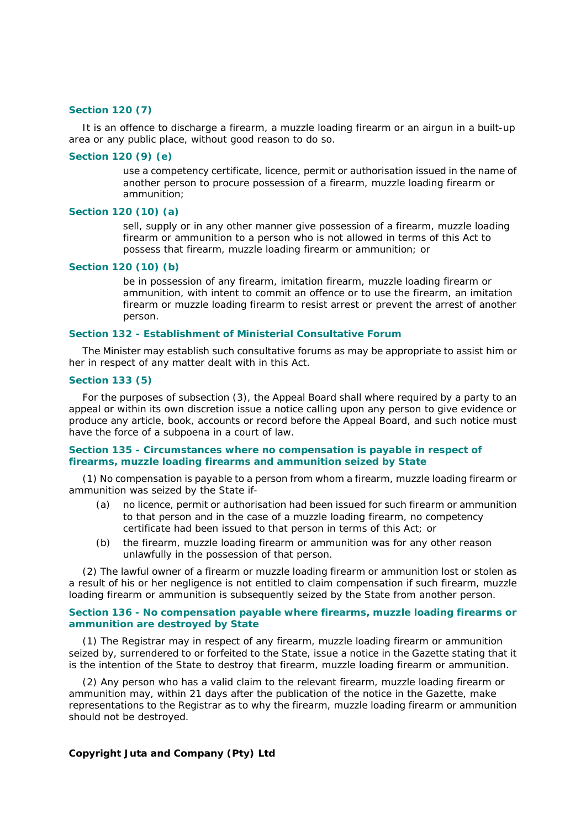#### **Section 120 (7)**

It is an offence to discharge a firearm, a muzzle loading firearm or an airgun in a built-up area or any public place, without good reason to do so.

### **Section 120 (9)** *(e)*

use a competency certificate, licence, permit or authorisation issued in the name of another person to procure possession of a firearm, muzzle loading firearm or ammunition;

## **Section 120 (10)** *(a)*

sell, supply or in any other manner give possession of a firearm, muzzle loading firearm or ammunition to a person who is not allowed in terms of this Act to possess that firearm, muzzle loading firearm or ammunition; or

### **Section 120 (10)** *(b)*

be in possession of any firearm, imitation firearm, muzzle loading firearm or ammunition, with intent to commit an offence or to use the firearm, an imitation firearm or muzzle loading firearm to resist arrest or prevent the arrest of another person.

#### **Section 132 - Establishment of Ministerial Consultative Forum**

The Minister may establish such consultative forums as may be appropriate to assist him or her in respect of any matter dealt with in this Act.

#### **Section 133 (5)**

For the purposes of subsection (3), the Appeal Board shall where required by a party to an appeal or within its own discretion issue a notice calling upon any person to give evidence or produce any article, book, accounts or record before the Appeal Board, and such notice must have the force of a subpoena in a court of law.

## **Section 135 - Circumstances where no compensation is payable in respect of firearms, muzzle loading firearms and ammunition seized by State**

(1) No compensation is payable to a person from whom a firearm, muzzle loading firearm or ammunition was seized by the State if-

- *(a)* no licence, permit or authorisation had been issued for such firearm or ammunition to that person and in the case of a muzzle loading firearm, no competency certificate had been issued to that person in terms of this Act; or
- *(b)* the firearm, muzzle loading firearm or ammunition was for any other reason unlawfully in the possession of that person.

(2) The lawful owner of a firearm or muzzle loading firearm or ammunition lost or stolen as a result of his or her negligence is not entitled to claim compensation if such firearm, muzzle loading firearm or ammunition is subsequently seized by the State from another person.

#### **Section 136 - No compensation payable where firearms, muzzle loading firearms or ammunition are destroyed by State**

(1) The Registrar may in respect of any firearm, muzzle loading firearm or ammunition seized by, surrendered to or forfeited to the State, issue a notice in the *Gazette* stating that it is the intention of the State to destroy that firearm, muzzle loading firearm or ammunition.

(2) Any person who has a valid claim to the relevant firearm, muzzle loading firearm or ammunition may, within 21 days after the publication of the notice in the *Gazette*, make representations to the Registrar as to why the firearm, muzzle loading firearm or ammunition should not be destroyed.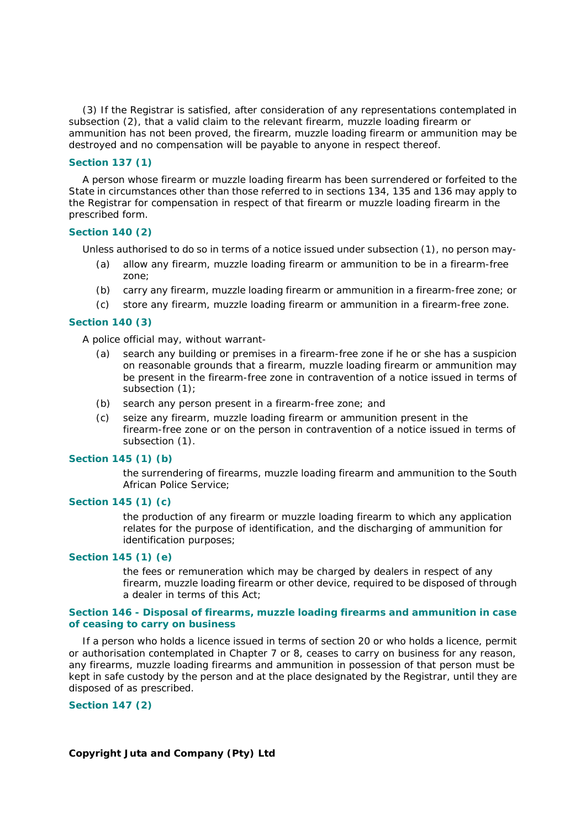(3) If the Registrar is satisfied, after consideration of any representations contemplated in subsection (2), that a valid claim to the relevant firearm, muzzle loading firearm or ammunition has not been proved, the firearm, muzzle loading firearm or ammunition may be destroyed and no compensation will be payable to anyone in respect thereof.

## **Section 137 (1)**

A person whose firearm or muzzle loading firearm has been surrendered or forfeited to the State in circumstances other than those referred to in sections 134, 135 and 136 may apply to the Registrar for compensation in respect of that firearm or muzzle loading firearm in the prescribed form.

## **Section 140 (2)**

Unless authorised to do so in terms of a notice issued under subsection (1), no person may-

- *(a)* allow any firearm, muzzle loading firearm or ammunition to be in a firearm-free zone;
- *(b)* carry any firearm, muzzle loading firearm or ammunition in a firearm-free zone; or
- *(c)* store any firearm, muzzle loading firearm or ammunition in a firearm-free zone.

## **Section 140 (3)**

A police official may, without warrant-

- *(a)* search any building or premises in a firearm-free zone if he or she has a suspicion on reasonable grounds that a firearm, muzzle loading firearm or ammunition may be present in the firearm-free zone in contravention of a notice issued in terms of subsection (1);
- *(b)* search any person present in a firearm-free zone; and
- *(c)* seize any firearm, muzzle loading firearm or ammunition present in the firearm-free zone or on the person in contravention of a notice issued in terms of subsection (1).

## **Section 145 (1)** *(b)*

the surrendering of firearms, muzzle loading firearm and ammunition to the South African Police Service;

## **Section 145 (1)** *(c)*

the production of any firearm or muzzle loading firearm to which any application relates for the purpose of identification, and the discharging of ammunition for identification purposes;

## **Section 145 (1)** *(e)*

the fees or remuneration which may be charged by dealers in respect of any firearm, muzzle loading firearm or other device, required to be disposed of through a dealer in terms of this Act;

#### **Section 146 - Disposal of firearms, muzzle loading firearms and ammunition in case of ceasing to carry on business**

If a person who holds a licence issued in terms of section 20 or who holds a licence, permit or authorisation contemplated in Chapter 7 or 8, ceases to carry on business for any reason, any firearms, muzzle loading firearms and ammunition in possession of that person must be kept in safe custody by the person and at the place designated by the Registrar, until they are disposed of as prescribed.

**Section 147 (2)**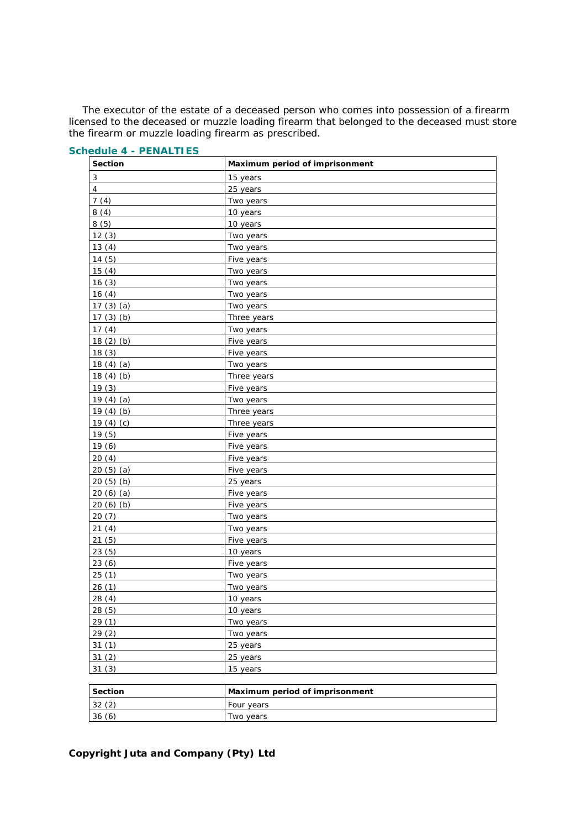The executor of the estate of a deceased person who comes into possession of a firearm licensed to the deceased or muzzle loading firearm that belonged to the deceased must store the firearm or muzzle loading firearm as prescribed.

| <b>Section</b>            | Maximum period of imprisonment |
|---------------------------|--------------------------------|
| $\ensuremath{\mathsf{3}}$ | 15 years                       |
| $\pmb{4}$                 | 25 years                       |
| 7(4)                      | Two years                      |
| 8(4)                      | 10 years                       |
| 8(5)                      | 10 years                       |
| 12(3)                     | Two years                      |
| 13(4)                     | Two years                      |
| 14(5)                     | Five years                     |
| 15(4)                     | Two years                      |
| 16(3)                     | Two years                      |
| 16(4)                     | Two years                      |
| 17(3)(a)                  | Two years                      |
| 17 $(3)(b)$               | Three years                    |
| 17(4)                     | Two years                      |
| 18(2)(b)                  | Five years                     |
| 18(3)                     | Five years                     |
| 18 $(4)$ $(a)$            | Two years                      |
| 18 $(4)$ $(b)$            | Three years                    |
| 19(3)                     | Five years                     |
| 19 $(4)$ $(a)$            | Two years                      |
| 19 $(4)$ $(b)$            | Three years                    |
| 19 $(4)$ $(c)$            | Three years                    |
| 19(5)                     | Five years                     |
| 19(6)                     | Five years                     |
| 20(4)                     | Five years                     |
| 20 $(5)$ $(a)$            | Five years                     |
| 20(5)(b)                  | 25 years                       |
| 20 $(6)$ $(a)$            | Five years                     |
| 20(6)(b)                  | Five years                     |
| 20(7)                     | Two years                      |
| 21(4)                     | Two years                      |
| 21(5)                     | Five years                     |
| 23(5)                     | 10 years                       |
| 23(6)                     | Five years                     |
| 25(1)                     | Two years                      |
| 26(1)                     | Two years                      |
| 28(4)                     | 10 years                       |
| 28(5)                     | 10 years                       |
| 29(1)                     | Two years                      |
| 29(2)                     | Two years                      |
| 31(1)                     | 25 years                       |
| 31(2)                     | 25 years                       |
| 31(3)                     | 15 years                       |
|                           |                                |
| <b>Section</b>            | Maximum period of imprisonment |
| 32(2)                     | Four years                     |
| 36(6)                     | Two years                      |

## **Schedule 4 - PENALTIES**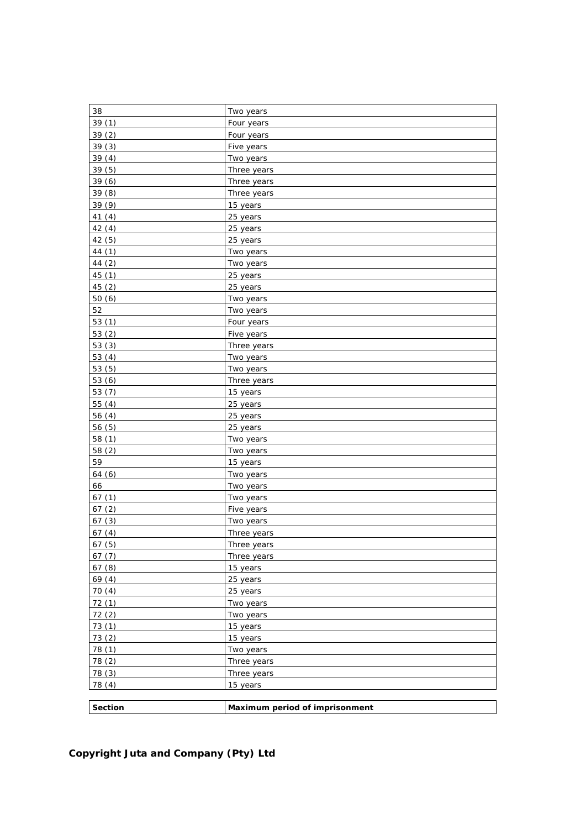| 38       | Two years                      |
|----------|--------------------------------|
| 39(1)    | Four years                     |
| 39(2)    | Four years                     |
| 39(3)    | Five years                     |
| 39(4)    | Two years                      |
| 39(5)    | Three years                    |
| 39(6)    | Three years                    |
| 39(8)    | Three years                    |
| 39 (9)   | 15 years                       |
| 41(4)    | 25 years                       |
| 42(4)    | 25 years                       |
| 42(5)    | 25 years                       |
| 44 (1)   | Two years                      |
| 44 (2)   | Two years                      |
| 45 (1)   | 25 years                       |
| 45(2)    | 25 years                       |
| 50(6)    | Two years                      |
| 52       | Two years                      |
| 53 $(1)$ | Four years                     |
| 53(2)    | Five years                     |
| 53(3)    | Three years                    |
| 53 $(4)$ | Two years                      |
| 53(5)    | Two years                      |
| 53(6)    | Three years                    |
| 53(7)    | 15 years                       |
| 55(4)    | 25 years                       |
| 56(4)    | 25 years                       |
| 56(5)    | 25 years                       |
| 58(1)    | Two years                      |
| 58(2)    | Two years                      |
| 59       | 15 years                       |
| 64 (6)   | Two years                      |
| 66       | Two years                      |
| 67(1)    | Two years                      |
| 67(2)    | Five years                     |
| 67(3)    | Two years                      |
| 67(4)    | Three years                    |
| 67(5)    | Three years                    |
| 67(7)    | Three years                    |
| 67(8)    | 15 years                       |
| 69(4)    | 25 years                       |
| 70(4)    | 25 years                       |
| 72(1)    | Two years                      |
| 72(2)    | Two years                      |
| 73(1)    | 15 years                       |
| 73(2)    | 15 years                       |
| 78(1)    | Two years                      |
| 78 (2)   | Three years                    |
| 78 (3)   | Three years                    |
| 78 (4)   | 15 years                       |
|          |                                |
| Section  | Maximum period of imprisonment |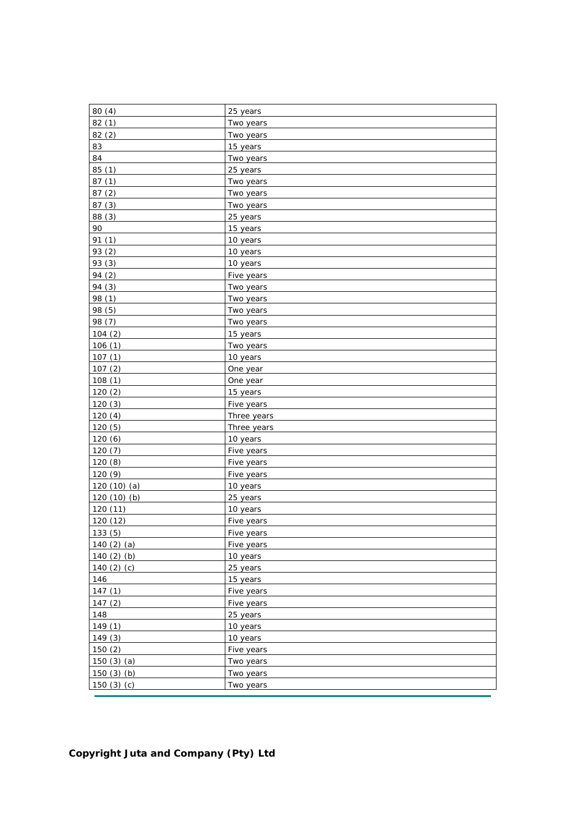| 80(4)            | 25 years    |
|------------------|-------------|
| 82(1)            | Two years   |
| 82(2)            | Two years   |
| 83               | 15 years    |
| 84               | Two years   |
| 85(1)            | 25 years    |
| 87(1)            | Two years   |
| 87(2)            | Two years   |
| 87(3)            | Two years   |
| 88(3)            | 25 years    |
| 90               | 15 years    |
| 91 (1)           | 10 years    |
| 93 (2)           | 10 years    |
| 93 (3)           | 10 years    |
| 94 (2)           | Five years  |
| 94 (3)           | Two years   |
| 98 (1)           | Two years   |
| 98 (5)           | Two years   |
| 98 (7)           | Two years   |
| 104(2)           | 15 years    |
| 106(1)           | Two years   |
| 107(1)           | 10 years    |
| 107(2)           | One year    |
| 108(1)           | One year    |
| 120(2)           | 15 years    |
| 120(3)           | Five years  |
| 120(4)           | Three years |
| 120(5)           | Three years |
| 120(6)           | 10 years    |
| 120(7)           | Five years  |
| 120(8)           | Five years  |
| 120 (9)          | Five years  |
| 120 $(10)$ $(a)$ | 10 years    |
| 120 $(10)$ $(b)$ | 25 years    |
| 120 (11)         | 10 years    |
| 120 (12)         | Five years  |
| 133(5)           | Five years  |
| 140 $(2)$ $(a)$  | Five years  |
| 140 $(2)$ $(b)$  | 10 years    |
| 140 $(2)$ $(c)$  | 25 years    |
| 146              | 15 years    |
| 147(1)           | Five years  |
| 147(2)           | Five years  |
| 148              | 25 years    |
| 149(1)           | 10 years    |
| 149(3)           | 10 years    |
| 150(2)           | Five years  |
| 150 $(3)$ $(a)$  | Two years   |
| 150(3)(b)        | Two years   |
| 150 $(3)$ $(c)$  | Two years   |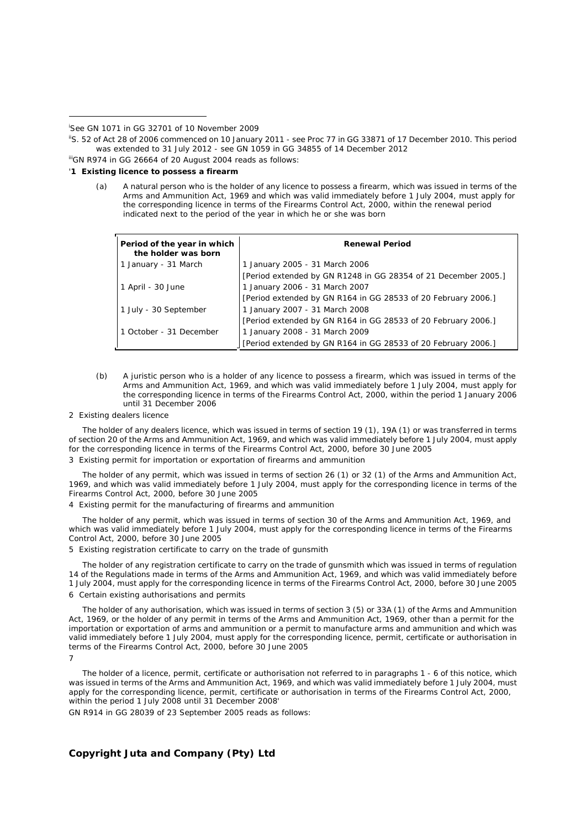-

iiiGN R974 in *GG* 26664 of 20 August 2004 reads as follows:

#### '**1 Existing licence to possess a firearm**

*(a)* A natural person who is the holder of any licence to possess a firearm, which was issued in terms of the Arms and Ammunition Act, 1969 and which was valid immediately before 1 July 2004, must apply for the corresponding licence in terms of the Firearms Control Act, 2000, within the renewal period indicated next to the period of the year in which he or she was born

| Period of the year in which<br>the holder was born | <b>Renewal Period</b>                                          |
|----------------------------------------------------|----------------------------------------------------------------|
| 1 January - 31 March                               | 1 January 2005 - 31 March 2006                                 |
|                                                    | [Period extended by GN R1248 in GG 28354 of 21 December 2005.] |
| 1 April - 30 June                                  | 1 January 2006 - 31 March 2007                                 |
|                                                    | [Period extended by GN R164 in GG 28533 of 20 February 2006.]  |
| 1 July - 30 September                              | 1 January 2007 - 31 March 2008                                 |
|                                                    | [Period extended by GN R164 in GG 28533 of 20 February 2006.]  |
| 1 October - 31 December                            | 1 January 2008 - 31 March 2009                                 |
|                                                    | [Period extended by GN R164 in GG 28533 of 20 February 2006.]  |

- *(b)* A juristic person who is a holder of any licence to possess a firearm, which was issued in terms of the Arms and Ammunition Act, 1969, and which was valid immediately before 1 July 2004, must apply for the corresponding licence in terms of the Firearms Control Act, 2000, within the period 1 January 2006 until 31 December 2006
- 2 Existing dealers licence

The holder of any dealers licence, which was issued in terms of section 19 (1), 19A (1) or was transferred in terms of section 20 of the Arms and Ammunition Act, 1969, and which was valid immediately before 1 July 2004, must apply for the corresponding licence in terms of the Firearms Control Act, 2000, before 30 June 2005

#### 3 Existing permit for importation or exportation of firearms and ammunition

The holder of any permit, which was issued in terms of section 26 (1) or 32 (1) of the Arms and Ammunition Act, 1969, and which was valid immediately before 1 July 2004, must apply for the corresponding licence in terms of the Firearms Control Act, 2000, before 30 June 2005

4 Existing permit for the manufacturing of firearms and ammunition

The holder of any permit, which was issued in terms of section 30 of the Arms and Ammunition Act, 1969, and which was valid immediately before 1 July 2004, must apply for the corresponding licence in terms of the Firearms Control Act, 2000, before 30 June 2005

5 Existing registration certificate to carry on the trade of gunsmith

The holder of any registration certificate to carry on the trade of gunsmith which was issued in terms of regulation 14 of the Regulations made in terms of the Arms and Ammunition Act, 1969, and which was valid immediately before 1 July 2004, must apply for the corresponding licence in terms of the Firearms Control Act, 2000, before 30 June 2005 6 Certain existing authorisations and permits

The holder of any authorisation, which was issued in terms of section 3 (5) or 33A (1) of the Arms and Ammunition Act, 1969, or the holder of any permit in terms of the Arms and Ammunition Act, 1969, other than a permit for the importation or exportation of arms and ammunition or a permit to manufacture arms and ammunition and which was valid immediately before 1 July 2004, must apply for the corresponding licence, permit, certificate or authorisation in terms of the Firearms Control Act, 2000, before 30 June 2005 7

The holder of a licence, permit, certificate or authorisation not referred to in paragraphs 1 - 6 of this notice, which was issued in terms of the Arms and Ammunition Act, 1969, and which was valid immediately before 1 July 2004, must apply for the corresponding licence, permit, certificate or authorisation in terms of the Firearms Control Act, 2000, within the period 1 July 2008 until 31 December 2008'

GN R914 in *GG* 28039 of 23 September 2005 reads as follows:

i See GN 1071 in *GG* 32701 of 10 November 2009

iiS. 52 of Act 28 of 2006 commenced on 10 January 2011 - see Proc 77 in *GG* 33871 of 17 December 2010. This period was extended to 31 July 2012 - see GN 1059 in *GG* 34855 of 14 December 2012